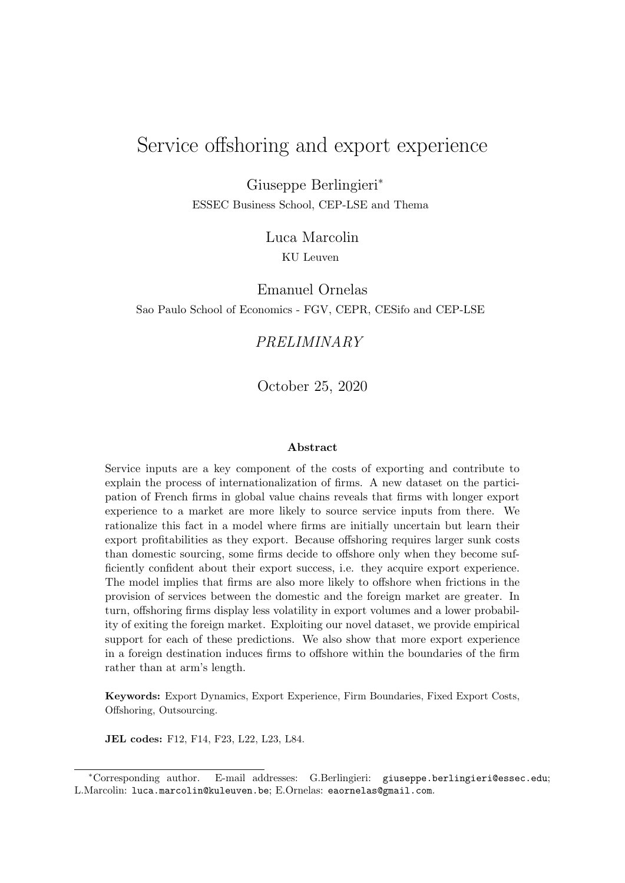# Service offshoring and export experience

Giuseppe Berlingieri\* ESSEC Business School, CEP-LSE and Thema

> Luca Marcolin KU Leuven

Emanuel Ornelas Sao Paulo School of Economics - FGV, CEPR, CESifo and CEP-LSE

### PRELIMINARY

October 25, 2020

#### Abstract

Service inputs are a key component of the costs of exporting and contribute to explain the process of internationalization of firms. A new dataset on the participation of French firms in global value chains reveals that firms with longer export experience to a market are more likely to source service inputs from there. We rationalize this fact in a model where firms are initially uncertain but learn their export profitabilities as they export. Because offshoring requires larger sunk costs than domestic sourcing, some firms decide to offshore only when they become sufficiently confident about their export success, i.e. they acquire export experience. The model implies that firms are also more likely to offshore when frictions in the provision of services between the domestic and the foreign market are greater. In turn, offshoring firms display less volatility in export volumes and a lower probability of exiting the foreign market. Exploiting our novel dataset, we provide empirical support for each of these predictions. We also show that more export experience in a foreign destination induces firms to offshore within the boundaries of the firm rather than at arm's length.

Keywords: Export Dynamics, Export Experience, Firm Boundaries, Fixed Export Costs, Offshoring, Outsourcing.

JEL codes: F12, F14, F23, L22, L23, L84.

<sup>\*</sup>Corresponding author. E-mail addresses: G.Berlingieri: giuseppe.berlingieri@essec.edu; L.Marcolin: luca.marcolin@kuleuven.be; E.Ornelas: eaornelas@gmail.com.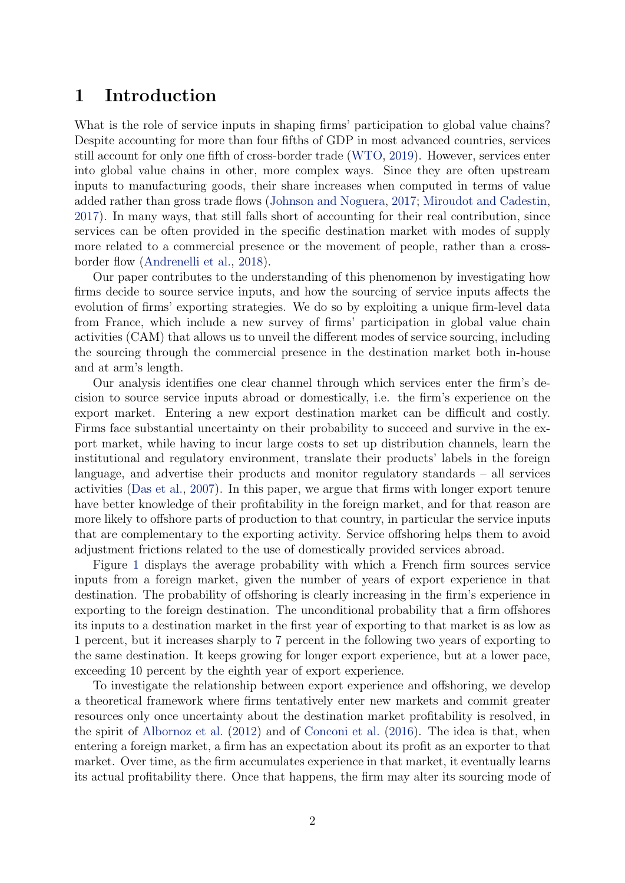## <span id="page-1-0"></span>1 Introduction

What is the role of service inputs in shaping firms' participation to global value chains? Despite accounting for more than four fifths of GDP in most advanced countries, services still account for only one fifth of cross-border trade [\(WTO,](#page-40-0) [2019\)](#page-40-0). However, services enter into global value chains in other, more complex ways. Since they are often upstream inputs to manufacturing goods, their share increases when computed in terms of value added rather than gross trade flows [\(Johnson and Noguera,](#page-40-1) [2017;](#page-40-1) [Miroudot and Cadestin,](#page-40-2) [2017\)](#page-40-2). In many ways, that still falls short of accounting for their real contribution, since services can be often provided in the specific destination market with modes of supply more related to a commercial presence or the movement of people, rather than a crossborder flow [\(Andrenelli et al.,](#page-38-0) [2018\)](#page-38-0).

Our paper contributes to the understanding of this phenomenon by investigating how firms decide to source service inputs, and how the sourcing of service inputs affects the evolution of firms' exporting strategies. We do so by exploiting a unique firm-level data from France, which include a new survey of firms' participation in global value chain activities (CAM) that allows us to unveil the different modes of service sourcing, including the sourcing through the commercial presence in the destination market both in-house and at arm's length.

Our analysis identifies one clear channel through which services enter the firm's decision to source service inputs abroad or domestically, i.e. the firm's experience on the export market. Entering a new export destination market can be difficult and costly. Firms face substantial uncertainty on their probability to succeed and survive in the export market, while having to incur large costs to set up distribution channels, learn the institutional and regulatory environment, translate their products' labels in the foreign language, and advertise their products and monitor regulatory standards – all services activities [\(Das et al.,](#page-39-0) [2007\)](#page-39-0). In this paper, we argue that firms with longer export tenure have better knowledge of their profitability in the foreign market, and for that reason are more likely to offshore parts of production to that country, in particular the service inputs that are complementary to the exporting activity. Service offshoring helps them to avoid adjustment frictions related to the use of domestically provided services abroad.

Figure [1](#page-2-0) displays the average probability with which a French firm sources service inputs from a foreign market, given the number of years of export experience in that destination. The probability of offshoring is clearly increasing in the firm's experience in exporting to the foreign destination. The unconditional probability that a firm offshores its inputs to a destination market in the first year of exporting to that market is as low as 1 percent, but it increases sharply to 7 percent in the following two years of exporting to the same destination. It keeps growing for longer export experience, but at a lower pace, exceeding 10 percent by the eighth year of export experience.

To investigate the relationship between export experience and offshoring, we develop a theoretical framework where firms tentatively enter new markets and commit greater resources only once uncertainty about the destination market profitability is resolved, in the spirit of [Albornoz et al.](#page-38-1) [\(2012\)](#page-38-1) and of [Conconi et al.](#page-39-1) [\(2016\)](#page-39-1). The idea is that, when entering a foreign market, a firm has an expectation about its profit as an exporter to that market. Over time, as the firm accumulates experience in that market, it eventually learns its actual profitability there. Once that happens, the firm may alter its sourcing mode of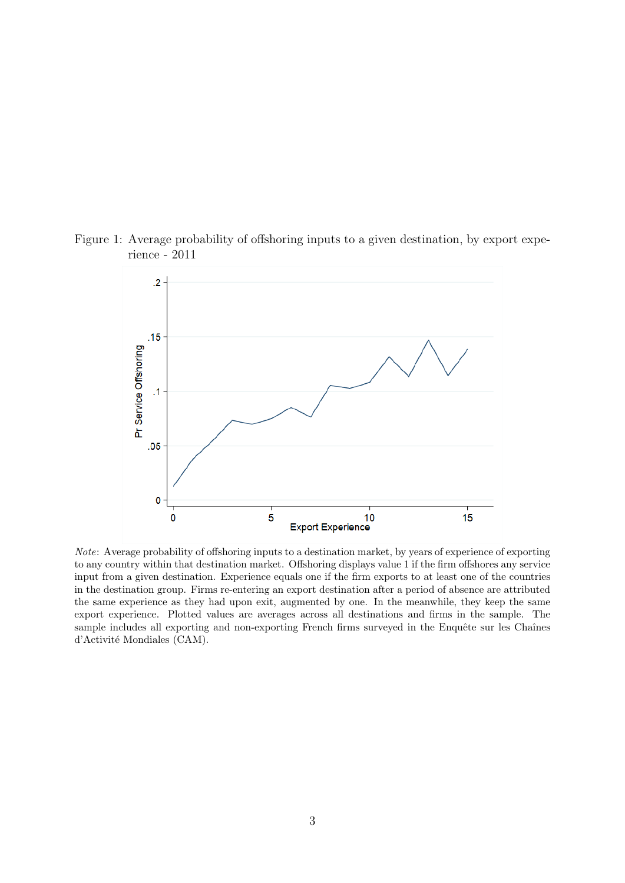<span id="page-2-0"></span>



Note: Average probability of offshoring inputs to a destination market, by years of experience of exporting to any country within that destination market. Offshoring displays value 1 if the firm offshores any service input from a given destination. Experience equals one if the firm exports to at least one of the countries in the destination group. Firms re-entering an export destination after a period of absence are attributed the same experience as they had upon exit, augmented by one. In the meanwhile, they keep the same export experience. Plotted values are averages across all destinations and firms in the sample. The sample includes all exporting and non-exporting French firms surveyed in the Enquête sur les Chaînes d'Activité Mondiales (CAM).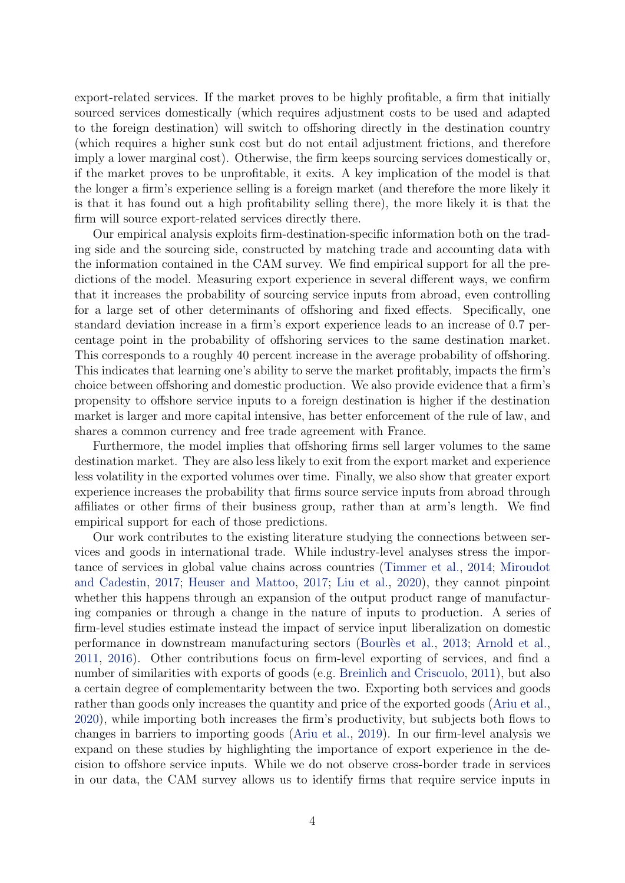<span id="page-3-0"></span>export-related services. If the market proves to be highly profitable, a firm that initially sourced services domestically (which requires adjustment costs to be used and adapted to the foreign destination) will switch to offshoring directly in the destination country (which requires a higher sunk cost but do not entail adjustment frictions, and therefore imply a lower marginal cost). Otherwise, the firm keeps sourcing services domestically or, if the market proves to be unprofitable, it exits. A key implication of the model is that the longer a firm's experience selling is a foreign market (and therefore the more likely it is that it has found out a high profitability selling there), the more likely it is that the firm will source export-related services directly there.

Our empirical analysis exploits firm-destination-specific information both on the trading side and the sourcing side, constructed by matching trade and accounting data with the information contained in the CAM survey. We find empirical support for all the predictions of the model. Measuring export experience in several different ways, we confirm that it increases the probability of sourcing service inputs from abroad, even controlling for a large set of other determinants of offshoring and fixed effects. Specifically, one standard deviation increase in a firm's export experience leads to an increase of 0.7 percentage point in the probability of offshoring services to the same destination market. This corresponds to a roughly 40 percent increase in the average probability of offshoring. This indicates that learning one's ability to serve the market profitably, impacts the firm's choice between offshoring and domestic production. We also provide evidence that a firm's propensity to offshore service inputs to a foreign destination is higher if the destination market is larger and more capital intensive, has better enforcement of the rule of law, and shares a common currency and free trade agreement with France.

Furthermore, the model implies that offshoring firms sell larger volumes to the same destination market. They are also less likely to exit from the export market and experience less volatility in the exported volumes over time. Finally, we also show that greater export experience increases the probability that firms source service inputs from abroad through affiliates or other firms of their business group, rather than at arm's length. We find empirical support for each of those predictions.

Our work contributes to the existing literature studying the connections between services and goods in international trade. While industry-level analyses stress the importance of services in global value chains across countries [\(Timmer et al.,](#page-40-3) [2014;](#page-40-3) [Miroudot](#page-40-2) [and Cadestin,](#page-40-2) [2017;](#page-40-2) [Heuser and Mattoo,](#page-39-2) [2017;](#page-39-2) [Liu et al.,](#page-40-4) [2020\)](#page-40-4), they cannot pinpoint whether this happens through an expansion of the output product range of manufacturing companies or through a change in the nature of inputs to production. A series of firm-level studies estimate instead the impact of service input liberalization on domestic performance in downstream manufacturing sectors (Bourlès et al., [2013;](#page-39-3) [Arnold et al.,](#page-38-2) [2011,](#page-38-2) [2016\)](#page-38-3). Other contributions focus on firm-level exporting of services, and find a number of similarities with exports of goods (e.g. [Breinlich and Criscuolo,](#page-39-4) [2011\)](#page-39-4), but also a certain degree of complementarity between the two. Exporting both services and goods rather than goods only increases the quantity and price of the exported goods [\(Ariu et al.,](#page-38-4) [2020\)](#page-38-4), while importing both increases the firm's productivity, but subjects both flows to changes in barriers to importing goods [\(Ariu et al.,](#page-38-5) [2019\)](#page-38-5). In our firm-level analysis we expand on these studies by highlighting the importance of export experience in the decision to offshore service inputs. While we do not observe cross-border trade in services in our data, the CAM survey allows us to identify firms that require service inputs in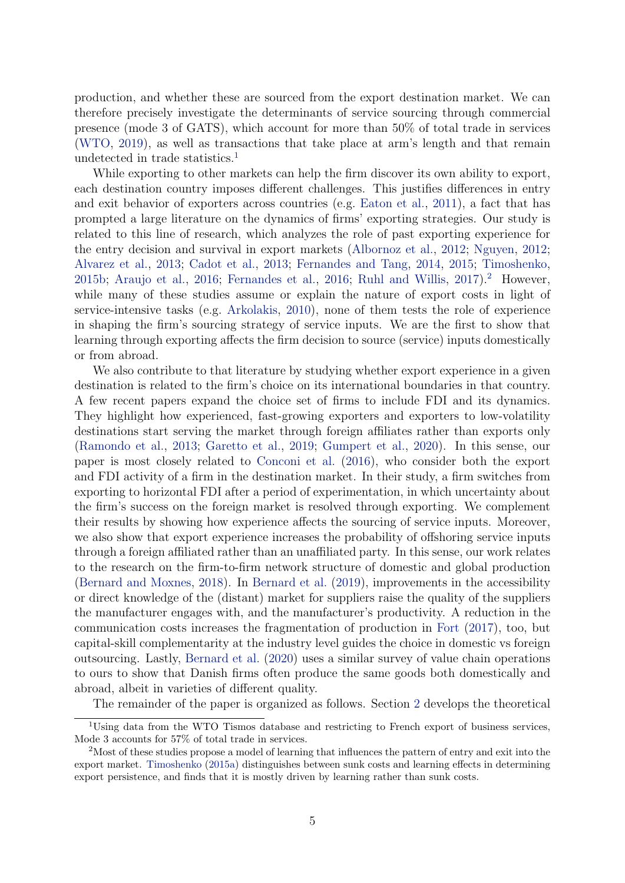<span id="page-4-2"></span>production, and whether these are sourced from the export destination market. We can therefore precisely investigate the determinants of service sourcing through commercial presence (mode 3 of GATS), which account for more than 50% of total trade in services [\(WTO,](#page-40-0) [2019\)](#page-40-0), as well as transactions that take place at arm's length and that remain undetected in trade statistics.<sup>[1](#page-4-0)</sup>

While exporting to other markets can help the firm discover its own ability to export, each destination country imposes different challenges. This justifies differences in entry and exit behavior of exporters across countries (e.g. [Eaton et al.,](#page-39-5) [2011\)](#page-39-5), a fact that has prompted a large literature on the dynamics of firms' exporting strategies. Our study is related to this line of research, which analyzes the role of past exporting experience for the entry decision and survival in export markets [\(Albornoz et al.,](#page-38-1) [2012;](#page-38-1) [Nguyen,](#page-40-5) [2012;](#page-40-5) [Alvarez et al.,](#page-38-6) [2013;](#page-38-6) [Cadot et al.,](#page-39-6) [2013;](#page-39-6) [Fernandes and Tang,](#page-39-7) [2014,](#page-39-7) [2015;](#page-39-8) [Timoshenko,](#page-40-6) [2015b;](#page-40-6) [Araujo et al.,](#page-38-7) [2016;](#page-39-9) [Fernandes et al.,](#page-39-9) 2016; [Ruhl and Willis,](#page-40-7)  $2017$  $2017$ ).<sup>2</sup> However, while many of these studies assume or explain the nature of export costs in light of service-intensive tasks (e.g. [Arkolakis,](#page-38-8) [2010\)](#page-38-8), none of them tests the role of experience in shaping the firm's sourcing strategy of service inputs. We are the first to show that learning through exporting affects the firm decision to source (service) inputs domestically or from abroad.

We also contribute to that literature by studying whether export experience in a given destination is related to the firm's choice on its international boundaries in that country. A few recent papers expand the choice set of firms to include FDI and its dynamics. They highlight how experienced, fast-growing exporters and exporters to low-volatility destinations start serving the market through foreign affiliates rather than exports only [\(Ramondo et al.,](#page-40-8) [2013;](#page-40-8) [Garetto et al.,](#page-39-10) [2019;](#page-39-10) [Gumpert et al.,](#page-39-11) [2020\)](#page-39-11). In this sense, our paper is most closely related to [Conconi et al.](#page-39-1) [\(2016\)](#page-39-1), who consider both the export and FDI activity of a firm in the destination market. In their study, a firm switches from exporting to horizontal FDI after a period of experimentation, in which uncertainty about the firm's success on the foreign market is resolved through exporting. We complement their results by showing how experience affects the sourcing of service inputs. Moreover, we also show that export experience increases the probability of offshoring service inputs through a foreign affiliated rather than an unaffiliated party. In this sense, our work relates to the research on the firm-to-firm network structure of domestic and global production [\(Bernard and Moxnes,](#page-38-9) [2018\)](#page-38-9). In [Bernard et al.](#page-38-10) [\(2019\)](#page-38-10), improvements in the accessibility or direct knowledge of the (distant) market for suppliers raise the quality of the suppliers the manufacturer engages with, and the manufacturer's productivity. A reduction in the communication costs increases the fragmentation of production in [Fort](#page-39-12) [\(2017\)](#page-39-12), too, but capital-skill complementarity at the industry level guides the choice in domestic vs foreign outsourcing. Lastly, [Bernard et al.](#page-38-11) [\(2020\)](#page-38-11) uses a similar survey of value chain operations to ours to show that Danish firms often produce the same goods both domestically and abroad, albeit in varieties of different quality.

<span id="page-4-0"></span>The remainder of the paper is organized as follows. Section [2](#page-5-0) develops the theoretical

<sup>&</sup>lt;sup>1</sup>Using data from the WTO Tismos database and restricting to French export of business services, Mode 3 accounts for 57% of total trade in services.

<span id="page-4-1"></span><sup>2</sup>Most of these studies propose a model of learning that influences the pattern of entry and exit into the export market. [Timoshenko](#page-40-9) [\(2015a\)](#page-40-9) distinguishes between sunk costs and learning effects in determining export persistence, and finds that it is mostly driven by learning rather than sunk costs.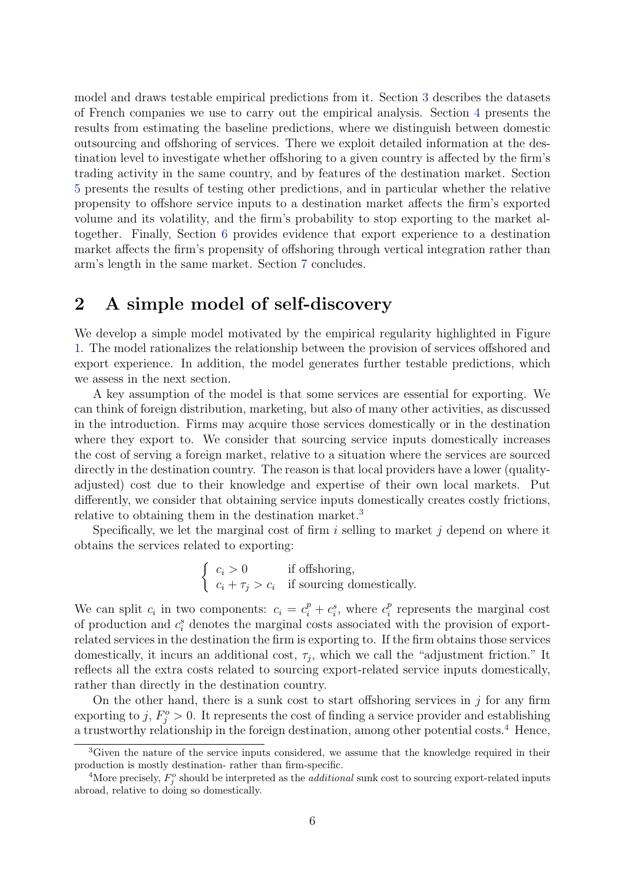model and draws testable empirical predictions from it. Section [3](#page-18-0) describes the datasets of French companies we use to carry out the empirical analysis. Section [4](#page-22-0) presents the results from estimating the baseline predictions, where we distinguish between domestic outsourcing and offshoring of services. There we exploit detailed information at the destination level to investigate whether offshoring to a given country is affected by the firm's trading activity in the same country, and by features of the destination market. Section [5](#page-32-0) presents the results of testing other predictions, and in particular whether the relative propensity to offshore service inputs to a destination market affects the firm's exported volume and its volatility, and the firm's probability to stop exporting to the market altogether. Finally, Section [6](#page-35-0) provides evidence that export experience to a destination market affects the firm's propensity of offshoring through vertical integration rather than arm's length in the same market. Section [7](#page-37-0) concludes.

## <span id="page-5-0"></span>2 A simple model of self-discovery

We develop a simple model motivated by the empirical regularity highlighted in Figure [1.](#page-2-0) The model rationalizes the relationship between the provision of services offshored and export experience. In addition, the model generates further testable predictions, which we assess in the next section.

A key assumption of the model is that some services are essential for exporting. We can think of foreign distribution, marketing, but also of many other activities, as discussed in the introduction. Firms may acquire those services domestically or in the destination where they export to. We consider that sourcing service inputs domestically increases the cost of serving a foreign market, relative to a situation where the services are sourced directly in the destination country. The reason is that local providers have a lower (qualityadjusted) cost due to their knowledge and expertise of their own local markets. Put differently, we consider that obtaining service inputs domestically creates costly frictions, relative to obtaining them in the destination market.<sup>[3](#page-5-1)</sup>

Specifically, we let the marginal cost of firm  $i$  selling to market  $j$  depend on where it obtains the services related to exporting:

$$
\begin{cases} c_i > 0 & \text{if offspring,} \\ c_i + \tau_j > c_i & \text{if sourceing domestically.} \end{cases}
$$

We can split  $c_i$  in two components:  $c_i = c_i^p + c_i^s$ , where  $c_i^p$  $r_i^p$  represents the marginal cost of production and  $c_i^s$  denotes the marginal costs associated with the provision of exportrelated services in the destination the firm is exporting to. If the firm obtains those services domestically, it incurs an additional cost,  $\tau_j$ , which we call the "adjustment friction." It reflects all the extra costs related to sourcing export-related service inputs domestically, rather than directly in the destination country.

On the other hand, there is a sunk cost to start offshoring services in  $j$  for any firm exporting to j,  $F_j^o > 0$ . It represents the cost of finding a service provider and establishing a trustworthy relationship in the foreign destination, among other potential costs.<sup>[4](#page-5-2)</sup> Hence,

<span id="page-5-1"></span><sup>&</sup>lt;sup>3</sup>Given the nature of the service inputs considered, we assume that the knowledge required in their production is mostly destination- rather than firm-specific.

<span id="page-5-2"></span><sup>&</sup>lt;sup>4</sup>More precisely,  $F_j^o$  should be interpreted as the *additional* sunk cost to sourcing export-related inputs abroad, relative to doing so domestically.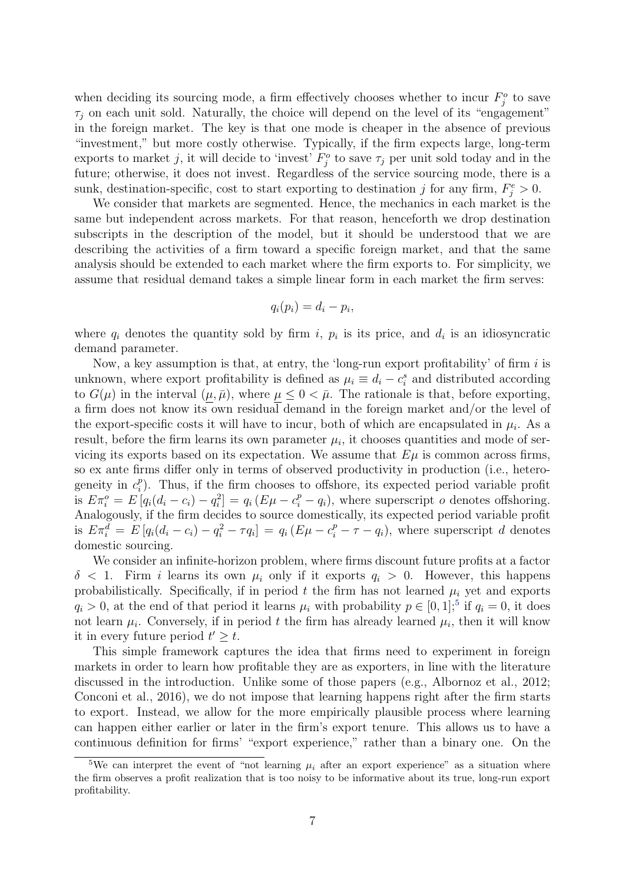when deciding its sourcing mode, a firm effectively chooses whether to incur  $F_j^o$  to save  $\tau_i$  on each unit sold. Naturally, the choice will depend on the level of its "engagement" in the foreign market. The key is that one mode is cheaper in the absence of previous "investment," but more costly otherwise. Typically, if the firm expects large, long-term exports to market j, it will decide to 'invest'  $F_j^o$  to save  $\tau_j$  per unit sold today and in the future; otherwise, it does not invest. Regardless of the service sourcing mode, there is a sunk, destination-specific, cost to start exporting to destination j for any firm,  $F_j^e > 0$ .

We consider that markets are segmented. Hence, the mechanics in each market is the same but independent across markets. For that reason, henceforth we drop destination subscripts in the description of the model, but it should be understood that we are describing the activities of a firm toward a specific foreign market, and that the same analysis should be extended to each market where the firm exports to. For simplicity, we assume that residual demand takes a simple linear form in each market the firm serves:

$$
q_i(p_i) = d_i - p_i,
$$

where  $q_i$  denotes the quantity sold by firm i,  $p_i$  is its price, and  $d_i$  is an idiosyncratic demand parameter.

Now, a key assumption is that, at entry, the 'long-run export profitability' of firm  $i$  is unknown, where export profitability is defined as  $\mu_i \equiv d_i - c_i^s$  and distributed according to  $G(\mu)$  in the interval  $(\mu, \bar{\mu})$ , where  $\mu \leq 0 < \bar{\mu}$ . The rationale is that, before exporting, a firm does not know its own residual demand in the foreign market and/or the level of the export-specific costs it will have to incur, both of which are encapsulated in  $\mu_i$ . As a result, before the firm learns its own parameter  $\mu_i$ , it chooses quantities and mode of servicing its exports based on its expectation. We assume that  $E\mu$  is common across firms, so ex ante firms differ only in terms of observed productivity in production (i.e., heterogeneity in  $c_i^p$  $_{i}^{p}$ ). Thus, if the firm chooses to offshore, its expected period variable profit is  $E\pi_i^o = E[q_i(d_i - c_i) - q_i^2] = q_i(E\mu - c_i^p - q_i)$ , where superscript *o* denotes offshoring. Analogously, if the firm decides to source domestically, its expected period variable profit is  $E\pi_i^{\overline{d}} = E\left[q_i(d_i - c_i) - q_i^2 - \tau q_i\right] = q_i(E\mu - c_i^p - \tau - q_i)$ , where superscript d denotes domestic sourcing.

We consider an infinite-horizon problem, where firms discount future profits at a factor  $\delta$  < 1. Firm *i* learns its own  $\mu_i$  only if it exports  $q_i > 0$ . However, this happens probabilistically. Specifically, if in period  $t$  the firm has not learned  $\mu_i$  yet and exports  $q_i > 0$ , at the end of that period it learns  $\mu_i$  with probability  $p \in [0,1],$ <sup>[5](#page-6-0)</sup> if  $q_i = 0$ , it does not learn  $\mu_i$ . Conversely, if in period t the firm has already learned  $\mu_i$ , then it will know it in every future period  $t' \geq t$ .

This simple framework captures the idea that firms need to experiment in foreign markets in order to learn how profitable they are as exporters, in line with the literature discussed in the introduction. Unlike some of those papers (e.g., Albornoz et al., 2012; Conconi et al., 2016), we do not impose that learning happens right after the firm starts to export. Instead, we allow for the more empirically plausible process where learning can happen either earlier or later in the firm's export tenure. This allows us to have a continuous definition for firms' "export experience," rather than a binary one. On the

<span id="page-6-0"></span><sup>&</sup>lt;sup>5</sup>We can interpret the event of "not learning  $\mu_i$  after an export experience" as a situation where the firm observes a profit realization that is too noisy to be informative about its true, long-run export profitability.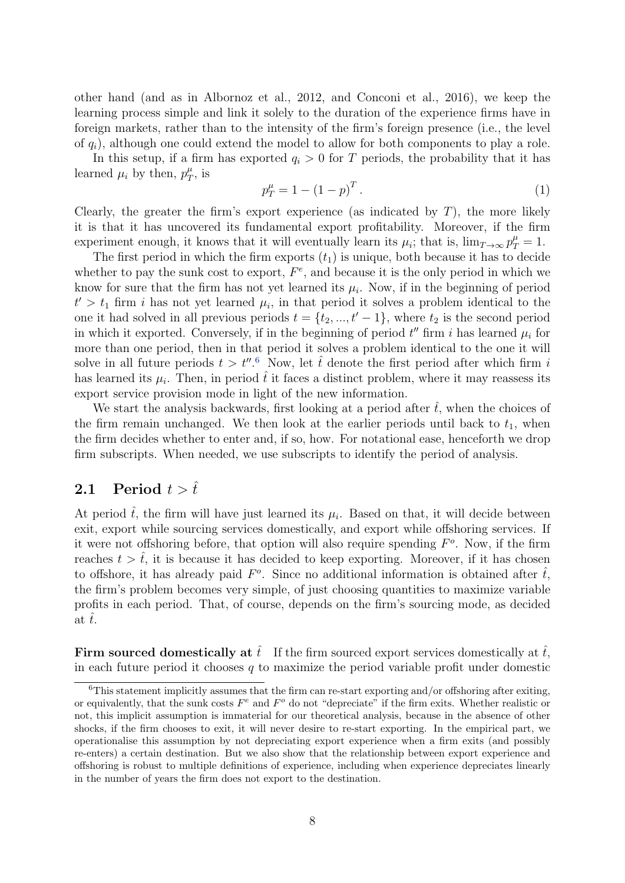other hand (and as in Albornoz et al., 2012, and Conconi et al., 2016), we keep the learning process simple and link it solely to the duration of the experience firms have in foreign markets, rather than to the intensity of the firm's foreign presence (i.e., the level of  $q_i$ ), although one could extend the model to allow for both components to play a role.

In this setup, if a firm has exported  $q_i > 0$  for T periods, the probability that it has learned  $\mu_i$  by then,  $p_T^{\mu}$  $T^\mu$ , is

<span id="page-7-1"></span>
$$
p_T^{\mu} = 1 - (1 - p)^T.
$$
 (1)

Clearly, the greater the firm's export experience (as indicated by  $T$ ), the more likely it is that it has uncovered its fundamental export profitability. Moreover, if the firm experiment enough, it knows that it will eventually learn its  $\mu_i$ ; that is,  $\lim_{T\to\infty} p_T^{\mu} = 1$ .

The first period in which the firm exports  $(t_1)$  is unique, both because it has to decide whether to pay the sunk cost to export,  $F^e$ , and because it is the only period in which we know for sure that the firm has not yet learned its  $\mu_i$ . Now, if in the beginning of period  $t' > t_1$  firm *i* has not yet learned  $\mu_i$ , in that period it solves a problem identical to the one it had solved in all previous periods  $t = \{t_2, ..., t' - 1\}$ , where  $t_2$  is the second period in which it exported. Conversely, if in the beginning of period  $t''$  firm i has learned  $\mu_i$  for more than one period, then in that period it solves a problem identical to the one it will solve in all future periods  $t > t''$ .<sup>[6](#page-7-0)</sup> Now, let  $\hat{t}$  denote the first period after which firm i has learned its  $\mu_i$ . Then, in period  $\hat{t}$  it faces a distinct problem, where it may reassess its export service provision mode in light of the new information.

We start the analysis backwards, first looking at a period after  $\hat{t}$ , when the choices of the firm remain unchanged. We then look at the earlier periods until back to  $t_1$ , when the firm decides whether to enter and, if so, how. For notational ease, henceforth we drop firm subscripts. When needed, we use subscripts to identify the period of analysis.

# **2.1** Period  $t > \hat{t}$

At period  $\hat{t}$ , the firm will have just learned its  $\mu_i$ . Based on that, it will decide between exit, export while sourcing services domestically, and export while offshoring services. If it were not offshoring before, that option will also require spending  $F<sup>o</sup>$ . Now, if the firm reaches  $t > \hat{t}$ , it is because it has decided to keep exporting. Moreover, if it has chosen to offshore, it has already paid  $F^o$ . Since no additional information is obtained after  $\hat{t}$ , the firm's problem becomes very simple, of just choosing quantities to maximize variable profits in each period. That, of course, depends on the firm's sourcing mode, as decided at  $\hat{t}$ .

Firm sourced domestically at  $\hat{t}$ . If the firm sourced export services domestically at  $\hat{t}$ , in each future period it chooses  $q$  to maximize the period variable profit under domestic

<span id="page-7-0"></span><sup>&</sup>lt;sup>6</sup>This statement implicitly assumes that the firm can re-start exporting and/or offshoring after exiting, or equivalently, that the sunk costs  $F<sup>e</sup>$  and  $F<sup>o</sup>$  do not "depreciate" if the firm exits. Whether realistic or not, this implicit assumption is immaterial for our theoretical analysis, because in the absence of other shocks, if the firm chooses to exit, it will never desire to re-start exporting. In the empirical part, we operationalise this assumption by not depreciating export experience when a firm exits (and possibly re-enters) a certain destination. But we also show that the relationship between export experience and offshoring is robust to multiple definitions of experience, including when experience depreciates linearly in the number of years the firm does not export to the destination.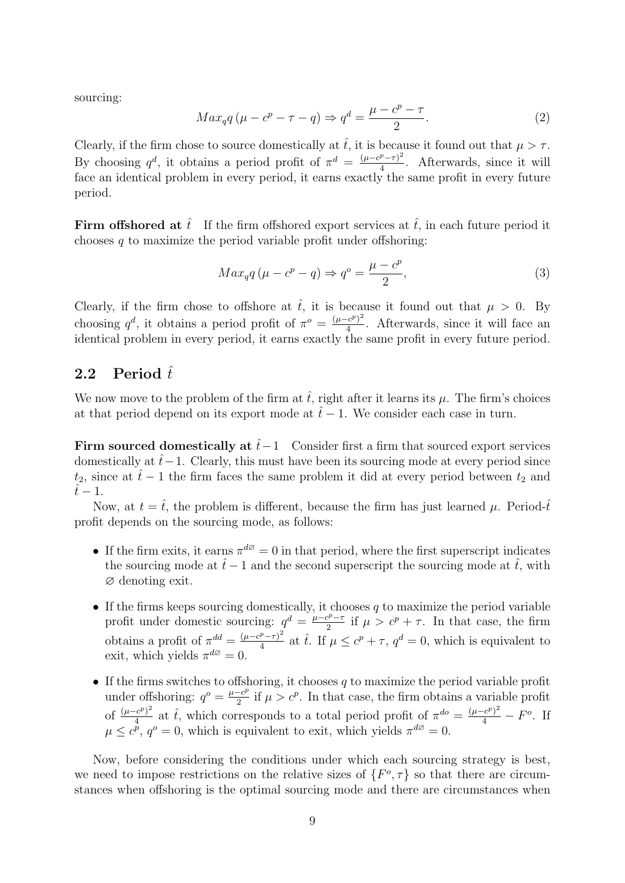sourcing:

<span id="page-8-0"></span>
$$
Max_{q}q\left(\mu - c^{p} - \tau - q\right) \Rightarrow q^{d} = \frac{\mu - c^{p} - \tau}{2}.
$$
\n<sup>(2)</sup>

Clearly, if the firm chose to source domestically at  $\hat{t}$ , it is because it found out that  $\mu > \tau$ . By choosing  $q^d$ , it obtains a period profit of  $\pi^d = \frac{(\mu - c^p - \tau)^2}{4}$  $\frac{\mu-\tau}{4}$ . Afterwards, since it will face an identical problem in every period, it earns exactly the same profit in every future period.

Firm offshored at  $\hat{t}$ . If the firm offshored export services at  $\hat{t}$ , in each future period it chooses  $q$  to maximize the period variable profit under offshoring:

<span id="page-8-1"></span>
$$
Max_{q}q\left(\mu - c^{p} - q\right) \Rightarrow q^{o} = \frac{\mu - c^{p}}{2},\tag{3}
$$

Clearly, if the firm chose to offshore at  $\hat{t}$ , it is because it found out that  $\mu > 0$ . By choosing  $q^d$ , it obtains a period profit of  $\pi^o = \frac{(\mu - c^p)^2}{4}$  $\frac{e^{c}}{4}$ . Afterwards, since it will face an identical problem in every period, it earns exactly the same profit in every future period.

### 2.2 Period  $\hat{t}$

We now move to the problem of the firm at  $\hat{t}$ , right after it learns its  $\mu$ . The firm's choices at that period depend on its export mode at  $\hat{t} - 1$ . We consider each case in turn.

Firm sourced domestically at  $\hat{t}-1$  Consider first a firm that sourced export services domestically at  $\hat{t}-1$ . Clearly, this must have been its sourcing mode at every period since  $t_2$ , since at  $\hat{t} - 1$  the firm faces the same problem it did at every period between  $t_2$  and  $\hat{t} - 1$ .

Now, at  $t = \hat{t}$ , the problem is different, because the firm has just learned  $\mu$ . Period- $\hat{t}$ profit depends on the sourcing mode, as follows:

- If the firm exits, it earns  $\pi^{d\varnothing} = 0$  in that period, where the first superscript indicates the sourcing mode at  $\hat{t} - 1$  and the second superscript the sourcing mode at  $\hat{t}$ , with ∅ denoting exit.
- If the firms keeps sourcing domestically, it chooses  $q$  to maximize the period variable profit under domestic sourcing:  $q^d = \frac{\mu - c^p - \tau}{2}$  $\frac{c^{p}-\tau}{2}$  if  $\mu > c^{p}+\tau$ . In that case, the firm obtains a profit of  $\pi^{dd} = \frac{(\mu - c^p - \tau)^2}{4}$  $\frac{p}{4} \pi r^2$  at  $\hat{t}$ . If  $\mu \leq c^p + \tau$ ,  $q^d = 0$ , which is equivalent to exit, which yields  $\pi^{d\varnothing} = 0$ .
- If the firms switches to offshoring, it chooses q to maximize the period variable profit under offshoring:  $q^o = \frac{\mu - c^p}{2}$  $\frac{-c^p}{2}$  if  $\mu > c^p$ . In that case, the firm obtains a variable profit of  $\frac{(\mu-c^p)^2}{4}$  $\frac{(c^p)^2}{4}$  at  $\hat{t}$ , which corresponds to a total period profit of  $\pi^{do} = \frac{(\mu - c^p)^2}{4} - F^o$ . If  $\mu \leq c^{\nu}$ ,  $q^{\circ} = 0$ , which is equivalent to exit, which yields  $\pi^{d\varnothing} = 0$ .

Now, before considering the conditions under which each sourcing strategy is best, we need to impose restrictions on the relative sizes of  $\{F^o, \tau\}$  so that there are circumstances when offshoring is the optimal sourcing mode and there are circumstances when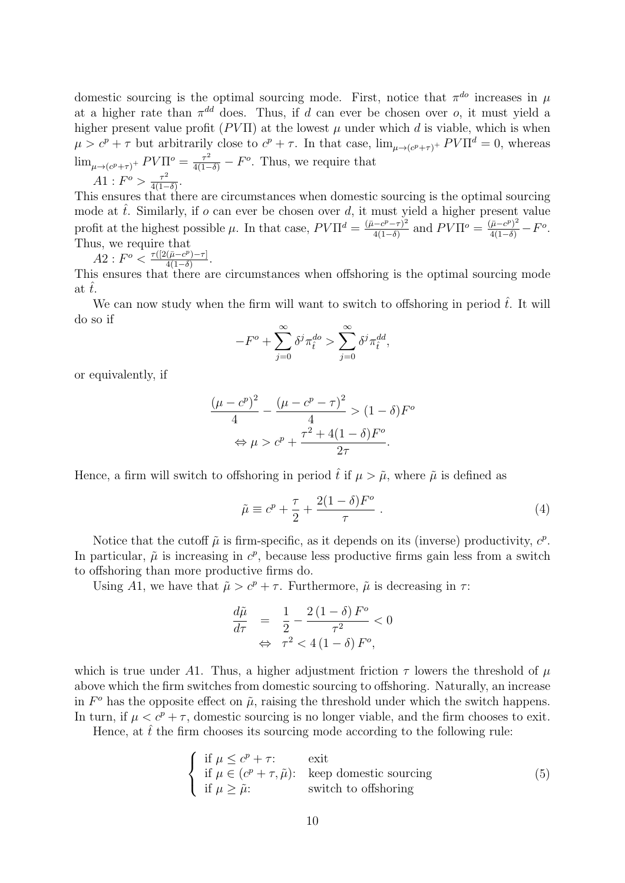domestic sourcing is the optimal sourcing mode. First, notice that  $\pi^{do}$  increases in  $\mu$ at a higher rate than  $\pi^{dd}$  does. Thus, if d can ever be chosen over o, it must yield a higher present value profit ( $PV\Pi$ ) at the lowest  $\mu$  under which d is viable, which is when  $\mu > c^p + \tau$  but arbitrarily close to  $c^p + \tau$ . In that case,  $\lim_{\mu \to (c^p + \tau)^+} PV\Pi^d = 0$ , whereas  $\lim_{\mu \to (c^p + \tau)^+} PV\Pi^o = \frac{\tau^2}{4(1-\delta)} - F^o$ . Thus, we require that  $A1: F^{\circ} > \frac{\tau^2}{4(1-\tau^2)}$  $\frac{\tau^2}{4(1-\delta)}$ .

This ensures that there are circumstances when domestic sourcing is the optimal sourcing mode at  $\hat{t}$ . Similarly, if  $o$  can ever be chosen over  $d$ , it must yield a higher present value profit at the highest possible  $\mu$ . In that case,  $PV\Pi^d = \frac{(\bar{\mu} - c^p - \tau)^2}{4(1-\delta)}$  $\frac{(-c^p-\tau)^2}{4(1-\delta)}$  and  $PV\Pi^o = \frac{(\bar{\mu}-c^p)^2}{4(1-\delta)} - F^o$ . Thus, we require that

$$
A2: F^o < \frac{\tau([2(\bar{\mu}-c^p)-\tau])}{4(1-\delta)}.
$$

This ensures that there are circumstances when offshoring is the optimal sourcing mode at  $\tilde{t}$ .

We can now study when the firm will want to switch to offshoring in period  $\hat{t}$ . It will do so if

$$
-F^{o} + \sum_{j=0}^{\infty} \delta^{j} \pi_{\hat{t}}^{do} > \sum_{j=0}^{\infty} \delta^{j} \pi_{\hat{t}}^{dd},
$$

or equivalently, if

$$
\frac{(\mu - c^p)^2}{4} - \frac{(\mu - c^p - \tau)^2}{4} > (1 - \delta)F^o
$$

$$
\Leftrightarrow \mu > c^p + \frac{\tau^2 + 4(1 - \delta)F^o}{2\tau}.
$$

Hence, a firm will switch to offshoring in period  $\hat{t}$  if  $\mu > \tilde{\mu}$ , where  $\tilde{\mu}$  is defined as

<span id="page-9-1"></span>
$$
\tilde{\mu} \equiv c^p + \frac{\tau}{2} + \frac{2(1-\delta)F^o}{\tau} \ . \tag{4}
$$

Notice that the cutoff  $\tilde{\mu}$  is firm-specific, as it depends on its (inverse) productivity,  $c^p$ . In particular,  $\tilde{\mu}$  is increasing in  $c^p$ , because less productive firms gain less from a switch to offshoring than more productive firms do.

Using A1, we have that  $\tilde{\mu} > c^p + \tau$ . Furthermore,  $\tilde{\mu}$  is decreasing in  $\tau$ .

$$
\frac{d\tilde{\mu}}{d\tau} = \frac{1}{2} - \frac{2(1-\delta)F^o}{\tau^2} < 0
$$
\n
$$
\Leftrightarrow \tau^2 < 4(1-\delta)F^o,
$$

which is true under A1. Thus, a higher adjustment friction  $\tau$  lowers the threshold of  $\mu$ above which the firm switches from domestic sourcing to offshoring. Naturally, an increase in  $F^{\circ}$  has the opposite effect on  $\tilde{\mu}$ , raising the threshold under which the switch happens. In turn, if  $\mu < c^p + \tau$ , domestic sourcing is no longer viable, and the firm chooses to exit.

Hence, at  $\hat{t}$  the firm chooses its sourcing mode according to the following rule:

<span id="page-9-0"></span>
$$
\begin{cases}\n\text{if } \mu \leq c^p + \tau: \\
\text{if } \mu \in (c^p + \tau, \tilde{\mu}): \\
\text{if } \mu \geq \tilde{\mu}: \\
\text{with to offspring}\n\end{cases} \tag{5}
$$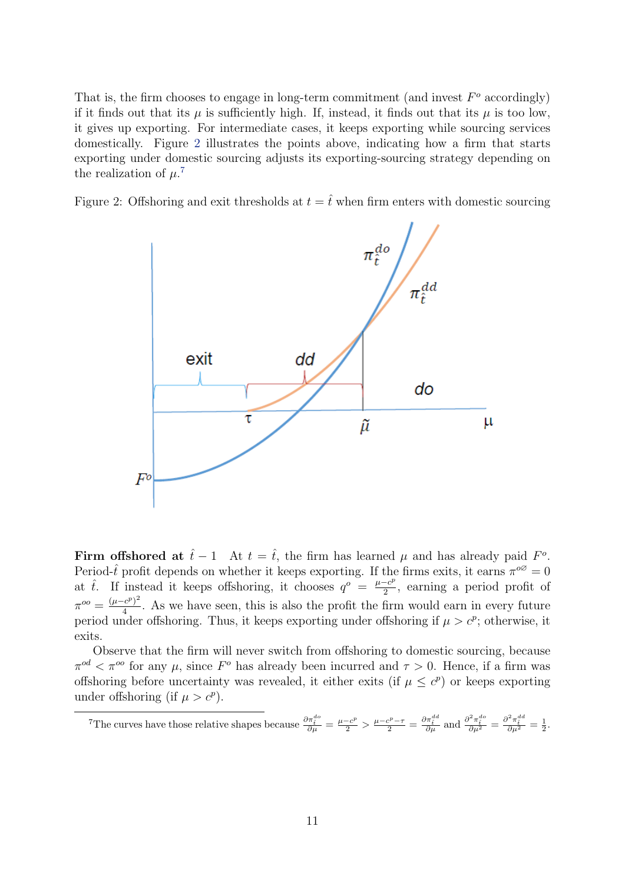That is, the firm chooses to engage in long-term commitment (and invest  $F<sup>o</sup>$  accordingly) if it finds out that its  $\mu$  is sufficiently high. If, instead, it finds out that its  $\mu$  is too low, it gives up exporting. For intermediate cases, it keeps exporting while sourcing services domestically. Figure [2](#page-10-0) illustrates the points above, indicating how a firm that starts exporting under domestic sourcing adjusts its exporting-sourcing strategy depending on the realization of  $\mu$ .<sup>[7](#page-10-1)</sup>

<span id="page-10-0"></span>Figure 2: Offshoring and exit thresholds at  $t = \hat{t}$  when firm enters with domestic sourcing



Firm offshored at  $\hat{t} - 1$  At  $t = \hat{t}$ , the firm has learned  $\mu$  and has already paid  $F^o$ . Period- $\hat{t}$  profit depends on whether it keeps exporting. If the firms exits, it earns  $\pi^{\circ\circ} = 0$ at  $\hat{t}$ . If instead it keeps offshoring, it chooses  $q^o = \frac{\mu - c^p}{2}$  $\frac{-c^{\rho}}{2}$ , earning a period profit of  $\pi^{oo} = \frac{(\mu - c^p)^2}{4}$  $\frac{c^{e}}{4}$ . As we have seen, this is also the profit the firm would earn in every future period under offshoring. Thus, it keeps exporting under offshoring if  $\mu > c^p$ ; otherwise, it exits.

Observe that the firm will never switch from offshoring to domestic sourcing, because  $\pi^{od} < \pi^{oo}$  for any  $\mu$ , since  $F^o$  has already been incurred and  $\tau > 0$ . Hence, if a firm was offshoring before uncertainty was revealed, it either exits (if  $\mu \leq c^p$ ) or keeps exporting under offshoring (if  $\mu > c^p$ ).

<span id="page-10-1"></span><sup>7</sup>The curves have those relative shapes because  $\frac{\partial \pi_i^{d_o}}{\partial \mu} = \frac{\mu - c^p}{2} > \frac{\mu - c^p - \tau}{2} = \frac{\partial \pi_i^{d_d}}{\partial \mu}$  and  $\frac{\partial^2 \pi_i^{d_o}}{\partial \mu^2} = \frac{\partial^2 \pi_i^{d_d}}{\partial \mu^2} = \frac{1}{2}$ .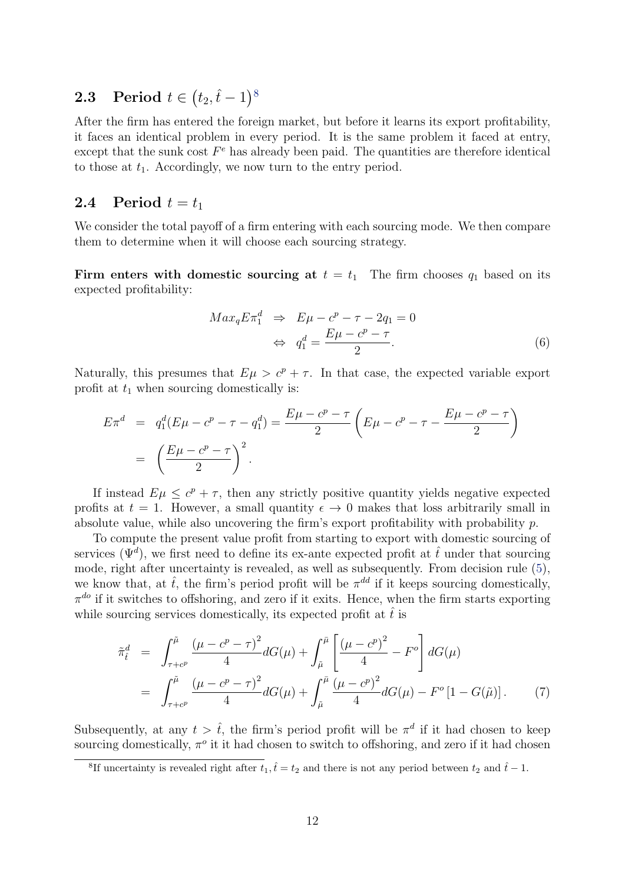# $\textbf{2.3} \quad \textbf{Period} \, \, t \in \big(t_2, \hat{t} - 1\big)^8$  $\textbf{2.3} \quad \textbf{Period} \, \, t \in \big(t_2, \hat{t} - 1\big)^8$

After the firm has entered the foreign market, but before it learns its export profitability, it faces an identical problem in every period. It is the same problem it faced at entry, except that the sunk cost  $F^e$  has already been paid. The quantities are therefore identical to those at  $t_1$ . Accordingly, we now turn to the entry period.

### 2.4 Period  $t = t_1$

We consider the total payoff of a firm entering with each sourcing mode. We then compare them to determine when it will choose each sourcing strategy.

Firm enters with domestic sourcing at  $t = t_1$ . The firm chooses  $q_1$  based on its expected profitability:

<span id="page-11-2"></span>
$$
Max_q E \pi_1^d \Rightarrow E\mu - c^p - \tau - 2q_1 = 0
$$
  

$$
\Leftrightarrow q_1^d = \frac{E\mu - c^p - \tau}{2}.
$$
 (6)

Naturally, this presumes that  $E\mu > c^p + \tau$ . In that case, the expected variable export profit at  $t_1$  when sourcing domestically is:

$$
E\pi^{d} = q_{1}^{d}(E\mu - c^{p} - \tau - q_{1}^{d}) = \frac{E\mu - c^{p} - \tau}{2} \left(E\mu - c^{p} - \tau - \frac{E\mu - c^{p} - \tau}{2}\right)
$$

$$
= \left(\frac{E\mu - c^{p} - \tau}{2}\right)^{2}.
$$

If instead  $E\mu \leq c^p + \tau$ , then any strictly positive quantity yields negative expected profits at  $t = 1$ . However, a small quantity  $\epsilon \to 0$  makes that loss arbitrarily small in absolute value, while also uncovering the firm's export profitability with probability  $p$ .

To compute the present value profit from starting to export with domestic sourcing of services  $(\Psi^d)$ , we first need to define its ex-ante expected profit at  $\hat{t}$  under that sourcing mode, right after uncertainty is revealed, as well as subsequently. From decision rule [\(5\)](#page-9-0), we know that, at  $\hat{t}$ , the firm's period profit will be  $\pi^{dd}$  if it keeps sourcing domestically,  $\pi^{do}$  if it switches to offshoring, and zero if it exits. Hence, when the firm starts exporting while sourcing services domestically, its expected profit at  $\hat{t}$  is

<span id="page-11-1"></span>
$$
\tilde{\pi}_{\hat{t}}^{d} = \int_{\tau+c^{p}}^{\tilde{\mu}} \frac{(\mu-c^{p}-\tau)^{2}}{4} dG(\mu) + \int_{\tilde{\mu}}^{\tilde{\mu}} \left[ \frac{(\mu-c^{p})^{2}}{4} - F^{o} \right] dG(\mu)
$$
\n
$$
= \int_{\tau+c^{p}}^{\tilde{\mu}} \frac{(\mu-c^{p}-\tau)^{2}}{4} dG(\mu) + \int_{\tilde{\mu}}^{\tilde{\mu}} \frac{(\mu-c^{p})^{2}}{4} dG(\mu) - F^{o}[1-G(\tilde{\mu})]. \tag{7}
$$

Subsequently, at any  $t > \hat{t}$ , the firm's period profit will be  $\pi^d$  if it had chosen to keep sourcing domestically,  $\pi^o$  it it had chosen to switch to offshoring, and zero if it had chosen

<span id="page-11-0"></span><sup>&</sup>lt;sup>8</sup>If uncertainty is revealed right after  $t_1, \hat{t} = t_2$  and there is not any period between  $t_2$  and  $\hat{t} - 1$ .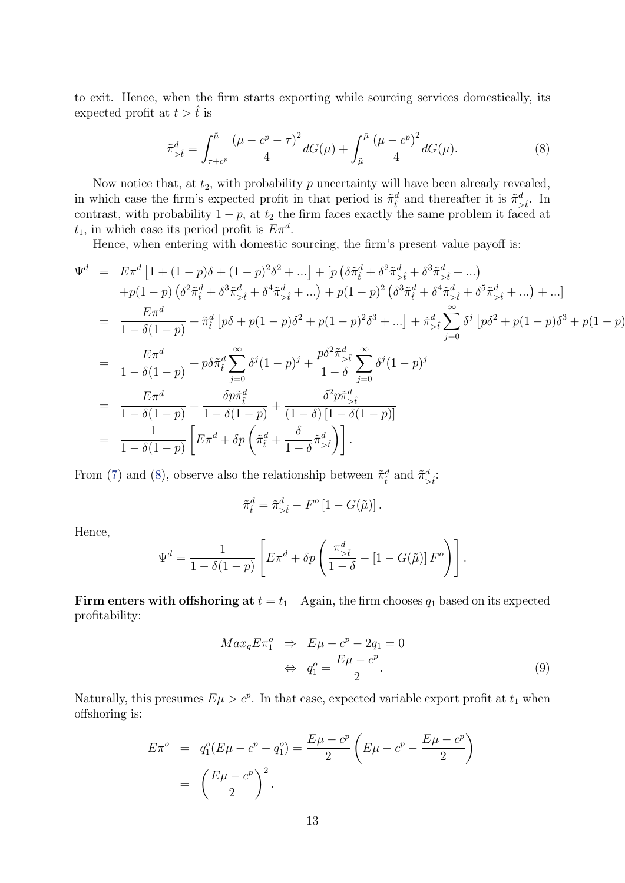to exit. Hence, when the firm starts exporting while sourcing services domestically, its expected profit at  $t > \hat{t}$  is

<span id="page-12-0"></span>
$$
\tilde{\pi}_{> \hat{t}}^d = \int_{\tau + c^p}^{\tilde{\mu}} \frac{\left(\mu - c^p - \tau\right)^2}{4} dG(\mu) + \int_{\tilde{\mu}}^{\bar{\mu}} \frac{\left(\mu - c^p\right)^2}{4} dG(\mu). \tag{8}
$$

Now notice that, at  $t_2$ , with probability  $p$  uncertainty will have been already revealed, in which case the firm's expected profit in that period is  $\tilde{\pi}_{\hat{t}}^d$  and thereafter it is  $\tilde{\pi}_{>\hat{t}}^d$ . In contrast, with probability  $1 - p$ , at  $t_2$  the firm faces exactly the same problem it faced at  $t_1$ , in which case its period profit is  $E\pi^d$ .

Hence, when entering with domestic sourcing, the firm's present value payoff is:

$$
\Psi^{d} = E\pi^{d} \left[ 1 + (1-p)\delta + (1-p)^{2}\delta^{2} + ... \right] + \left[ p \left( \delta \tilde{\pi}_{t}^{d} + \delta^{2} \tilde{\pi}_{>t}^{d} + \delta^{3} \tilde{\pi}_{>t}^{d} + ... \right) \n+ p(1-p) \left( \delta^{2} \tilde{\pi}_{t}^{d} + \delta^{3} \tilde{\pi}_{>t}^{d} + \delta^{4} \tilde{\pi}_{>t}^{d} + ... \right) + p(1-p)^{2} \left( \delta^{3} \tilde{\pi}_{t}^{d} + \delta^{4} \tilde{\pi}_{>t}^{d} + \delta^{5} \tilde{\pi}_{>t}^{d} + ... \right) + ... \right] \n= \frac{E\pi^{d}}{1 - \delta(1-p)} + \tilde{\pi}_{t}^{d} \left[ p\delta + p(1-p)\delta^{2} + p(1-p)^{2}\delta^{3} + ... \right] + \tilde{\pi}_{>t}^{d} \sum_{j=0}^{\infty} \delta^{j} \left[ p\delta^{2} + p(1-p)\delta^{3} + p(1-p) \right] \n= \frac{E\pi^{d}}{1 - \delta(1-p)} + p\delta \tilde{\pi}_{t}^{d} \sum_{j=0}^{\infty} \delta^{j} (1-p)^{j} + \frac{p\delta^{2} \tilde{\pi}_{>t}^{d}}{1 - \delta} \sum_{j=0}^{\infty} \delta^{j} (1-p)^{j} \n= \frac{E\pi^{d}}{1 - \delta(1-p)} + \frac{\delta p \tilde{\pi}_{t}^{d}}{1 - \delta(1-p)} + \frac{\delta^{2} p \tilde{\pi}_{>t}^{d}}{(1 - \delta) \left[ 1 - \delta(1-p) \right]} \n= \frac{1}{1 - \delta(1-p)} \left[ E\pi^{d} + \delta p \left( \tilde{\pi}_{t}^{d} + \frac{\delta}{1 - \delta} \tilde{\pi}_{>t}^{d} \right) \right].
$$

From [\(7\)](#page-11-1) and [\(8\)](#page-12-0), observe also the relationship between  $\tilde{\pi}_{\hat{t}}^d$  and  $\tilde{\pi}_{> \hat{t}}^d$ .

$$
\tilde{\pi}^d_{\hat{t}} = \tilde{\pi}^d_{>\hat{t}} - F^o \left[ 1 - G(\tilde{\mu}) \right].
$$

Hence,

$$
\Psi^d = \frac{1}{1 - \delta(1 - p)} \left[ E \pi^d + \delta p \left( \frac{\pi_{>f}^d}{1 - \delta} - [1 - G(\tilde{\mu})] F^o \right) \right].
$$

Firm enters with offshoring at  $t = t_1$  Again, the firm chooses  $q_1$  based on its expected profitability:

<span id="page-12-1"></span>
$$
Max_q E \pi_1^o \Rightarrow E\mu - c^p - 2q_1 = 0
$$
  

$$
\Leftrightarrow q_1^o = \frac{E\mu - c^p}{2}.
$$
 (9)

Naturally, this presumes  $E\mu > c^p$ . In that case, expected variable export profit at  $t_1$  when offshoring is:

$$
E\pi^o = q_1^o(E\mu - c^p - q_1^o) = \frac{E\mu - c^p}{2} \left(E\mu - c^p - \frac{E\mu - c^p}{2}\right)
$$

$$
= \left(\frac{E\mu - c^p}{2}\right)^2.
$$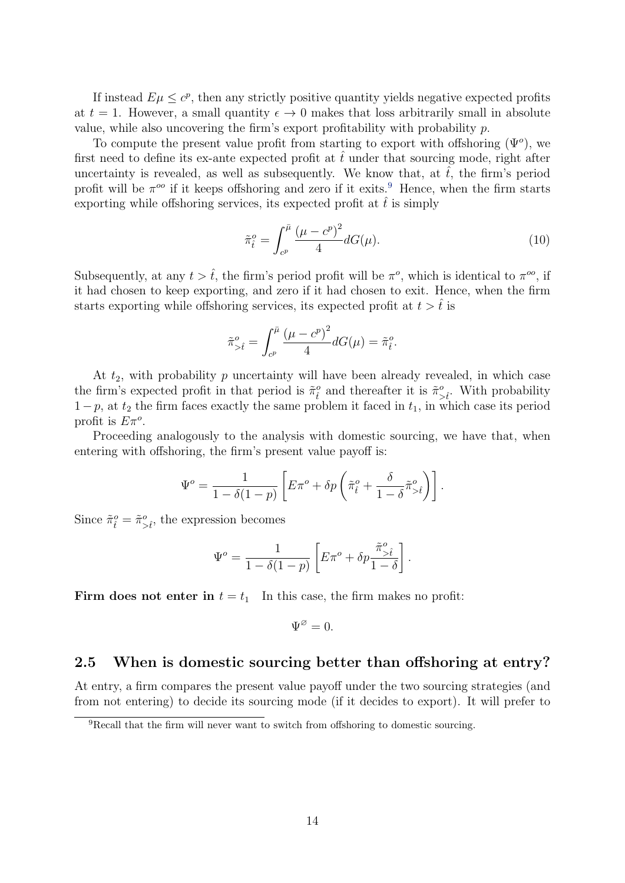If instead  $E\mu \leq c^p$ , then any strictly positive quantity yields negative expected profits at  $t = 1$ . However, a small quantity  $\epsilon \to 0$  makes that loss arbitrarily small in absolute value, while also uncovering the firm's export profitability with probability  $p$ .

To compute the present value profit from starting to export with offshoring  $(\Psi^o)$ , we first need to define its ex-ante expected profit at  $\hat{t}$  under that sourcing mode, right after uncertainty is revealed, as well as subsequently. We know that, at  $\hat{t}$ , the firm's period profit will be  $\pi^{\circ\circ}$  if it keeps offshoring and zero if it exits.<sup>[9](#page-13-0)</sup> Hence, when the firm starts exporting while offshoring services, its expected profit at  $\hat{t}$  is simply

$$
\tilde{\pi}_{\hat{t}}^o = \int_{c^p}^{\bar{\mu}} \frac{(\mu - c^p)^2}{4} dG(\mu).
$$
\n(10)

Subsequently, at any  $t > \hat{t}$ , the firm's period profit will be  $\pi^o$ , which is identical to  $\pi^{oo}$ , if it had chosen to keep exporting, and zero if it had chosen to exit. Hence, when the firm starts exporting while offshoring services, its expected profit at  $t > \hat{t}$  is

$$
\tilde{\pi}_{>\hat{t}}^o=\int_{c^p}^{\bar{\mu}}\frac{\left(\mu-c^p\right)^2}{4}dG(\mu)=\tilde{\pi}_{\hat{t}}^o.
$$

At  $t_2$ , with probability  $p$  uncertainty will have been already revealed, in which case the firm's expected profit in that period is  $\tilde{\pi}_{\hat{t}}^o$  and thereafter it is  $\tilde{\pi}_{>\hat{t}}^o$ . With probability  $1-p$ , at  $t_2$  the firm faces exactly the same problem it faced in  $t_1$ , in which case its period profit is  $E\pi^o$ .

Proceeding analogously to the analysis with domestic sourcing, we have that, when entering with offshoring, the firm's present value payoff is:

$$
\Psi^o = \frac{1}{1 - \delta(1 - p)} \left[ E\pi^o + \delta p \left( \tilde{\pi}_{\hat{t}}^o + \frac{\delta}{1 - \delta} \tilde{\pi}_{> \hat{t}}^o \right) \right].
$$

Since  $\tilde{\pi}_{\hat{t}}^o = \tilde{\pi}_{>\hat{t}}^o$ , the expression becomes

$$
\Psi^o = \frac{1}{1 - \delta(1 - p)} \left[ E\pi^o + \delta p \frac{\tilde{\pi}^o_{>\hat{t}}}{1 - \delta} \right].
$$

Firm does not enter in  $t = t_1$  In this case, the firm makes no profit:

$$
\Psi^{\varnothing}=0.
$$

#### 2.5 When is domestic sourcing better than offshoring at entry?

At entry, a firm compares the present value payoff under the two sourcing strategies (and from not entering) to decide its sourcing mode (if it decides to export). It will prefer to

<span id="page-13-0"></span><sup>9</sup>Recall that the firm will never want to switch from offshoring to domestic sourcing.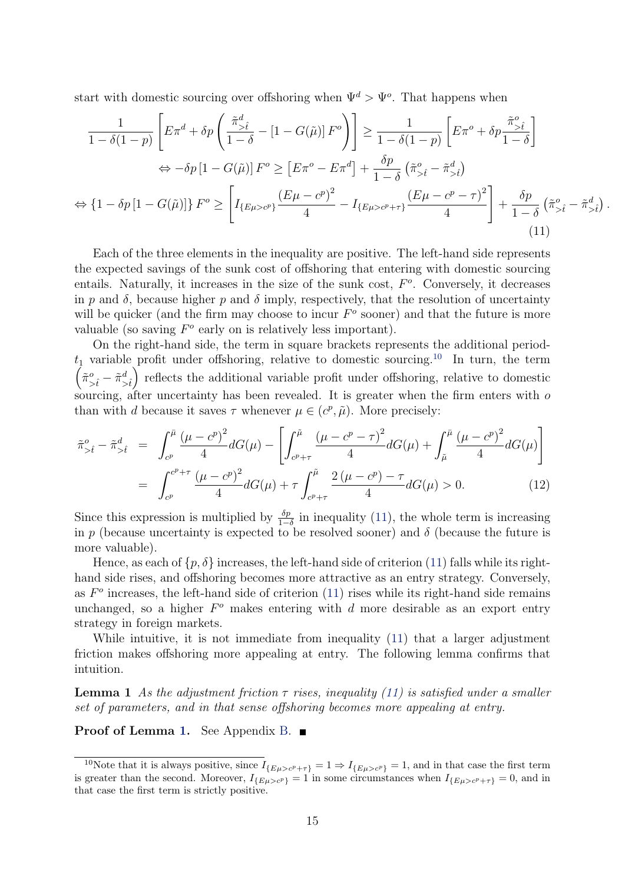start with domestic sourcing over offshoring when  $\Psi^d > \Psi^o$ . That happens when

$$
\frac{1}{1-\delta(1-p)} \left[ E\pi^d + \delta p \left( \frac{\tilde{\pi}_{>\hat{t}}^d}{1-\delta} - \left[1 - G(\tilde{\mu})\right] F^o \right) \right] \ge \frac{1}{1-\delta(1-p)} \left[ E\pi^o + \delta p \frac{\tilde{\pi}_{>\hat{t}}^o}{1-\delta} \right]
$$
  
\n
$$
\Leftrightarrow -\delta p \left[1 - G(\tilde{\mu})\right] F^o \ge \left[ E\pi^o - E\pi^d \right] + \frac{\delta p}{1-\delta} \left( \tilde{\pi}_{>\hat{t}}^o - \tilde{\pi}_{>\hat{t}}^d \right)
$$
  
\n
$$
\Leftrightarrow \left\{1 - \delta p \left[1 - G(\tilde{\mu})\right] \right\} F^o \ge \left[ I_{\{E\mu > c^p\}} \frac{\left( E\mu - c^p \right)^2}{4} - I_{\{E\mu > c^p + \tau\}} \frac{\left( E\mu - c^p - \tau \right)^2}{4} \right] + \frac{\delta p}{1-\delta} \left( \tilde{\pi}_{>\hat{t}}^o - \tilde{\pi}_{>\hat{t}}^d \right). \tag{11}
$$

<span id="page-14-1"></span>Each of the three elements in the inequality are positive. The left-hand side represents the expected savings of the sunk cost of offshoring that entering with domestic sourcing entails. Naturally, it increases in the size of the sunk cost,  $F<sup>o</sup>$ . Conversely, it decreases in p and  $\delta$ , because higher p and  $\delta$  imply, respectively, that the resolution of uncertainty will be quicker (and the firm may choose to incur  $F<sup>o</sup>$  sooner) and that the future is more valuable (so saving  $F^o$  early on is relatively less important).

On the right-hand side, the term in square brackets represents the additional period  $t_1$  variable profit under offshoring, relative to domestic sourcing.<sup>[10](#page-14-0)</sup> In turn, the term  $\left(\tilde{\pi}_{>\hat{t}}^o - \tilde{\pi}_{>\hat{t}}^d\right)$ ) reflects the additional variable profit under offshoring, relative to domestic sourcing, after uncertainty has been revealed. It is greater when the firm enters with  $\sigma$ than with d because it saves  $\tau$  whenever  $\mu \in (c^p, \tilde{\mu})$ . More precisely:

<span id="page-14-3"></span>
$$
\tilde{\pi}_{\geq \hat{t}}^{o} - \tilde{\pi}_{\geq \hat{t}}^{d} = \int_{c^{p}}^{\bar{\mu}} \frac{(\mu - c^{p})^{2}}{4} dG(\mu) - \left[ \int_{c^{p} + \tau}^{\tilde{\mu}} \frac{(\mu - c^{p} - \tau)^{2}}{4} dG(\mu) + \int_{\tilde{\mu}}^{\bar{\mu}} \frac{(\mu - c^{p})^{2}}{4} dG(\mu) \right]
$$
\n
$$
= \int_{c^{p}}^{c^{p} + \tau} \frac{(\mu - c^{p})^{2}}{4} dG(\mu) + \tau \int_{c^{p} + \tau}^{\tilde{\mu}} \frac{2(\mu - c^{p}) - \tau}{4} dG(\mu) > 0. \tag{12}
$$

Since this expression is multiplied by  $\frac{\delta p}{1-\delta}$  in inequality [\(11\)](#page-14-1), the whole term is increasing in  $p$  (because uncertainty is expected to be resolved sooner) and  $\delta$  (because the future is more valuable).

Hence, as each of  $\{p, \delta\}$  increases, the left-hand side of criterion [\(11\)](#page-14-1) falls while its righthand side rises, and offshoring becomes more attractive as an entry strategy. Conversely, as  $F<sup>o</sup>$  increases, the left-hand side of criterion [\(11\)](#page-14-1) rises while its right-hand side remains unchanged, so a higher  $F^o$  makes entering with  $d$  more desirable as an export entry strategy in foreign markets.

While intuitive, it is not immediate from inequality [\(11\)](#page-14-1) that a larger adjustment friction makes offshoring more appealing at entry. The following lemma confirms that intuition.

<span id="page-14-2"></span>**Lemma 1** As the adjustment friction  $\tau$  rises, inequality [\(11\)](#page-14-1) is satisfied under a smaller set of parameters, and in that sense offshoring becomes more appealing at entry.

**Proof of Lemma [1.](#page-14-2)** See Appendix [B.](#page-46-0) ■

<span id="page-14-0"></span><sup>&</sup>lt;sup>10</sup>Note that it is always positive, since  $I_{\{E\mu > c^p + \tau\}} = 1 \Rightarrow I_{\{E\mu > c^p\}} = 1$ , and in that case the first term is greater than the second. Moreover,  $I_{\{E\mu > c^p\}} = 1$  in some circumstances when  $I_{\{E\mu > c^p + \tau\}} = 0$ , and in that case the first term is strictly positive.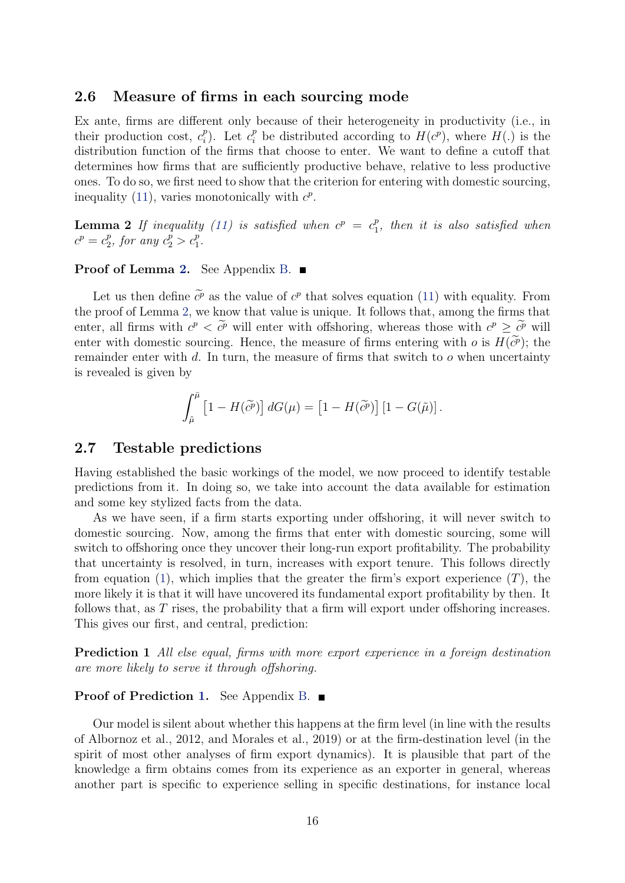#### 2.6 Measure of firms in each sourcing mode

Ex ante, firms are different only because of their heterogeneity in productivity (i.e., in their production cost,  $c_i^p$ <sup>p</sup><sub>i</sub>). Let  $c_i^p$  be distributed according to  $H(c^p)$ , where  $H(.)$  is the distribution function of the firms that choose to enter. We want to define a cutoff that determines how firms that are sufficiently productive behave, relative to less productive ones. To do so, we first need to show that the criterion for entering with domestic sourcing, inequality [\(11\)](#page-14-1), varies monotonically with  $c^p$ .

<span id="page-15-0"></span>**Lemma 2** If inequality [\(11\)](#page-14-1) is satisfied when  $c^p = c_1^p$  $_{1}^{p}$ , then it is also satisfied when  $c^{p} = c_2^{p}$  $_{2}^{p}$ , for any  $c_{2}^{p} > c_{1}^{p}$ .

#### **Proof of Lemma [2.](#page-15-0)** See Appendix [B.](#page-46-0) ■

Let us then define  $\tilde{c}^p$  as the value of  $c^p$  that solves equation [\(11\)](#page-14-1) with equality. From the proof of Lemma [2,](#page-15-0) we know that value is unique. It follows that, among the firms that enter, all firms with  $c^p \leq \tilde{c}^p$  will enter with offshoring, whereas those with  $c^p \geq \tilde{c}^p$  will enter with domestic sourcing. Hence, the measure of firms entering with  $o$  is  $H(c^p)$ ; the remainder enter with  $d$ . In turn, the measure of firms that switch to  $o$  when uncertainty is revealed is given by

$$
\int_{\tilde{\mu}}^{\bar{\mu}} \left[1 - H(\tilde{c}^{\tilde{p}})\right] dG(\mu) = \left[1 - H(\tilde{c}^{\tilde{p}})\right] \left[1 - G(\tilde{\mu})\right].
$$

### 2.7 Testable predictions

Having established the basic workings of the model, we now proceed to identify testable predictions from it. In doing so, we take into account the data available for estimation and some key stylized facts from the data.

As we have seen, if a firm starts exporting under offshoring, it will never switch to domestic sourcing. Now, among the firms that enter with domestic sourcing, some will switch to offshoring once they uncover their long-run export profitability. The probability that uncertainty is resolved, in turn, increases with export tenure. This follows directly from equation [\(1\)](#page-7-1), which implies that the greater the firm's export experience  $(T)$ , the more likely it is that it will have uncovered its fundamental export profitability by then. It follows that, as  $T$  rises, the probability that a firm will export under offshoring increases. This gives our first, and central, prediction:

<span id="page-15-1"></span>Prediction 1 All else equal, firms with more export experience in a foreign destination are more likely to serve it through offshoring.

#### Proof of Prediction [1.](#page-15-1) See Appendix [B.](#page-46-0) ■

Our model is silent about whether this happens at the firm level (in line with the results of Albornoz et al., 2012, and Morales et al., 2019) or at the firm-destination level (in the spirit of most other analyses of firm export dynamics). It is plausible that part of the knowledge a firm obtains comes from its experience as an exporter in general, whereas another part is specific to experience selling in specific destinations, for instance local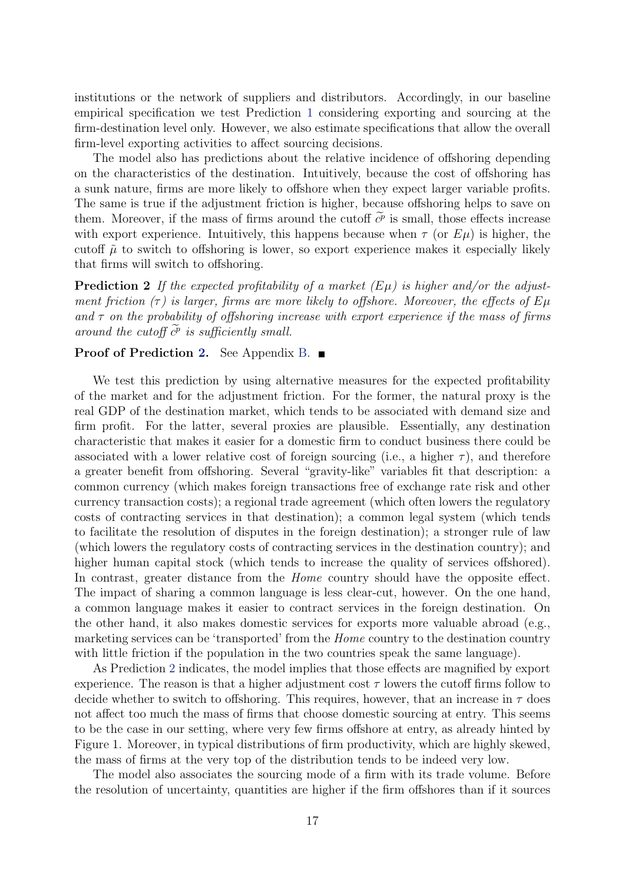institutions or the network of suppliers and distributors. Accordingly, in our baseline empirical specification we test Prediction [1](#page-15-1) considering exporting and sourcing at the firm-destination level only. However, we also estimate specifications that allow the overall firm-level exporting activities to affect sourcing decisions.

The model also has predictions about the relative incidence of offshoring depending on the characteristics of the destination. Intuitively, because the cost of offshoring has a sunk nature, firms are more likely to offshore when they expect larger variable profits. The same is true if the adjustment friction is higher, because offshoring helps to save on them. Moreover, if the mass of firms around the cutoff  $\tilde{c}^p$  is small, those effects increase with export experience. Intuitively, this happens because when  $\tau$  (or  $E\mu$ ) is higher, the cutoff  $\tilde{\mu}$  to switch to offshoring is lower, so export experience makes it especially likely that firms will switch to offshoring.

<span id="page-16-0"></span>**Prediction 2** If the expected profitability of a market  $(E\mu)$  is higher and/or the adjustment friction  $(\tau)$  is larger, firms are more likely to offshore. Moreover, the effects of  $E\mu$ and  $\tau$  on the probability of offshoring increase with export experience if the mass of firms around the cutoff  $\tilde{c}^p$  is sufficiently small.

#### Proof of Prediction [2.](#page-16-0) See Appendix [B.](#page-46-0) ■

We test this prediction by using alternative measures for the expected profitability of the market and for the adjustment friction. For the former, the natural proxy is the real GDP of the destination market, which tends to be associated with demand size and firm profit. For the latter, several proxies are plausible. Essentially, any destination characteristic that makes it easier for a domestic firm to conduct business there could be associated with a lower relative cost of foreign sourcing (i.e., a higher  $\tau$ ), and therefore a greater benefit from offshoring. Several "gravity-like" variables fit that description: a common currency (which makes foreign transactions free of exchange rate risk and other currency transaction costs); a regional trade agreement (which often lowers the regulatory costs of contracting services in that destination); a common legal system (which tends to facilitate the resolution of disputes in the foreign destination); a stronger rule of law (which lowers the regulatory costs of contracting services in the destination country); and higher human capital stock (which tends to increase the quality of services offshored). In contrast, greater distance from the *Home* country should have the opposite effect. The impact of sharing a common language is less clear-cut, however. On the one hand, a common language makes it easier to contract services in the foreign destination. On the other hand, it also makes domestic services for exports more valuable abroad (e.g., marketing services can be 'transported' from the Home country to the destination country with little friction if the population in the two countries speak the same language).

As Prediction [2](#page-16-0) indicates, the model implies that those effects are magnified by export experience. The reason is that a higher adjustment cost  $\tau$  lowers the cutoff firms follow to decide whether to switch to offshoring. This requires, however, that an increase in  $\tau$  does not affect too much the mass of firms that choose domestic sourcing at entry. This seems to be the case in our setting, where very few firms offshore at entry, as already hinted by Figure 1. Moreover, in typical distributions of firm productivity, which are highly skewed, the mass of firms at the very top of the distribution tends to be indeed very low.

The model also associates the sourcing mode of a firm with its trade volume. Before the resolution of uncertainty, quantities are higher if the firm offshores than if it sources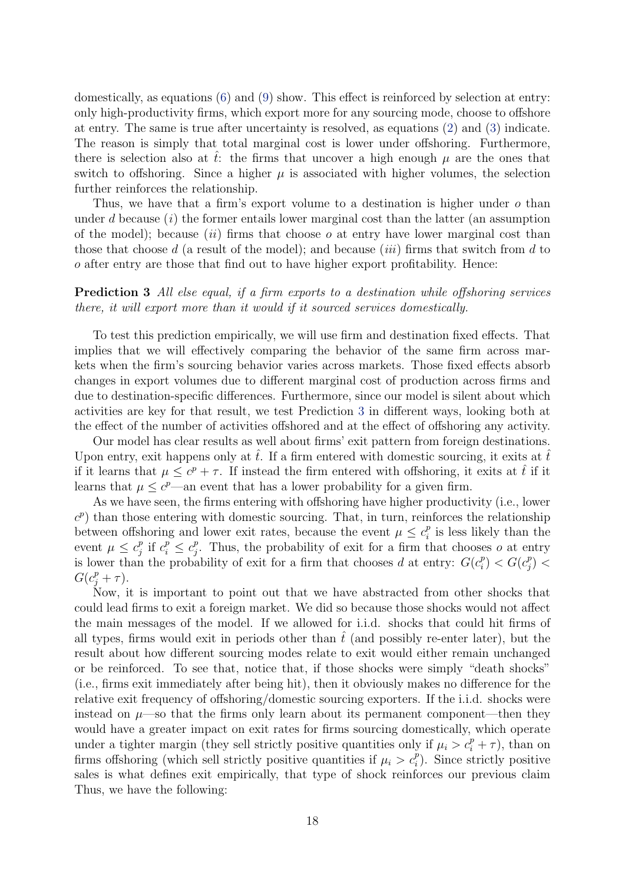domestically, as equations [\(6\)](#page-11-2) and [\(9\)](#page-12-1) show. This effect is reinforced by selection at entry: only high-productivity firms, which export more for any sourcing mode, choose to offshore at entry. The same is true after uncertainty is resolved, as equations [\(2\)](#page-8-0) and [\(3\)](#page-8-1) indicate. The reason is simply that total marginal cost is lower under offshoring. Furthermore, there is selection also at t: the firms that uncover a high enough  $\mu$  are the ones that switch to offshoring. Since a higher  $\mu$  is associated with higher volumes, the selection further reinforces the relationship.

Thus, we have that a firm's export volume to a destination is higher under  $\sigma$  than under  $d$  because  $(i)$  the former entails lower marginal cost than the latter (an assumption of the model); because *(ii)* firms that choose  $o$  at entry have lower marginal cost than those that choose  $d$  (a result of the model); and because *(iii)* firms that switch from  $d$  to  $\alpha$  after entry are those that find out to have higher export profitability. Hence:

### <span id="page-17-0"></span>Prediction 3 All else equal, if a firm exports to a destination while offshoring services there, it will export more than it would if it sourced services domestically.

To test this prediction empirically, we will use firm and destination fixed effects. That implies that we will effectively comparing the behavior of the same firm across markets when the firm's sourcing behavior varies across markets. Those fixed effects absorb changes in export volumes due to different marginal cost of production across firms and due to destination-specific differences. Furthermore, since our model is silent about which activities are key for that result, we test Prediction [3](#page-17-0) in different ways, looking both at the effect of the number of activities offshored and at the effect of offshoring any activity.

Our model has clear results as well about firms' exit pattern from foreign destinations. Upon entry, exit happens only at  $\hat{t}$ . If a firm entered with domestic sourcing, it exits at  $\hat{t}$ if it learns that  $\mu \leq c^p + \tau$ . If instead the firm entered with offshoring, it exits at  $\hat{t}$  if it learns that  $\mu \leq c^p$ —an event that has a lower probability for a given firm.

As we have seen, the firms entering with offshoring have higher productivity (i.e., lower  $(c^p)$  than those entering with domestic sourcing. That, in turn, reinforces the relationship between offshoring and lower exit rates, because the event  $\mu \leq c_i^p$  $i<sub>i</sub><sup>p</sup>$  is less likely than the event  $\mu \leq c_i^p$  $\int_j^p$  if  $c_i^p \leq c_j^p$  $P_j^p$ . Thus, the probability of exit for a firm that chooses *o* at entry is lower than the probability of exit for a firm that chooses d at entry:  $G(c_i^p)$  $C_i^p$ ) <  $G(c_j^p)$  $\binom{p}{j}$   $<$  $G(c_j^p + \tau).$ 

<span id="page-17-1"></span>Now, it is important to point out that we have abstracted from other shocks that could lead firms to exit a foreign market. We did so because those shocks would not affect the main messages of the model. If we allowed for i.i.d. shocks that could hit firms of all types, firms would exit in periods other than  $t$  (and possibly re-enter later), but the result about how different sourcing modes relate to exit would either remain unchanged or be reinforced. To see that, notice that, if those shocks were simply "death shocks" (i.e., firms exit immediately after being hit), then it obviously makes no difference for the relative exit frequency of offshoring/domestic sourcing exporters. If the i.i.d. shocks were instead on  $\mu$ —so that the firms only learn about its permanent component—then they would have a greater impact on exit rates for firms sourcing domestically, which operate under a tighter margin (they sell strictly positive quantities only if  $\mu_i > c_i^p + \tau$ ), than on firms offshoring (which sell strictly positive quantities if  $\mu_i > c_i^p$ ). Since strictly positive sales is what defines exit empirically, that type of shock reinforces our previous claim Thus, we have the following: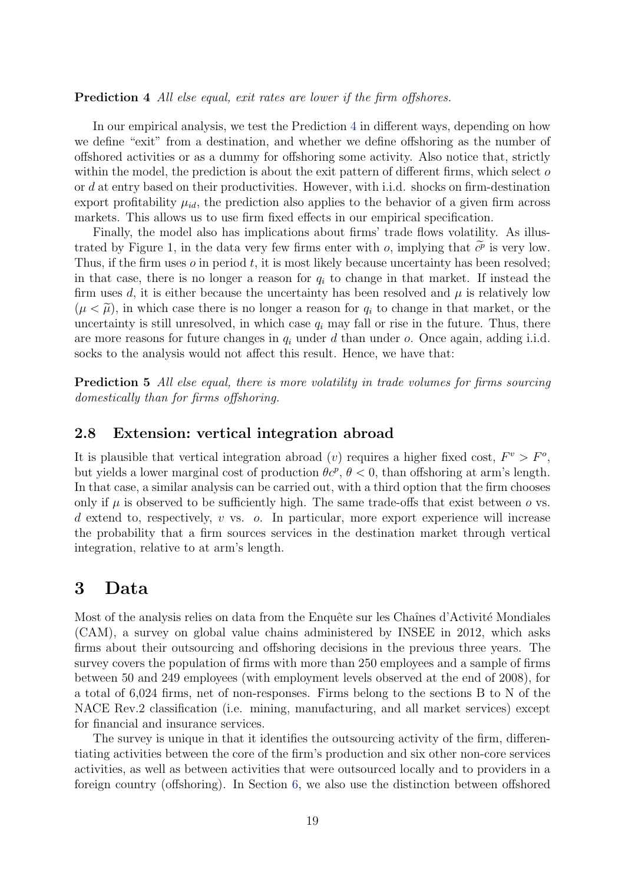Prediction 4 All else equal, exit rates are lower if the firm offshores.

In our empirical analysis, we test the Prediction [4](#page-17-1) in different ways, depending on how we define "exit" from a destination, and whether we define offshoring as the number of offshored activities or as a dummy for offshoring some activity. Also notice that, strictly within the model, the prediction is about the exit pattern of different firms, which select  $\sigma$ or  $d$  at entry based on their productivities. However, with i.i.d. shocks on firm-destination export profitability  $\mu_{id}$ , the prediction also applies to the behavior of a given firm across markets. This allows us to use firm fixed effects in our empirical specification.

Finally, the model also has implications about firms' trade flows volatility. As illustrated by Figure 1, in the data very few firms enter with  $o$ , implying that  $\tilde{c}^p$  is very low. Thus, if the firm uses  $\sigma$  in period  $t$ , it is most likely because uncertainty has been resolved; in that case, there is no longer a reason for  $q_i$  to change in that market. If instead the firm uses d, it is either because the uncertainty has been resolved and  $\mu$  is relatively low  $(\mu < \tilde{\mu})$ , in which case there is no longer a reason for  $q_i$  to change in that market, or the uncertainty is still unresolved, in which case  $q_i$  may fall or rise in the future. Thus, there are more reasons for future changes in  $q_i$  under d than under  $o$ . Once again, adding i.i.d. socks to the analysis would not affect this result. Hence, we have that:

Prediction 5 All else equal, there is more volatility in trade volumes for firms sourcing domestically than for firms offshoring.

#### 2.8 Extension: vertical integration abroad

It is plausible that vertical integration abroad (v) requires a higher fixed cost,  $F^v > F^o$ , but yields a lower marginal cost of production  $\theta c^p$ ,  $\theta < 0$ , than offshoring at arm's length. In that case, a similar analysis can be carried out, with a third option that the firm chooses only if  $\mu$  is observed to be sufficiently high. The same trade-offs that exist between  $\sigma$  vs.  $d$  extend to, respectively,  $v$  vs.  $o$ . In particular, more export experience will increase the probability that a firm sources services in the destination market through vertical integration, relative to at arm's length.

### <span id="page-18-0"></span>3 Data

Most of the analysis relies on data from the Enquête sur les Chaînes d'Activité Mondiales (CAM), a survey on global value chains administered by INSEE in 2012, which asks firms about their outsourcing and offshoring decisions in the previous three years. The survey covers the population of firms with more than 250 employees and a sample of firms between 50 and 249 employees (with employment levels observed at the end of 2008), for a total of 6,024 firms, net of non-responses. Firms belong to the sections B to N of the NACE Rev.2 classification (i.e. mining, manufacturing, and all market services) except for financial and insurance services.

The survey is unique in that it identifies the outsourcing activity of the firm, differentiating activities between the core of the firm's production and six other non-core services activities, as well as between activities that were outsourced locally and to providers in a foreign country (offshoring). In Section [6,](#page-35-0) we also use the distinction between offshored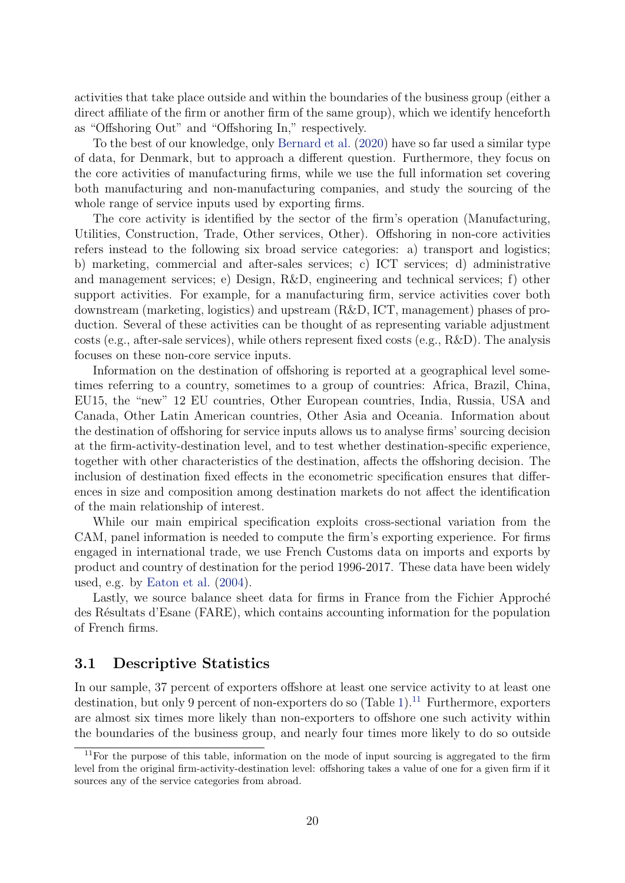<span id="page-19-1"></span>activities that take place outside and within the boundaries of the business group (either a direct affiliate of the firm or another firm of the same group), which we identify henceforth as "Offshoring Out" and "Offshoring In," respectively.

To the best of our knowledge, only [Bernard et al.](#page-38-11) [\(2020\)](#page-38-11) have so far used a similar type of data, for Denmark, but to approach a different question. Furthermore, they focus on the core activities of manufacturing firms, while we use the full information set covering both manufacturing and non-manufacturing companies, and study the sourcing of the whole range of service inputs used by exporting firms.

The core activity is identified by the sector of the firm's operation (Manufacturing, Utilities, Construction, Trade, Other services, Other). Offshoring in non-core activities refers instead to the following six broad service categories: a) transport and logistics; b) marketing, commercial and after-sales services; c) ICT services; d) administrative and management services; e) Design, R&D, engineering and technical services; f) other support activities. For example, for a manufacturing firm, service activities cover both downstream (marketing, logistics) and upstream (R&D, ICT, management) phases of production. Several of these activities can be thought of as representing variable adjustment costs (e.g., after-sale services), while others represent fixed costs (e.g., R&D). The analysis focuses on these non-core service inputs.

Information on the destination of offshoring is reported at a geographical level sometimes referring to a country, sometimes to a group of countries: Africa, Brazil, China, EU15, the "new" 12 EU countries, Other European countries, India, Russia, USA and Canada, Other Latin American countries, Other Asia and Oceania. Information about the destination of offshoring for service inputs allows us to analyse firms' sourcing decision at the firm-activity-destination level, and to test whether destination-specific experience, together with other characteristics of the destination, affects the offshoring decision. The inclusion of destination fixed effects in the econometric specification ensures that differences in size and composition among destination markets do not affect the identification of the main relationship of interest.

While our main empirical specification exploits cross-sectional variation from the CAM, panel information is needed to compute the firm's exporting experience. For firms engaged in international trade, we use French Customs data on imports and exports by product and country of destination for the period 1996-2017. These data have been widely used, e.g. by [Eaton et al.](#page-39-13) [\(2004\)](#page-39-13).

Lastly, we source balance sheet data for firms in France from the Fichier Approché des Résultats d'Esane (FARE), which contains accounting information for the population of French firms.

### 3.1 Descriptive Statistics

In our sample, 37 percent of exporters offshore at least one service activity to at least one destination, but only 9 percent of non-exporters do so  $(Table 1).<sup>11</sup>$  $(Table 1).<sup>11</sup>$  $(Table 1).<sup>11</sup>$  $(Table 1).<sup>11</sup>$  $(Table 1).<sup>11</sup>$  Furthermore, exporters are almost six times more likely than non-exporters to offshore one such activity within the boundaries of the business group, and nearly four times more likely to do so outside

<span id="page-19-0"></span><sup>&</sup>lt;sup>11</sup>For the purpose of this table, information on the mode of input sourcing is aggregated to the firm level from the original firm-activity-destination level: offshoring takes a value of one for a given firm if it sources any of the service categories from abroad.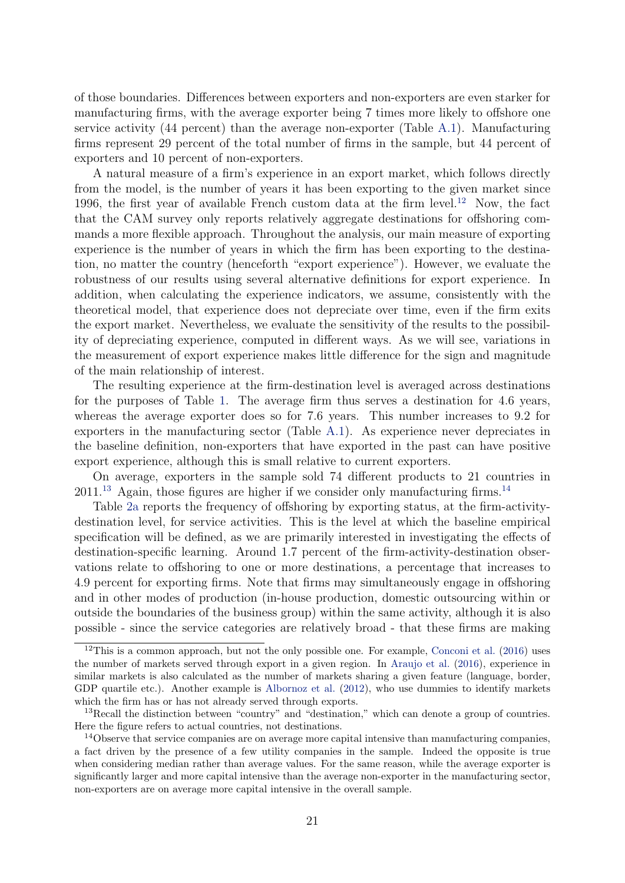<span id="page-20-3"></span>of those boundaries. Differences between exporters and non-exporters are even starker for manufacturing firms, with the average exporter being 7 times more likely to offshore one service activity (44 percent) than the average non-exporter (Table [A.1\)](#page-41-0). Manufacturing firms represent 29 percent of the total number of firms in the sample, but 44 percent of exporters and 10 percent of non-exporters.

A natural measure of a firm's experience in an export market, which follows directly from the model, is the number of years it has been exporting to the given market since 1996, the first year of available French custom data at the firm level.<sup>[12](#page-20-0)</sup> Now, the fact that the CAM survey only reports relatively aggregate destinations for offshoring commands a more flexible approach. Throughout the analysis, our main measure of exporting experience is the number of years in which the firm has been exporting to the destination, no matter the country (henceforth "export experience"). However, we evaluate the robustness of our results using several alternative definitions for export experience. In addition, when calculating the experience indicators, we assume, consistently with the theoretical model, that experience does not depreciate over time, even if the firm exits the export market. Nevertheless, we evaluate the sensitivity of the results to the possibility of depreciating experience, computed in different ways. As we will see, variations in the measurement of export experience makes little difference for the sign and magnitude of the main relationship of interest.

The resulting experience at the firm-destination level is averaged across destinations for the purposes of Table [1.](#page-21-0) The average firm thus serves a destination for 4.6 years, whereas the average exporter does so for 7.6 years. This number increases to 9.2 for exporters in the manufacturing sector (Table [A.1\)](#page-41-0). As experience never depreciates in the baseline definition, non-exporters that have exported in the past can have positive export experience, although this is small relative to current exporters.

On average, exporters in the sample sold 74 different products to 21 countries in  $2011^{13}$  $2011^{13}$  $2011^{13}$  Again, those figures are higher if we consider only manufacturing firms.<sup>[14](#page-20-2)</sup>

Table [2a](#page-22-1) reports the frequency of offshoring by exporting status, at the firm-activitydestination level, for service activities. This is the level at which the baseline empirical specification will be defined, as we are primarily interested in investigating the effects of destination-specific learning. Around 1.7 percent of the firm-activity-destination observations relate to offshoring to one or more destinations, a percentage that increases to 4.9 percent for exporting firms. Note that firms may simultaneously engage in offshoring and in other modes of production (in-house production, domestic outsourcing within or outside the boundaries of the business group) within the same activity, although it is also possible - since the service categories are relatively broad - that these firms are making

<span id="page-20-0"></span><sup>&</sup>lt;sup>12</sup>This is a common approach, but not the only possible one. For example, [Conconi et al.](#page-39-1)  $(2016)$  uses the number of markets served through export in a given region. In [Araujo et al.](#page-38-7) [\(2016\)](#page-38-7), experience in similar markets is also calculated as the number of markets sharing a given feature (language, border, GDP quartile etc.). Another example is [Albornoz et al.](#page-38-1) [\(2012\)](#page-38-1), who use dummies to identify markets which the firm has or has not already served through exports.

<span id="page-20-1"></span><sup>&</sup>lt;sup>13</sup>Recall the distinction between "country" and "destination," which can denote a group of countries. Here the figure refers to actual countries, not destinations.

<span id="page-20-2"></span><sup>&</sup>lt;sup>14</sup>Observe that service companies are on average more capital intensive than manufacturing companies, a fact driven by the presence of a few utility companies in the sample. Indeed the opposite is true when considering median rather than average values. For the same reason, while the average exporter is significantly larger and more capital intensive than the average non-exporter in the manufacturing sector, non-exporters are on average more capital intensive in the overall sample.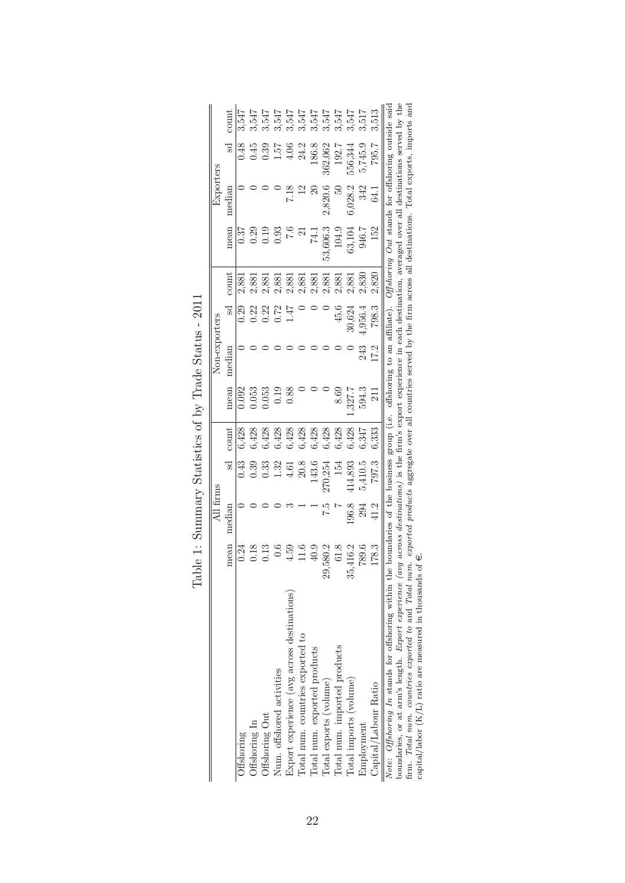<span id="page-21-0"></span>

|                                                                                                                                                                                                                                                |          | All firms |         |       |        | Non-exporters |         |           |                                                                                                                          | Exporters     |                    |       |
|------------------------------------------------------------------------------------------------------------------------------------------------------------------------------------------------------------------------------------------------|----------|-----------|---------|-------|--------|---------------|---------|-----------|--------------------------------------------------------------------------------------------------------------------------|---------------|--------------------|-------|
|                                                                                                                                                                                                                                                | mean     | median    | ್ದ      | count | nean   | median        | Sd      | count     | nean                                                                                                                     | median        | ್ದ                 | count |
| Offshoring                                                                                                                                                                                                                                     | 0.24     |           | 0.43    | 6,428 | 0.092  |               | 0.29    | 2,881     | 0.37                                                                                                                     |               | 0.48               | 3,547 |
| Offshoring In                                                                                                                                                                                                                                  | 0.18     |           | 0.39    | 6,428 | 0.53   |               | 0.22    | 2,881     | $0.29$<br>$0.19$                                                                                                         |               | 0.45               | 3,547 |
| Offshoring Out                                                                                                                                                                                                                                 |          |           | 0.33    | 6,428 | 0.53   |               | 0.22    | 2,881     |                                                                                                                          |               |                    | 3,547 |
| Num. offshored activities                                                                                                                                                                                                                      |          |           | 1.32    | 6,428 | 0.19   |               | 0.72    | 2,881     | 0.93                                                                                                                     |               | 1.57               | 3,547 |
| Export experience (avg across destinations)                                                                                                                                                                                                    | 4.59     |           | 4.61    | 6,428 | 0.88   |               |         | 2,881     | $\frac{6}{7}$                                                                                                            |               | $\widetilde{=}0.1$ | 3,547 |
| Total num. countries exported to                                                                                                                                                                                                               |          |           | 20.8    | 6,428 |        |               |         | 2,881     |                                                                                                                          |               | 24.2               | 3,547 |
| Total num. exported products                                                                                                                                                                                                                   | 40.9     |           | 143.6   | 6,428 |        |               |         | $2{,}881$ | 74.1                                                                                                                     |               | 186.8              | 3,547 |
| Total exports (volume)                                                                                                                                                                                                                         | 29,580.2 |           | 270,254 | 6,428 |        |               |         | 2,881     | 53,606.3                                                                                                                 | 2,820.6       | 362,062            | 3,547 |
| Total num. imported products                                                                                                                                                                                                                   | 61.8     |           | 154     | 6,428 | 8.69   |               | 45.6    | 2,881     | 104.9                                                                                                                    | $\frac{6}{3}$ | 192.7              | 3,547 |
| Total imports (volume)                                                                                                                                                                                                                         | 35,416.2 | 196.8     | 414,893 | 6,428 | .327.7 |               | 30,624  | 2,881     | 63,104                                                                                                                   | 6,028.2       | 556,344            | 3,547 |
| Employment                                                                                                                                                                                                                                     | 789.6    | 294       | 5,410.5 | 6,347 | 594.3  | 243           | 4,956.4 | 2,830     | 946.7                                                                                                                    | 342           | 5,745.9            | 3,517 |
| Capital/Labour Ratio                                                                                                                                                                                                                           | 178.3    | 41.2      | 797.3   | 6.333 | $\Xi$  | 17.2          | 798.3   | 2,820     | 152                                                                                                                      | 3<br>3        | 795.7              | 3.513 |
| boundaries, or at arm's length. E <i>rmort experience (nug across destinations</i> ) is the firm's export experience in each destination, averaged over all destinations served by the<br>Note: Offshoring In stands for offshoring within the |          |           |         |       |        |               |         |           | boundaries of the business group (i.e. offshoring to an affiliate). $Offshoring\ Out$ stands for offshoring outside said |               |                    |       |

| I<br>I<br>$\frac{1}{2}$            |
|------------------------------------|
| ı<br>$-1 - 1 - 1 = 0$<br>Ò         |
| くくく<br>l                           |
| $\geq$<br>$\frac{1}{\zeta}$<br>1   |
| $\tilde{\zeta}$<br>י<br>ו          |
| $-11.5$ and the contract $-1$<br>ĭ |
|                                    |
| j                                  |

boundaries, or at arm's length. *Export experience (avg across destinations)* is the firm's export experience in each destination, averaged over all destinations served by the firm. Total num. countries exported to and To boundaries, or at arm's length. Export experience (avg across destinations) is the firm's export experience in each destination, averaged over all destinations served by the firm. Total num. countries exported to and Total num. exported products aggregate over all countries served by the firm across all destinations. Total exports, imports and

capital/labor (K/L) ratio are measured in thousands of  $\epsilon$ .

22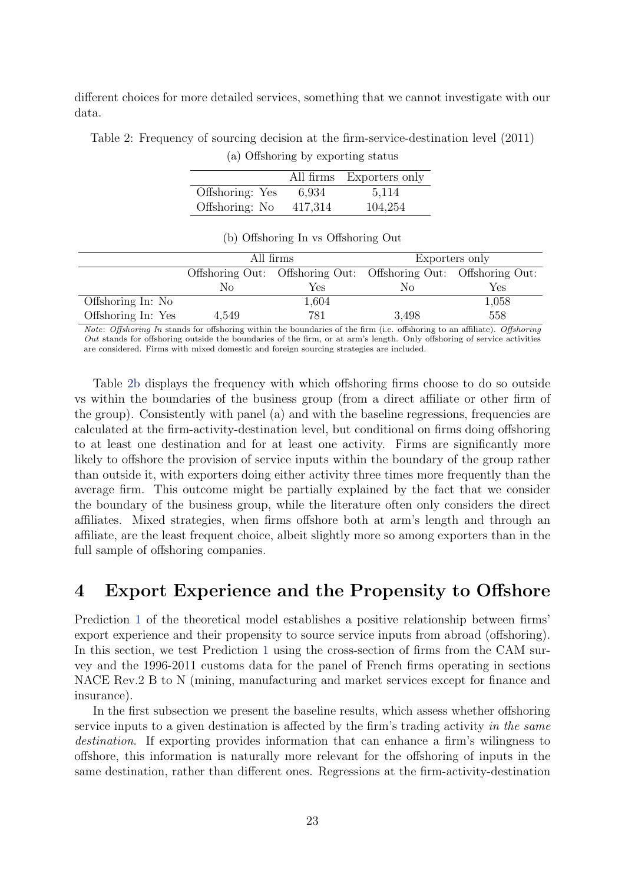different choices for more detailed services, something that we cannot investigate with our data.

<span id="page-22-1"></span>Table 2: Frequency of sourcing decision at the firm-service-destination level (2011)

(a) Offshoring by exporting status

|                 |         | All firms Exporters only |
|-----------------|---------|--------------------------|
| Offshoring: Yes | 6,934   | 5,114                    |
| Offshoring: No  | 417,314 | 104,254                  |

|                    |       | All firms                                                       |       | Exporters only |
|--------------------|-------|-----------------------------------------------------------------|-------|----------------|
|                    |       | Offshoring Out: Offshoring Out: Offshoring Out: Offshoring Out: |       |                |
|                    | Nο    | Yes                                                             | Nο    | Yes            |
| Offshoring In: No  |       | 1,604                                                           |       | 1,058          |
| Offshoring In: Yes | 4.549 | 781                                                             | 3.498 | 558            |

#### (b) Offshoring In vs Offshoring Out

Note: Offshoring In stands for offshoring within the boundaries of the firm (i.e. offshoring to an affiliate). Offshoring Out stands for offshoring outside the boundaries of the firm, or at arm's length. Only offshoring of service activities are considered. Firms with mixed domestic and foreign sourcing strategies are included.

Table [2b](#page-22-1) displays the frequency with which offshoring firms choose to do so outside vs within the boundaries of the business group (from a direct affiliate or other firm of the group). Consistently with panel (a) and with the baseline regressions, frequencies are calculated at the firm-activity-destination level, but conditional on firms doing offshoring to at least one destination and for at least one activity. Firms are significantly more likely to offshore the provision of service inputs within the boundary of the group rather than outside it, with exporters doing either activity three times more frequently than the average firm. This outcome might be partially explained by the fact that we consider the boundary of the business group, while the literature often only considers the direct affiliates. Mixed strategies, when firms offshore both at arm's length and through an affiliate, are the least frequent choice, albeit slightly more so among exporters than in the full sample of offshoring companies.

## <span id="page-22-0"></span>4 Export Experience and the Propensity to Offshore

Prediction [1](#page-15-1) of the theoretical model establishes a positive relationship between firms' export experience and their propensity to source service inputs from abroad (offshoring). In this section, we test Prediction [1](#page-15-1) using the cross-section of firms from the CAM survey and the 1996-2011 customs data for the panel of French firms operating in sections NACE Rev.2 B to N (mining, manufacturing and market services except for finance and insurance).

In the first subsection we present the baseline results, which assess whether offshoring service inputs to a given destination is affected by the firm's trading activity in the same destination. If exporting provides information that can enhance a firm's wilingness to offshore, this information is naturally more relevant for the offshoring of inputs in the same destination, rather than different ones. Regressions at the firm-activity-destination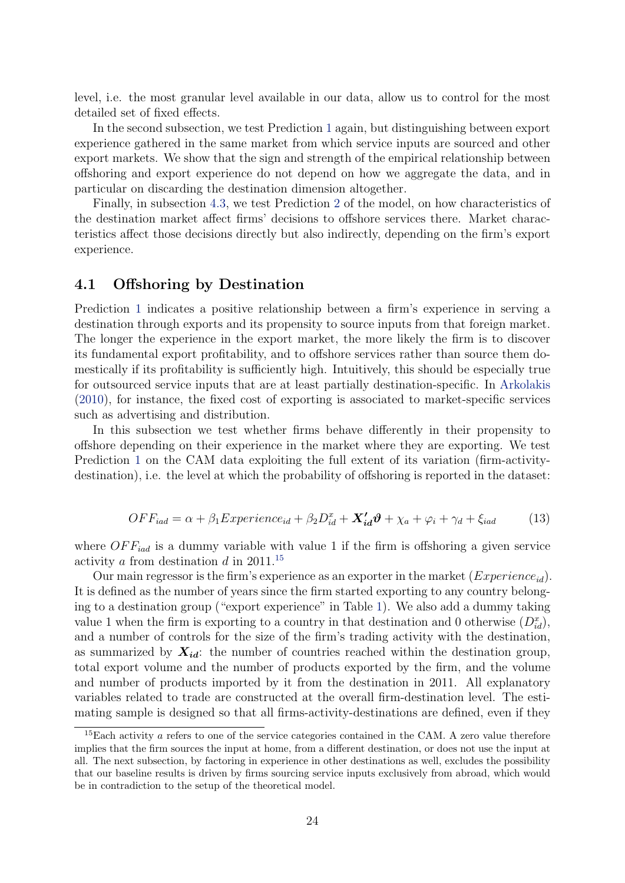<span id="page-23-2"></span>level, i.e. the most granular level available in our data, allow us to control for the most detailed set of fixed effects.

In the second subsection, we test Prediction [1](#page-15-1) again, but distinguishing between export experience gathered in the same market from which service inputs are sourced and other export markets. We show that the sign and strength of the empirical relationship between offshoring and export experience do not depend on how we aggregate the data, and in particular on discarding the destination dimension altogether.

Finally, in subsection [4.3,](#page-29-0) we test Prediction [2](#page-16-0) of the model, on how characteristics of the destination market affect firms' decisions to offshore services there. Market characteristics affect those decisions directly but also indirectly, depending on the firm's export experience.

### 4.1 Offshoring by Destination

Prediction [1](#page-15-1) indicates a positive relationship between a firm's experience in serving a destination through exports and its propensity to source inputs from that foreign market. The longer the experience in the export market, the more likely the firm is to discover its fundamental export profitability, and to offshore services rather than source them domestically if its profitability is sufficiently high. Intuitively, this should be especially true for outsourced service inputs that are at least partially destination-specific. In [Arkolakis](#page-38-8) [\(2010\)](#page-38-8), for instance, the fixed cost of exporting is associated to market-specific services such as advertising and distribution.

In this subsection we test whether firms behave differently in their propensity to offshore depending on their experience in the market where they are exporting. We test Prediction [1](#page-15-1) on the CAM data exploiting the full extent of its variation (firm-activitydestination), i.e. the level at which the probability of offshoring is reported in the dataset:

<span id="page-23-1"></span>
$$
OFF_{iad} = \alpha + \beta_1 Experience_{id} + \beta_2 D_{id}^x + \mathbf{X}_{id}' \boldsymbol{\vartheta} + \chi_a + \varphi_i + \gamma_d + \xi_{iad}
$$
 (13)

where  $OFF_{iad}$  is a dummy variable with value 1 if the firm is offshoring a given service activity *a* from destination *d* in 2011.<sup>[15](#page-23-0)</sup>

Our main regressor is the firm's experience as an exporter in the market  $(Experiment_{id})$ . It is defined as the number of years since the firm started exporting to any country belonging to a destination group ("export experience" in Table [1\)](#page-21-0). We also add a dummy taking value 1 when the firm is exporting to a country in that destination and 0 otherwise  $(D_{id}^x)$ , and a number of controls for the size of the firm's trading activity with the destination, as summarized by  $X_{id}$ : the number of countries reached within the destination group, total export volume and the number of products exported by the firm, and the volume and number of products imported by it from the destination in 2011. All explanatory variables related to trade are constructed at the overall firm-destination level. The estimating sample is designed so that all firms-activity-destinations are defined, even if they

<span id="page-23-0"></span> $15$ Each activity  $a$  refers to one of the service categories contained in the CAM. A zero value therefore implies that the firm sources the input at home, from a different destination, or does not use the input at all. The next subsection, by factoring in experience in other destinations as well, excludes the possibility that our baseline results is driven by firms sourcing service inputs exclusively from abroad, which would be in contradiction to the setup of the theoretical model.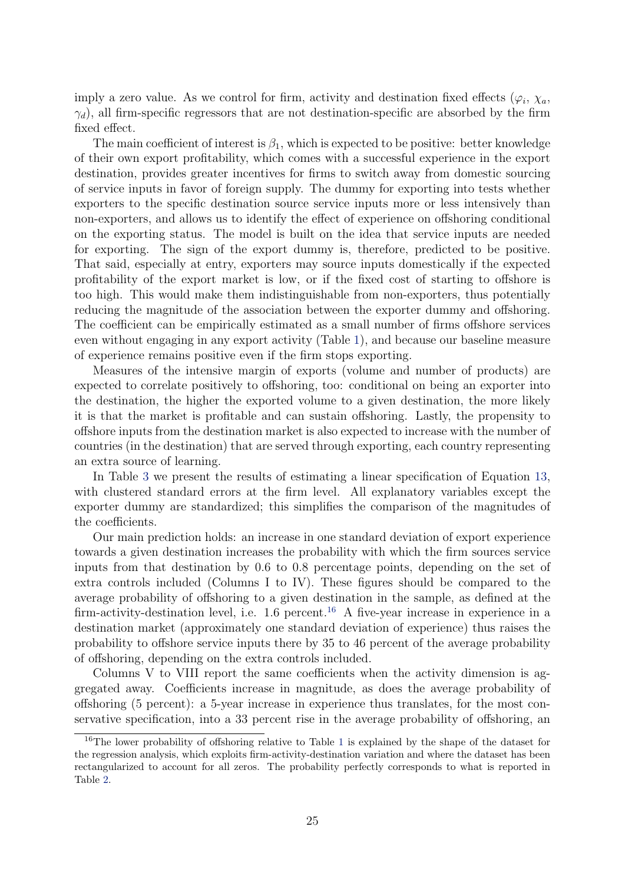imply a zero value. As we control for firm, activity and destination fixed effects  $(\varphi_i, \chi_a, \chi_a)$  $\gamma_d$ ), all firm-specific regressors that are not destination-specific are absorbed by the firm fixed effect.

The main coefficient of interest is  $\beta_1$ , which is expected to be positive: better knowledge of their own export profitability, which comes with a successful experience in the export destination, provides greater incentives for firms to switch away from domestic sourcing of service inputs in favor of foreign supply. The dummy for exporting into tests whether exporters to the specific destination source service inputs more or less intensively than non-exporters, and allows us to identify the effect of experience on offshoring conditional on the exporting status. The model is built on the idea that service inputs are needed for exporting. The sign of the export dummy is, therefore, predicted to be positive. That said, especially at entry, exporters may source inputs domestically if the expected profitability of the export market is low, or if the fixed cost of starting to offshore is too high. This would make them indistinguishable from non-exporters, thus potentially reducing the magnitude of the association between the exporter dummy and offshoring. The coefficient can be empirically estimated as a small number of firms offshore services even without engaging in any export activity (Table [1\)](#page-21-0), and because our baseline measure of experience remains positive even if the firm stops exporting.

Measures of the intensive margin of exports (volume and number of products) are expected to correlate positively to offshoring, too: conditional on being an exporter into the destination, the higher the exported volume to a given destination, the more likely it is that the market is profitable and can sustain offshoring. Lastly, the propensity to offshore inputs from the destination market is also expected to increase with the number of countries (in the destination) that are served through exporting, each country representing an extra source of learning.

In Table [3](#page-25-0) we present the results of estimating a linear specification of Equation [13,](#page-23-1) with clustered standard errors at the firm level. All explanatory variables except the exporter dummy are standardized; this simplifies the comparison of the magnitudes of the coefficients.

Our main prediction holds: an increase in one standard deviation of export experience towards a given destination increases the probability with which the firm sources service inputs from that destination by 0.6 to 0.8 percentage points, depending on the set of extra controls included (Columns I to IV). These figures should be compared to the average probability of offshoring to a given destination in the sample, as defined at the firm-activity-destination level, i.e.  $1.6$  percent.<sup>[16](#page-24-0)</sup> A five-year increase in experience in a destination market (approximately one standard deviation of experience) thus raises the probability to offshore service inputs there by 35 to 46 percent of the average probability of offshoring, depending on the extra controls included.

Columns V to VIII report the same coefficients when the activity dimension is aggregated away. Coefficients increase in magnitude, as does the average probability of offshoring (5 percent): a 5-year increase in experience thus translates, for the most conservative specification, into a 33 percent rise in the average probability of offshoring, an

<span id="page-24-0"></span><sup>&</sup>lt;sup>[1](#page-21-0)6</sup>The lower probability of offshoring relative to Table 1 is explained by the shape of the dataset for the regression analysis, which exploits firm-activity-destination variation and where the dataset has been rectangularized to account for all zeros. The probability perfectly corresponds to what is reported in Table [2.](#page-22-1)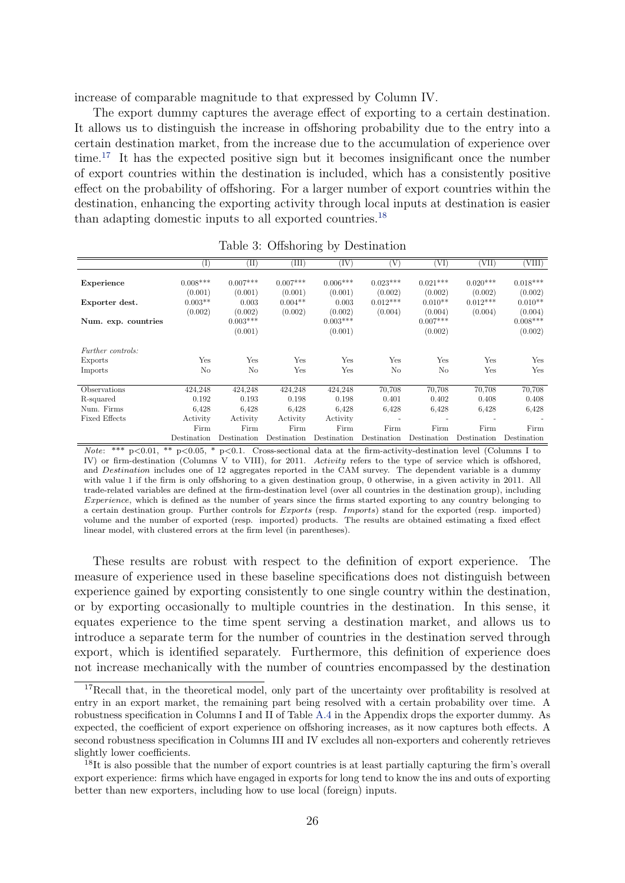increase of comparable magnitude to that expressed by Column IV.

The export dummy captures the average effect of exporting to a certain destination. It allows us to distinguish the increase in offshoring probability due to the entry into a certain destination market, from the increase due to the accumulation of experience over time.[17](#page-25-1) It has the expected positive sign but it becomes insignificant once the number of export countries within the destination is included, which has a consistently positive effect on the probability of offshoring. For a larger number of export countries within the destination, enhancing the exporting activity through local inputs at destination is easier than adapting domestic inputs to all exported countries.[18](#page-25-2)

<span id="page-25-0"></span>

|                          | $\rm(I)$    | $^{(II)}$   | (III)       | (IV)        | (V)                      | (VI)        | (VII)       | (VIII)      |
|--------------------------|-------------|-------------|-------------|-------------|--------------------------|-------------|-------------|-------------|
| Experience               | $0.008***$  | $0.007***$  | $0.007***$  | $0.006***$  | $0.023***$               | $0.021***$  | $0.020***$  | $0.018***$  |
|                          | (0.001)     | (0.001)     | (0.001)     | (0.001)     | (0.002)                  | (0.002)     | (0.002)     | (0.002)     |
| Exporter dest.           | $0.003**$   | 0.003       | $0.004**$   | 0.003       | $0.012***$               | $0.010**$   | $0.012***$  | $0.010**$   |
|                          | (0.002)     | (0.002)     | (0.002)     | (0.002)     | (0.004)                  | (0.004)     | (0.004)     | (0.004)     |
| Num. exp. countries      |             | $0.003***$  |             | $0.003***$  |                          | $0.007***$  |             | $0.008***$  |
|                          |             | (0.001)     |             | (0.001)     |                          | (0.002)     |             | (0.002)     |
| <i>Further controls:</i> |             |             |             |             |                          |             |             |             |
| Exports                  | Yes         | Yes         | Yes         | Yes         | Yes                      | Yes         | Yes         | Yes         |
| Imports                  | No          | No          | Yes         | Yes         | No                       | No          | Yes         | Yes         |
| Observations             | 424,248     | 424,248     | 424,248     | 424,248     | 70,708                   | 70,708      | 70,708      | 70,708      |
| R-squared                | 0.192       | 0.193       | 0.198       | 0.198       | 0.401                    | 0.402       | 0.408       | 0.408       |
| Num. Firms               | 6,428       | 6,428       | 6.428       | 6,428       | 6.428                    | 6,428       | 6.428       | 6.428       |
| <b>Fixed Effects</b>     | Activity    | Activity    | Activity    | Activity    | $\overline{\phantom{0}}$ |             |             |             |
|                          | Firm        | Firm        | Firm        | Firm        | Firm                     | Firm        | Firm        | Firm        |
|                          | Destination | Destination | Destination | Destination | Destination              | Destination | Destination | Destination |

Table 3: Offshoring by Destination

Note: \*\*\* p<0.01, \*\* p<0.05, \* p<0.1. Cross-sectional data at the firm-activity-destination level (Columns I to IV) or firm-destination (Columns V to VIII), for 2011. Activity refers to the type of service which is offshored, and *Destination* includes one of 12 aggregates reported in the CAM survey. The dependent variable is a dummy with value 1 if the firm is only offshoring to a given destination group, 0 otherwise, in a given activity in 2011. All trade-related variables are defined at the firm-destination level (over all countries in the destination group), including Experience, which is defined as the number of years since the firms started exporting to any country belonging to a certain destination group. Further controls for  $Exports$  (resp. Imports) stand for the exported (resp. imported) volume and the number of exported (resp. imported) products. The results are obtained estimating a fixed effect linear model, with clustered errors at the firm level (in parentheses).

These results are robust with respect to the definition of export experience. The measure of experience used in these baseline specifications does not distinguish between experience gained by exporting consistently to one single country within the destination, or by exporting occasionally to multiple countries in the destination. In this sense, it equates experience to the time spent serving a destination market, and allows us to introduce a separate term for the number of countries in the destination served through export, which is identified separately. Furthermore, this definition of experience does not increase mechanically with the number of countries encompassed by the destination

<span id="page-25-1"></span><sup>&</sup>lt;sup>17</sup>Recall that, in the theoretical model, only part of the uncertainty over profitability is resolved at entry in an export market, the remaining part being resolved with a certain probability over time. A robustness specification in Columns I and II of Table [A.4](#page-43-0) in the Appendix drops the exporter dummy. As expected, the coefficient of export experience on offshoring increases, as it now captures both effects. A second robustness specification in Columns III and IV excludes all non-exporters and coherently retrieves slightly lower coefficients.

<span id="page-25-2"></span><sup>&</sup>lt;sup>18</sup>It is also possible that the number of export countries is at least partially capturing the firm's overall export experience: firms which have engaged in exports for long tend to know the ins and outs of exporting better than new exporters, including how to use local (foreign) inputs.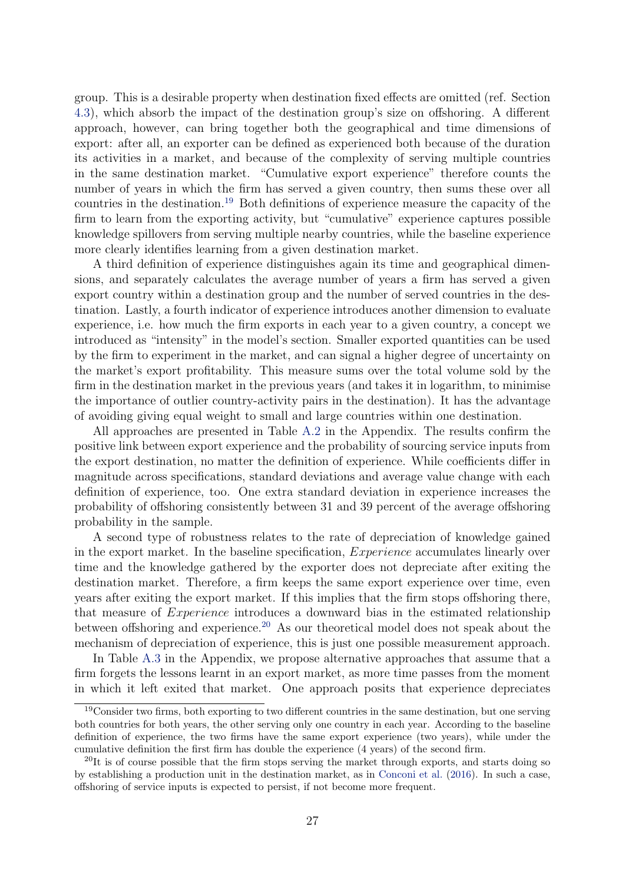<span id="page-26-2"></span>group. This is a desirable property when destination fixed effects are omitted (ref. Section [4.3\)](#page-29-0), which absorb the impact of the destination group's size on offshoring. A different approach, however, can bring together both the geographical and time dimensions of export: after all, an exporter can be defined as experienced both because of the duration its activities in a market, and because of the complexity of serving multiple countries in the same destination market. "Cumulative export experience" therefore counts the number of years in which the firm has served a given country, then sums these over all countries in the destination.[19](#page-26-0) Both definitions of experience measure the capacity of the firm to learn from the exporting activity, but "cumulative" experience captures possible knowledge spillovers from serving multiple nearby countries, while the baseline experience more clearly identifies learning from a given destination market.

A third definition of experience distinguishes again its time and geographical dimensions, and separately calculates the average number of years a firm has served a given export country within a destination group and the number of served countries in the destination. Lastly, a fourth indicator of experience introduces another dimension to evaluate experience, i.e. how much the firm exports in each year to a given country, a concept we introduced as "intensity" in the model's section. Smaller exported quantities can be used by the firm to experiment in the market, and can signal a higher degree of uncertainty on the market's export profitability. This measure sums over the total volume sold by the firm in the destination market in the previous years (and takes it in logarithm, to minimise the importance of outlier country-activity pairs in the destination). It has the advantage of avoiding giving equal weight to small and large countries within one destination.

All approaches are presented in Table [A.2](#page-41-1) in the Appendix. The results confirm the positive link between export experience and the probability of sourcing service inputs from the export destination, no matter the definition of experience. While coefficients differ in magnitude across specifications, standard deviations and average value change with each definition of experience, too. One extra standard deviation in experience increases the probability of offshoring consistently between 31 and 39 percent of the average offshoring probability in the sample.

A second type of robustness relates to the rate of depreciation of knowledge gained in the export market. In the baseline specification,  $Experience$  accumulates linearly over time and the knowledge gathered by the exporter does not depreciate after exiting the destination market. Therefore, a firm keeps the same export experience over time, even years after exiting the export market. If this implies that the firm stops offshoring there, that measure of  *introduces a downward bias in the estimated relationship* between offshoring and experience.<sup>[20](#page-26-1)</sup> As our theoretical model does not speak about the mechanism of depreciation of experience, this is just one possible measurement approach.

In Table [A.3](#page-42-0) in the Appendix, we propose alternative approaches that assume that a firm forgets the lessons learnt in an export market, as more time passes from the moment in which it left exited that market. One approach posits that experience depreciates

<span id="page-26-0"></span><sup>&</sup>lt;sup>19</sup>Consider two firms, both exporting to two different countries in the same destination, but one serving both countries for both years, the other serving only one country in each year. According to the baseline definition of experience, the two firms have the same export experience (two years), while under the cumulative definition the first firm has double the experience (4 years) of the second firm.

<span id="page-26-1"></span> $^{20}$ It is of course possible that the firm stops serving the market through exports, and starts doing so by establishing a production unit in the destination market, as in [Conconi et al.](#page-39-1) [\(2016\)](#page-39-1). In such a case, offshoring of service inputs is expected to persist, if not become more frequent.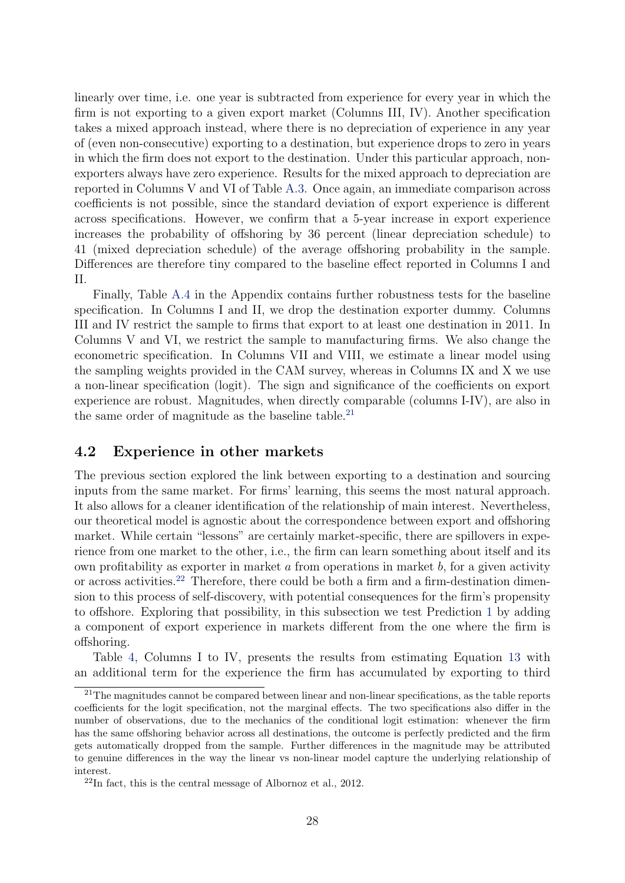linearly over time, i.e. one year is subtracted from experience for every year in which the firm is not exporting to a given export market (Columns III, IV). Another specification takes a mixed approach instead, where there is no depreciation of experience in any year of (even non-consecutive) exporting to a destination, but experience drops to zero in years in which the firm does not export to the destination. Under this particular approach, nonexporters always have zero experience. Results for the mixed approach to depreciation are reported in Columns V and VI of Table [A.3.](#page-42-0) Once again, an immediate comparison across coefficients is not possible, since the standard deviation of export experience is different across specifications. However, we confirm that a 5-year increase in export experience increases the probability of offshoring by 36 percent (linear depreciation schedule) to 41 (mixed depreciation schedule) of the average offshoring probability in the sample. Differences are therefore tiny compared to the baseline effect reported in Columns I and II.

Finally, Table [A.4](#page-43-0) in the Appendix contains further robustness tests for the baseline specification. In Columns I and II, we drop the destination exporter dummy. Columns III and IV restrict the sample to firms that export to at least one destination in 2011. In Columns V and VI, we restrict the sample to manufacturing firms. We also change the econometric specification. In Columns VII and VIII, we estimate a linear model using the sampling weights provided in the CAM survey, whereas in Columns IX and X we use a non-linear specification (logit). The sign and significance of the coefficients on export experience are robust. Magnitudes, when directly comparable (columns I-IV), are also in the same order of magnitude as the baseline table. $21$ 

### 4.2 Experience in other markets

The previous section explored the link between exporting to a destination and sourcing inputs from the same market. For firms' learning, this seems the most natural approach. It also allows for a cleaner identification of the relationship of main interest. Nevertheless, our theoretical model is agnostic about the correspondence between export and offshoring market. While certain "lessons" are certainly market-specific, there are spillovers in experience from one market to the other, i.e., the firm can learn something about itself and its own profitability as exporter in market  $\alpha$  from operations in market  $\beta$ , for a given activity or across activities.[22](#page-27-1) Therefore, there could be both a firm and a firm-destination dimension to this process of self-discovery, with potential consequences for the firm's propensity to offshore. Exploring that possibility, in this subsection we test Prediction [1](#page-15-1) by adding a component of export experience in markets different from the one where the firm is offshoring.

Table [4,](#page-28-0) Columns I to IV, presents the results from estimating Equation [13](#page-23-1) with an additional term for the experience the firm has accumulated by exporting to third

<span id="page-27-0"></span> $21$ The magnitudes cannot be compared between linear and non-linear specifications, as the table reports coefficients for the logit specification, not the marginal effects. The two specifications also differ in the number of observations, due to the mechanics of the conditional logit estimation: whenever the firm has the same offshoring behavior across all destinations, the outcome is perfectly predicted and the firm gets automatically dropped from the sample. Further differences in the magnitude may be attributed to genuine differences in the way the linear vs non-linear model capture the underlying relationship of interest.

<span id="page-27-1"></span> $22$ In fact, this is the central message of Albornoz et al., 2012.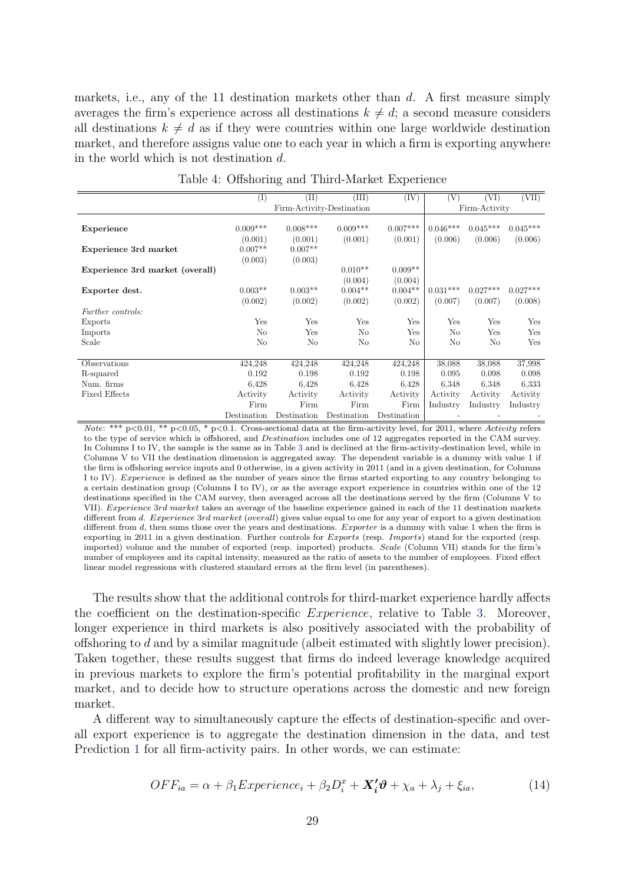markets, i.e., any of the 11 destination markets other than  $d$ . A first measure simply averages the firm's experience across all destinations  $k \neq d$ ; a second measure considers all destinations  $k \neq d$  as if they were countries within one large worldwide destination market, and therefore assigns value one to each year in which a firm is exporting anywhere in the world which is not destination  $d$ .

<span id="page-28-0"></span>

|                                 | ${}_{\rm (I)}$ | $(\mathrm{II})$ | (III)                     | (IV)        | V          | (VI)          | (VII)      |
|---------------------------------|----------------|-----------------|---------------------------|-------------|------------|---------------|------------|
|                                 |                |                 | Firm-Activity-Destination |             |            | Firm-Activity |            |
|                                 |                |                 |                           |             |            |               |            |
| Experience                      | $0.009***$     | $0.008***$      | $0.009***$                | $0.007***$  | $0.046***$ | $0.045***$    | $0.045***$ |
|                                 | (0.001)        | (0.001)         | (0.001)                   | (0.001)     | (0.006)    | (0.006)       | (0.006)    |
| Experience 3rd market           | $0.007**$      | $0.007**$       |                           |             |            |               |            |
|                                 | (0.003)        | (0.003)         |                           |             |            |               |            |
| Experience 3rd market (overall) |                |                 | $0.010**$                 | $0.009**$   |            |               |            |
|                                 |                |                 | (0.004)                   | (0.004)     |            |               |            |
| Exporter dest.                  | $0.003**$      | $0.003**$       | $0.004**$                 | $0.004**$   | $0.031***$ | $0.027***$    | $0.027***$ |
|                                 | (0.002)        | (0.002)         | (0.002)                   | (0.002)     | (0.007)    | (0.007)       | (0.008)    |
| <i>Further controls:</i>        |                |                 |                           |             |            |               |            |
| Exports                         | Yes            | Yes             | Yes                       | Yes         | Yes        | Yes           | Yes        |
| Imports                         | N <sub>o</sub> | Yes             | N <sub>o</sub>            | Yes         | No         | Yes           | Yes        |
| Scale                           | No             | N <sub>o</sub>  | No                        | No          | No         | No            | Yes        |
|                                 |                |                 |                           |             |            |               |            |
| Observations                    | 424,248        | 424,248         | 424,248                   | 424,248     | 38,088     | 38,088        | 37,998     |
| R-squared                       | 0.192          | 0.198           | 0.192                     | 0.198       | 0.095      | 0.098         | 0.098      |
| Num. firms                      | 6.428          | 6.428           | 6,428                     | 6,428       | 6.348      | 6.348         | 6,333      |
| <b>Fixed Effects</b>            | Activity       | Activity        | Activity                  | Activity    | Activity   | Activity      | Activity   |
|                                 | Firm           | Firm            | Firm                      | Firm        | Industry   | Industry      | Industry   |
|                                 | Destination    | Destination     | Destination               | Destination |            |               |            |

Table 4: Offshoring and Third-Market Experience

Note: \*\*\*  $p<0.01$ , \*\*  $p<0.05$ , \*  $p<0.1$ . Cross-sectional data at the firm-activity level, for 2011, where Activity refers to the type of service which is offshored, and *Destination* includes one of 12 aggregates reported in the CAM survey. In Columns I to IV, the sample is the same as in Table [3](#page-25-0) and is declined at the firm-activity-destination level, while in Columns V to VII the destination dimension is aggregated away. The dependent variable is a dummy with value 1 if the firm is offshoring service inputs and 0 otherwise, in a given activity in 2011 (and in a given destination, for Columns I to IV). *Experience* is defined as the number of years since the firms started exporting to any country belonging to a certain destination group (Columns I to IV), or as the average export experience in countries within one of the 12 destinations specified in the CAM survey, then averaged across all the destinations served by the firm (Columns V to VII). Experience 3rd market takes an average of the baseline experience gained in each of the 11 destination markets different from d. Experience 3rd market (overall) gives value equal to one for any year of export to a given destination different from  $d$ , then sums those over the years and destinations. *Exporter* is a dummy with value 1 when the firm is exporting in 2011 in a given destination. Further controls for Exports (resp. Imports) stand for the exported (resp. imported) volume and the number of exported (resp. imported) products. Scale (Column VII) stands for the firm's number of employees and its capital intensity, measured as the ratio of assets to the number of employees. Fixed effect linear model regressions with clustered standard errors at the firm level (in parentheses).

The results show that the additional controls for third-market experience hardly affects the coefficient on the destination-specific  $Exercise$ , relative to Table [3.](#page-25-0) Moreover, longer experience in third markets is also positively associated with the probability of offshoring to  $d$  and by a similar magnitude (albeit estimated with slightly lower precision). Taken together, these results suggest that firms do indeed leverage knowledge acquired in previous markets to explore the firm's potential profitability in the marginal export market, and to decide how to structure operations across the domestic and new foreign market.

A different way to simultaneously capture the effects of destination-specific and overall export experience is to aggregate the destination dimension in the data, and test Prediction [1](#page-15-1) for all firm-activity pairs. In other words, we can estimate:

$$
OFF_{ia} = \alpha + \beta_1 Experience_i + \beta_2 D_i^x + \mathbf{X}_i' \mathbf{\vartheta} + \chi_a + \lambda_j + \xi_{ia}, \tag{14}
$$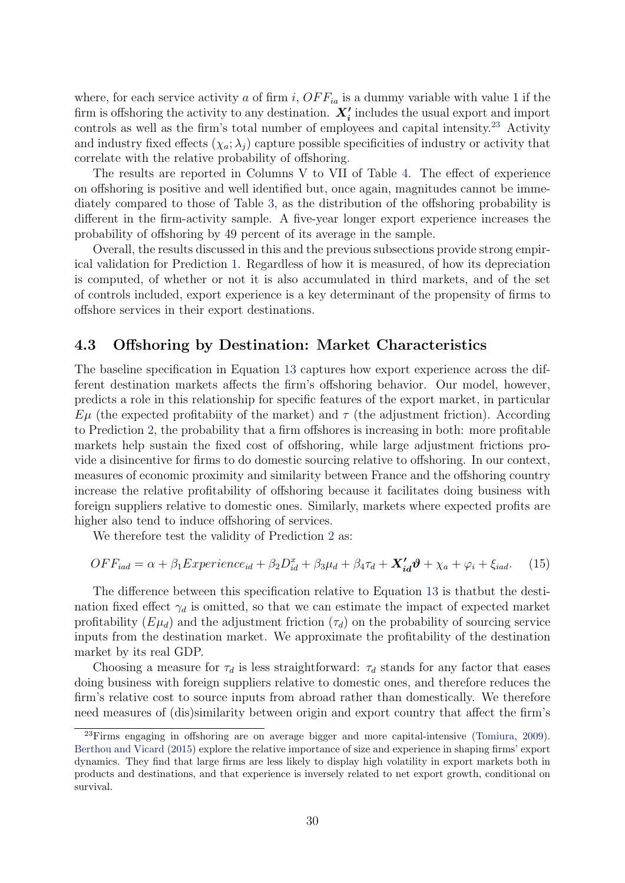<span id="page-29-3"></span>where, for each service activity a of firm i,  $OFF_{ia}$  is a dummy variable with value 1 if the firm is offshoring the activity to any destination.  $X_i'$  includes the usual export and import controls as well as the firm's total number of employees and capital intensity.<sup>[23](#page-29-1)</sup> Activity and industry fixed effects  $(\chi_a; \lambda_i)$  capture possible specificities of industry or activity that correlate with the relative probability of offshoring.

The results are reported in Columns V to VII of Table [4.](#page-28-0) The effect of experience on offshoring is positive and well identified but, once again, magnitudes cannot be immediately compared to those of Table [3,](#page-25-0) as the distribution of the offshoring probability is different in the firm-activity sample. A five-year longer export experience increases the probability of offshoring by 49 percent of its average in the sample.

Overall, the results discussed in this and the previous subsections provide strong empirical validation for Prediction [1.](#page-15-1) Regardless of how it is measured, of how its depreciation is computed, of whether or not it is also accumulated in third markets, and of the set of controls included, export experience is a key determinant of the propensity of firms to offshore services in their export destinations.

### <span id="page-29-0"></span>4.3 Offshoring by Destination: Market Characteristics

The baseline specification in Equation [13](#page-23-1) captures how export experience across the different destination markets affects the firm's offshoring behavior. Our model, however, predicts a role in this relationship for specific features of the export market, in particular  $E\mu$  (the expected profitabiity of the market) and  $\tau$  (the adjustment friction). According to Prediction [2,](#page-16-0) the probability that a firm offshores is increasing in both: more profitable markets help sustain the fixed cost of offshoring, while large adjustment frictions provide a disincentive for firms to do domestic sourcing relative to offshoring. In our context, measures of economic proximity and similarity between France and the offshoring country increase the relative profitability of offshoring because it facilitates doing business with foreign suppliers relative to domestic ones. Similarly, markets where expected profits are higher also tend to induce offshoring of services.

<span id="page-29-2"></span>We therefore test the validity of Prediction [2](#page-16-0) as:

$$
OFF_{iad} = \alpha + \beta_1 Experience_{id} + \beta_2 D_{id}^x + \beta_3 \mu_d + \beta_4 \tau_d + \mathbf{X}_{id}^{\prime} \mathbf{\vartheta} + \chi_a + \varphi_i + \xi_{iad}. \tag{15}
$$

The difference between this specification relative to Equation [13](#page-23-1) is thatbut the destination fixed effect  $\gamma_d$  is omitted, so that we can estimate the impact of expected market profitability  $(E\mu_d)$  and the adjustment friction  $(\tau_d)$  on the probability of sourcing service inputs from the destination market. We approximate the profitability of the destination market by its real GDP.

Choosing a measure for  $\tau_d$  is less straightforward:  $\tau_d$  stands for any factor that eases doing business with foreign suppliers relative to domestic ones, and therefore reduces the firm's relative cost to source inputs from abroad rather than domestically. We therefore need measures of (dis)similarity between origin and export country that affect the firm's

<span id="page-29-1"></span><sup>&</sup>lt;sup>23</sup>Firms engaging in offshoring are on average bigger and more capital-intensive [\(Tomiura,](#page-40-10) [2009\)](#page-40-10). [Berthou and Vicard](#page-39-14) [\(2015\)](#page-39-14) explore the relative importance of size and experience in shaping firms' export dynamics. They find that large firms are less likely to display high volatility in export markets both in products and destinations, and that experience is inversely related to net export growth, conditional on survival.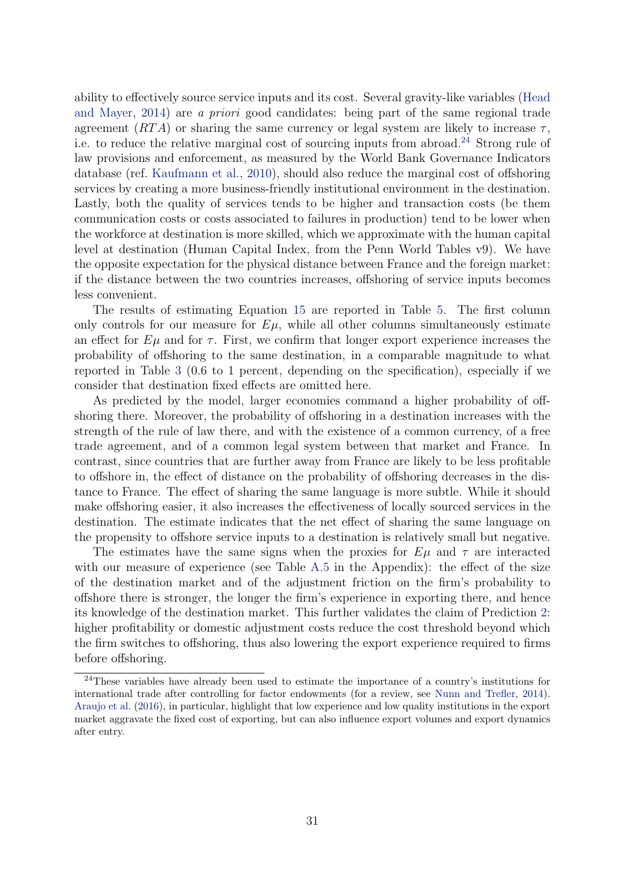<span id="page-30-1"></span>ability to effectively source service inputs and its cost. Several gravity-like variables [\(Head](#page-39-15) [and Mayer,](#page-39-15) [2014\)](#page-39-15) are a priori good candidates: being part of the same regional trade agreement  $(RTA)$  or sharing the same currency or legal system are likely to increase  $\tau$ , i.e. to reduce the relative marginal cost of sourcing inputs from abroad.<sup>[24](#page-30-0)</sup> Strong rule of law provisions and enforcement, as measured by the World Bank Governance Indicators database (ref. [Kaufmann et al.,](#page-40-11) [2010\)](#page-40-11), should also reduce the marginal cost of offshoring services by creating a more business-friendly institutional environment in the destination. Lastly, both the quality of services tends to be higher and transaction costs (be them communication costs or costs associated to failures in production) tend to be lower when the workforce at destination is more skilled, which we approximate with the human capital level at destination (Human Capital Index, from the Penn World Tables v9). We have the opposite expectation for the physical distance between France and the foreign market: if the distance between the two countries increases, offshoring of service inputs becomes less convenient.

The results of estimating Equation [15](#page-29-2) are reported in Table [5.](#page-31-0) The first column only controls for our measure for  $E\mu$ , while all other columns simultaneously estimate an effect for  $E\mu$  and for  $\tau$ . First, we confirm that longer export experience increases the probability of offshoring to the same destination, in a comparable magnitude to what reported in Table [3](#page-25-0) (0.6 to 1 percent, depending on the specification), especially if we consider that destination fixed effects are omitted here.

As predicted by the model, larger economies command a higher probability of offshoring there. Moreover, the probability of offshoring in a destination increases with the strength of the rule of law there, and with the existence of a common currency, of a free trade agreement, and of a common legal system between that market and France. In contrast, since countries that are further away from France are likely to be less profitable to offshore in, the effect of distance on the probability of offshoring decreases in the distance to France. The effect of sharing the same language is more subtle. While it should make offshoring easier, it also increases the effectiveness of locally sourced services in the destination. The estimate indicates that the net effect of sharing the same language on the propensity to offshore service inputs to a destination is relatively small but negative.

The estimates have the same signs when the proxies for  $E\mu$  and  $\tau$  are interacted with our measure of experience (see Table [A.5](#page-44-0) in the Appendix): the effect of the size of the destination market and of the adjustment friction on the firm's probability to offshore there is stronger, the longer the firm's experience in exporting there, and hence its knowledge of the destination market. This further validates the claim of Prediction [2:](#page-16-0) higher profitability or domestic adjustment costs reduce the cost threshold beyond which the firm switches to offshoring, thus also lowering the export experience required to firms before offshoring.

<span id="page-30-0"></span><sup>&</sup>lt;sup>24</sup>These variables have already been used to estimate the importance of a country's institutions for international trade after controlling for factor endowments (for a review, see [Nunn and Trefler,](#page-40-12) [2014\)](#page-40-12). [Araujo et al.](#page-38-7) [\(2016\)](#page-38-7), in particular, highlight that low experience and low quality institutions in the export market aggravate the fixed cost of exporting, but can also influence export volumes and export dynamics after entry.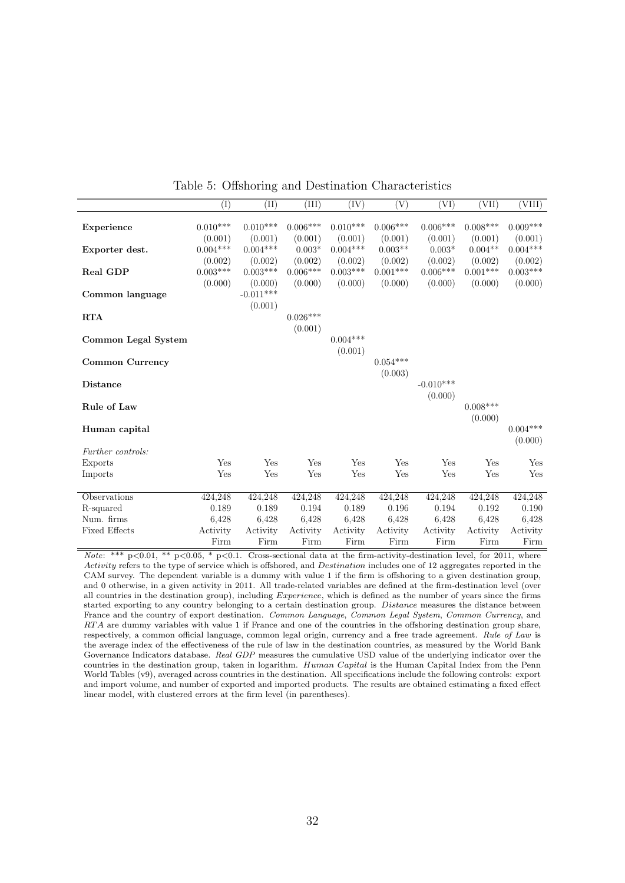<span id="page-31-0"></span>

|                     | $\overline{(\mathrm{I})}$ | $(\mathrm{II})$ | (III)      | (IV)       | (V)        | (VI)                 | VII)       | (VIII)     |
|---------------------|---------------------------|-----------------|------------|------------|------------|----------------------|------------|------------|
|                     |                           |                 |            |            |            |                      |            |            |
| Experience          | $0.010***$                | $0.010***$      | $0.006***$ | $0.010***$ | $0.006***$ | $0.006***$           | $0.008***$ | $0.009***$ |
|                     | (0.001)                   | (0.001)         | (0.001)    | (0.001)    | (0.001)    | (0.001)              | (0.001)    | (0.001)    |
| Exporter dest.      | $0.004***$                | $0.004***$      | $0.003*$   | $0.004***$ | $0.003**$  | $0.003*$             | $0.004**$  | $0.004***$ |
|                     | (0.002)                   | (0.002)         | (0.002)    | (0.002)    | (0.002)    | (0.002)              | (0.002)    | (0.002)    |
| Real GDP            | $0.003***$                | $0.003***$      | $0.006***$ | $0.003***$ | $0.001***$ | $0.006***$           | $0.001***$ | $0.003***$ |
|                     | (0.000)                   | (0.000)         | (0.000)    | (0.000)    | (0.000)    | (0.000)              | (0.000)    | (0.000)    |
| Common language     |                           | $-0.011***$     |            |            |            |                      |            |            |
|                     |                           | (0.001)         |            |            |            |                      |            |            |
| <b>RTA</b>          |                           |                 | $0.026***$ |            |            |                      |            |            |
|                     |                           |                 | (0.001)    |            |            |                      |            |            |
| Common Legal System |                           |                 |            | $0.004***$ |            |                      |            |            |
|                     |                           |                 |            | (0.001)    |            |                      |            |            |
| Common Currency     |                           |                 |            |            | $0.054***$ |                      |            |            |
|                     |                           |                 |            |            | (0.003)    |                      |            |            |
| <b>Distance</b>     |                           |                 |            |            |            | $-0.010***$          |            |            |
|                     |                           |                 |            |            |            | (0.000)              |            |            |
| Rule of Law         |                           |                 |            |            |            |                      | $0.008***$ |            |
|                     |                           |                 |            |            |            |                      | (0.000)    |            |
| Human capital       |                           |                 |            |            |            |                      |            | $0.004***$ |
|                     |                           |                 |            |            |            |                      |            | (0.000)    |
| Further controls:   |                           |                 |            |            |            |                      |            |            |
| Exports             | Yes                       | Yes             | Yes        | Yes        | Yes        | Yes                  | Yes        | Yes        |
| Imports             | Yes                       | Yes             | Yes        | Yes        | Yes        | $\operatorname{Yes}$ | Yes        | Yes        |
|                     |                           |                 |            |            |            |                      |            |            |
| Observations        | 424,248                   | 424,248         | 424,248    | 424,248    | 424,248    | 424,248              | 424,248    | 424,248    |
| R-squared           | 0.189                     | 0.189           | 0.194      | 0.189      | 0.196      | 0.194                | 0.192      | 0.190      |
| Num. firms          | 6.428                     | 6.428           | 6,428      | 6.428      | 6,428      | 6.428                | 6,428      | 6,428      |
| Fixed Effects       | Activity                  | Activity        | Activity   | Activity   | Activity   | Activity             | Activity   | Activity   |
|                     | Firm                      | Firm            | Firm       | Firm       | Firm       | Firm                 | Firm       | Firm       |

Table 5: Offshoring and Destination Characteristics

Note: \*\*\*  $p<0.01$ , \*\*  $p<0.05$ , \*  $p<0.1$ . Cross-sectional data at the firm-activity-destination level, for 2011, where Activity refers to the type of service which is offshored, and *Destination* includes one of 12 aggregates reported in the CAM survey. The dependent variable is a dummy with value 1 if the firm is offshoring to a given destination group, and 0 otherwise, in a given activity in 2011. All trade-related variables are defined at the firm-destination level (over all countries in the destination group), including Experience, which is defined as the number of years since the firms started exporting to any country belonging to a certain destination group. Distance measures the distance between France and the country of export destination. Common Language, Common Legal System, Common Currency, and RTA are dummy variables with value 1 if France and one of the countries in the offshoring destination group share, respectively, a common official language, common legal origin, currency and a free trade agreement. Rule of Law is the average index of the effectiveness of the rule of law in the destination countries, as measured by the World Bank Governance Indicators database. Real GDP measures the cumulative USD value of the underlying indicator over the countries in the destination group, taken in logarithm. Human Capital is the Human Capital Index from the Penn World Tables (v9), averaged across countries in the destination. All specifications include the following controls: export and import volume, and number of exported and imported products. The results are obtained estimating a fixed effect linear model, with clustered errors at the firm level (in parentheses).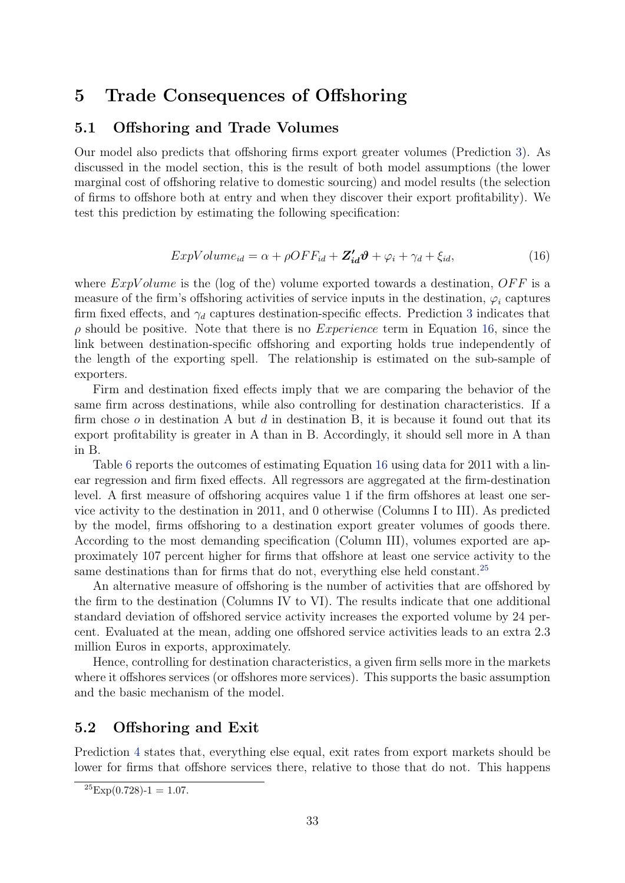# <span id="page-32-0"></span>5 Trade Consequences of Offshoring

### 5.1 Offshoring and Trade Volumes

Our model also predicts that offshoring firms export greater volumes (Prediction [3\)](#page-17-0). As discussed in the model section, this is the result of both model assumptions (the lower marginal cost of offshoring relative to domestic sourcing) and model results (the selection of firms to offshore both at entry and when they discover their export profitability). We test this prediction by estimating the following specification:

<span id="page-32-1"></span>
$$
ExpVolume_{id} = \alpha + \rho OFF_{id} + \mathbf{Z'_{id}}\boldsymbol{\vartheta} + \varphi_i + \gamma_d + \xi_{id},\tag{16}
$$

where  $ExpVolume$  is the (log of the) volume exported towards a destination,  $OFF$  is a measure of the firm's offshoring activities of service inputs in the destination,  $\varphi_i$  captures firm fixed effects, and  $\gamma_d$  captures destination-specific effects. Prediction [3](#page-17-0) indicates that  $\rho$  should be positive. Note that there is no *Experience* term in Equation [16,](#page-32-1) since the link between destination-specific offshoring and exporting holds true independently of the length of the exporting spell. The relationship is estimated on the sub-sample of exporters.

Firm and destination fixed effects imply that we are comparing the behavior of the same firm across destinations, while also controlling for destination characteristics. If a firm chose  $\sigma$  in destination A but  $d$  in destination B, it is because it found out that its export profitability is greater in A than in B. Accordingly, it should sell more in A than in B.

Table [6](#page-33-0) reports the outcomes of estimating Equation [16](#page-32-1) using data for 2011 with a linear regression and firm fixed effects. All regressors are aggregated at the firm-destination level. A first measure of offshoring acquires value 1 if the firm offshores at least one service activity to the destination in 2011, and 0 otherwise (Columns I to III). As predicted by the model, firms offshoring to a destination export greater volumes of goods there. According to the most demanding specification (Column III), volumes exported are approximately 107 percent higher for firms that offshore at least one service activity to the same destinations than for firms that do not, everything else held constant.<sup>[25](#page-32-2)</sup>

An alternative measure of offshoring is the number of activities that are offshored by the firm to the destination (Columns IV to VI). The results indicate that one additional standard deviation of offshored service activity increases the exported volume by 24 percent. Evaluated at the mean, adding one offshored service activities leads to an extra 2.3 million Euros in exports, approximately.

Hence, controlling for destination characteristics, a given firm sells more in the markets where it offshores services (or offshores more services). This supports the basic assumption and the basic mechanism of the model.

### 5.2 Offshoring and Exit

Prediction [4](#page-17-1) states that, everything else equal, exit rates from export markets should be lower for firms that offshore services there, relative to those that do not. This happens

<span id="page-32-2"></span> ${}^{25}$ Exp(0.728)-1 = 1.07.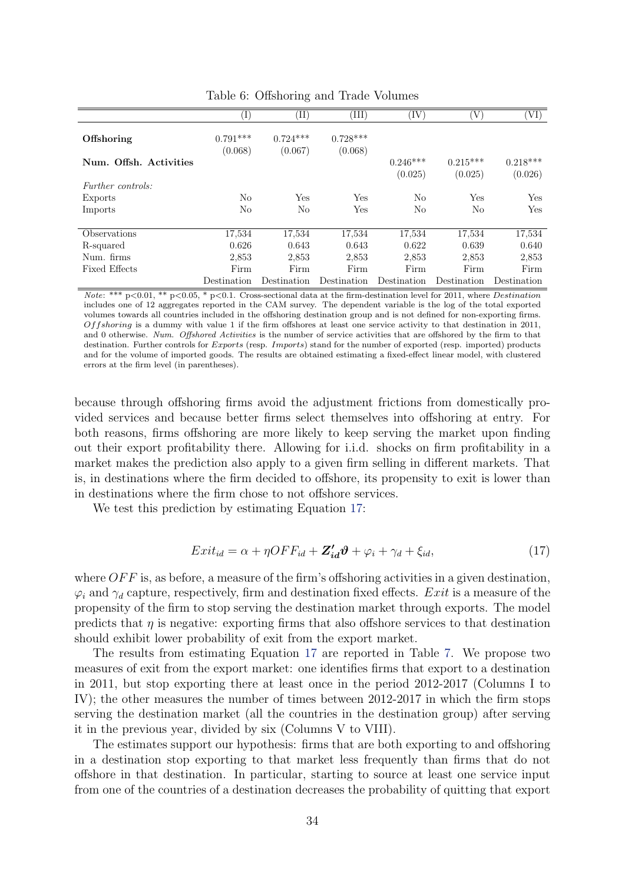<span id="page-33-0"></span>

|                          | $\rm (I)$             | $\rm (II)$            | ΊH                    | ΊV          | 'V)         | VI)         |
|--------------------------|-----------------------|-----------------------|-----------------------|-------------|-------------|-------------|
| Offshoring               | $0.791***$<br>(0.068) | $0.724***$<br>(0.067) | $0.728***$<br>(0.068) |             |             |             |
| Num. Offsh. Activities   |                       |                       |                       | $0.246***$  | $0.215***$  | $0.218***$  |
|                          |                       |                       |                       | (0.025)     | (0.025)     | (0.026)     |
| <i>Further controls:</i> |                       |                       |                       |             |             |             |
| Exports                  | No                    | Yes                   | Yes                   | No          | <b>Yes</b>  | Yes         |
| Imports                  | No                    | No                    | Yes                   | No          | No          | Yes         |
|                          |                       |                       |                       |             |             |             |
| Observations             | 17,534                | 17,534                | 17,534                | 17,534      | 17,534      | 17,534      |
| R-squared                | 0.626                 | 0.643                 | 0.643                 | 0.622       | 0.639       | 0.640       |
| Num. firms               | 2,853                 | 2,853                 | 2,853                 | 2,853       | 2,853       | 2,853       |
| Fixed Effects            | Firm                  | Firm                  | Firm                  | Firm        | Firm        | Firm        |
|                          | Destination           | Destination           | Destination           | Destination | Destination | Destination |

Table 6: Offshoring and Trade Volumes

Note: \*\*\* p<0.01, \*\* p<0.05, \* p<0.1. Cross-sectional data at the firm-destination level for 2011, where Destination includes one of 12 aggregates reported in the CAM survey. The dependent variable is the log of the total exported volumes towards all countries included in the offshoring destination group and is not defined for non-exporting firms.  $Offshoring$  is a dummy with value 1 if the firm offshores at least one service activity to that destination in 2011, and 0 otherwise. Num. Offshored Activities is the number of service activities that are offshored by the firm to that destination. Further controls for *Exports* (resp. *Imports*) stand for the number of exported (resp. imported) products and for the volume of imported goods. The results are obtained estimating a fixed-effect linear model, with clustered errors at the firm level (in parentheses).

because through offshoring firms avoid the adjustment frictions from domestically provided services and because better firms select themselves into offshoring at entry. For both reasons, firms offshoring are more likely to keep serving the market upon finding out their export profitability there. Allowing for i.i.d. shocks on firm profitability in a market makes the prediction also apply to a given firm selling in different markets. That is, in destinations where the firm decided to offshore, its propensity to exit is lower than in destinations where the firm chose to not offshore services.

We test this prediction by estimating Equation [17:](#page-33-1)

<span id="page-33-1"></span>
$$
Exit_{id} = \alpha + \eta OFF_{id} + \mathbf{Z}_{id}' \boldsymbol{\vartheta} + \varphi_i + \gamma_d + \xi_{id},
$$
\n(17)

where  $OFF$  is, as before, a measure of the firm's offshoring activities in a given destination,  $\varphi_i$  and  $\gamma_d$  capture, respectively, firm and destination fixed effects. Exit is a measure of the propensity of the firm to stop serving the destination market through exports. The model predicts that  $\eta$  is negative: exporting firms that also offshore services to that destination should exhibit lower probability of exit from the export market.

The results from estimating Equation [17](#page-33-1) are reported in Table [7.](#page-34-0) We propose two measures of exit from the export market: one identifies firms that export to a destination in 2011, but stop exporting there at least once in the period 2012-2017 (Columns I to IV); the other measures the number of times between 2012-2017 in which the firm stops serving the destination market (all the countries in the destination group) after serving it in the previous year, divided by six (Columns V to VIII).

The estimates support our hypothesis: firms that are both exporting to and offshoring in a destination stop exporting to that market less frequently than firms that do not offshore in that destination. In particular, starting to source at least one service input from one of the countries of a destination decreases the probability of quitting that export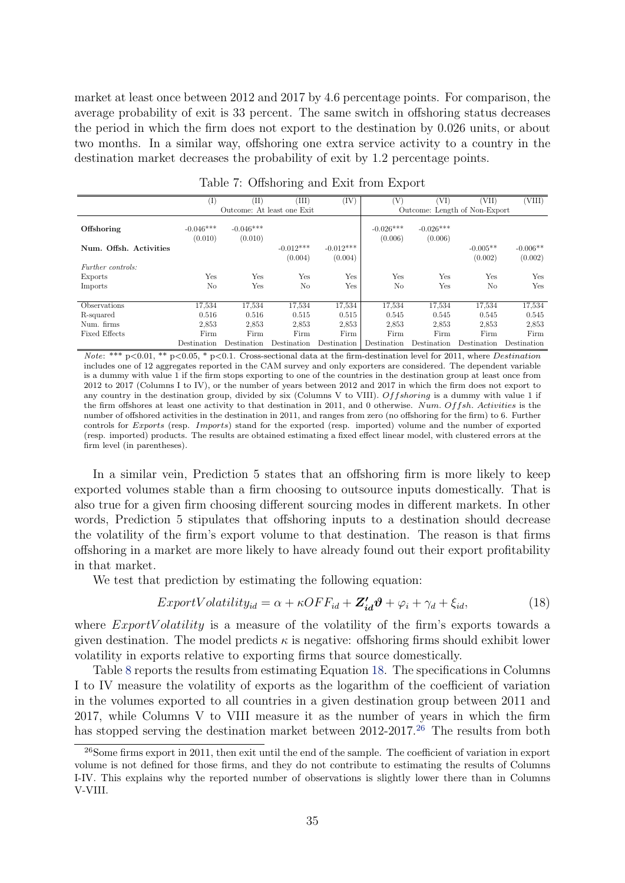market at least once between 2012 and 2017 by 4.6 percentage points. For comparison, the average probability of exit is 33 percent. The same switch in offshoring status decreases the period in which the firm does not export to the destination by 0.026 units, or about two months. In a similar way, offshoring one extra service activity to a country in the destination market decreases the probability of exit by 1.2 percentage points.

<span id="page-34-0"></span>

|                        | T)                     | (II)                       | (III)                  | (IV)                   | 'V)                    | 'VI)                          | (VII)                 | (VIII)                |
|------------------------|------------------------|----------------------------|------------------------|------------------------|------------------------|-------------------------------|-----------------------|-----------------------|
|                        |                        | Outcome: At least one Exit |                        |                        |                        | Outcome: Length of Non-Export |                       |                       |
| Offshoring             | $-0.046***$<br>(0.010) | $-0.046***$<br>(0.010)     |                        |                        | $-0.026***$<br>(0.006) | $-0.026***$<br>(0.006)        |                       |                       |
| Num. Offsh. Activities |                        |                            | $-0.012***$<br>(0.004) | $-0.012***$<br>(0.004) |                        |                               | $-0.005**$<br>(0.002) | $-0.006**$<br>(0.002) |
| Further controls:      |                        |                            |                        |                        |                        |                               |                       |                       |
| Exports                | Yes                    | Yes                        | Yes                    | Yes                    | Yes                    | Yes                           | Yes                   | Yes                   |
| Imports                | No                     | Yes                        | No                     | Yes                    | No                     | Yes                           | No                    | Yes                   |
|                        |                        |                            |                        |                        |                        |                               |                       |                       |
| Observations           | 17,534                 | 17,534                     | 17,534                 | 17,534                 | 17,534                 | 17,534                        | 17,534                | 17,534                |
| R-squared              | 0.516                  | 0.516                      | 0.515                  | 0.515                  | 0.545                  | 0.545                         | 0.545                 | 0.545                 |
| Num. firms             | 2,853                  | 2,853                      | 2,853                  | 2,853                  | 2,853                  | 2,853                         | 2,853                 | 2,853                 |
| <b>Fixed Effects</b>   | Firm                   | Firm                       | Firm                   | Firm                   | Firm                   | Firm                          | Firm                  | Firm                  |
|                        | Destination            | Destination                | Destination            | Destination            | Destination            | Destination                   | Destination           | Destination           |

Table 7: Offshoring and Exit from Export

Note: \*\*\* p<0.01, \*\* p<0.05, \* p<0.1. Cross-sectional data at the firm-destination level for 2011, where Destination includes one of 12 aggregates reported in the CAM survey and only exporters are considered. The dependent variable is a dummy with value 1 if the firm stops exporting to one of the countries in the destination group at least once from 2012 to 2017 (Columns I to IV), or the number of years between 2012 and 2017 in which the firm does not export to any country in the destination group, divided by six (Columns V to VIII).  $Offshoring$  is a dummy with value 1 if the firm offshores at least one activity to that destination in 2011, and 0 otherwise. Num. Offsh. Activities is the number of offshored activities in the destination in 2011, and ranges from zero (no offshoring for the firm) to 6. Further controls for Exports (resp. Imports) stand for the exported (resp. imported) volume and the number of exported (resp. imported) products. The results are obtained estimating a fixed effect linear model, with clustered errors at the firm level (in parentheses).

In a similar vein, Prediction 5 states that an offshoring firm is more likely to keep exported volumes stable than a firm choosing to outsource inputs domestically. That is also true for a given firm choosing different sourcing modes in different markets. In other words, Prediction 5 stipulates that offshoring inputs to a destination should decrease the volatility of the firm's export volume to that destination. The reason is that firms offshoring in a market are more likely to have already found out their export profitability in that market.

We test that prediction by estimating the following equation:

<span id="page-34-1"></span>
$$
ExportVolatility_{id} = \alpha + \kappa OFF_{id} + \mathbf{Z}_{id}'\boldsymbol{\vartheta} + \varphi_i + \gamma_d + \xi_{id},\tag{18}
$$

where  $ExportVolatility$  is a measure of the volatility of the firm's exports towards a given destination. The model predicts  $\kappa$  is negative: offshoring firms should exhibit lower volatility in exports relative to exporting firms that source domestically.

Table [8](#page-35-1) reports the results from estimating Equation [18.](#page-34-1) The specifications in Columns I to IV measure the volatility of exports as the logarithm of the coefficient of variation in the volumes exported to all countries in a given destination group between 2011 and 2017, while Columns V to VIII measure it as the number of years in which the firm has stopped serving the destination market between 2012-2017.<sup>[26](#page-34-2)</sup> The results from both

<span id="page-34-2"></span><sup>26</sup>Some firms export in 2011, then exit until the end of the sample. The coefficient of variation in export volume is not defined for those firms, and they do not contribute to estimating the results of Columns I-IV. This explains why the reported number of observations is slightly lower there than in Columns V-VIII.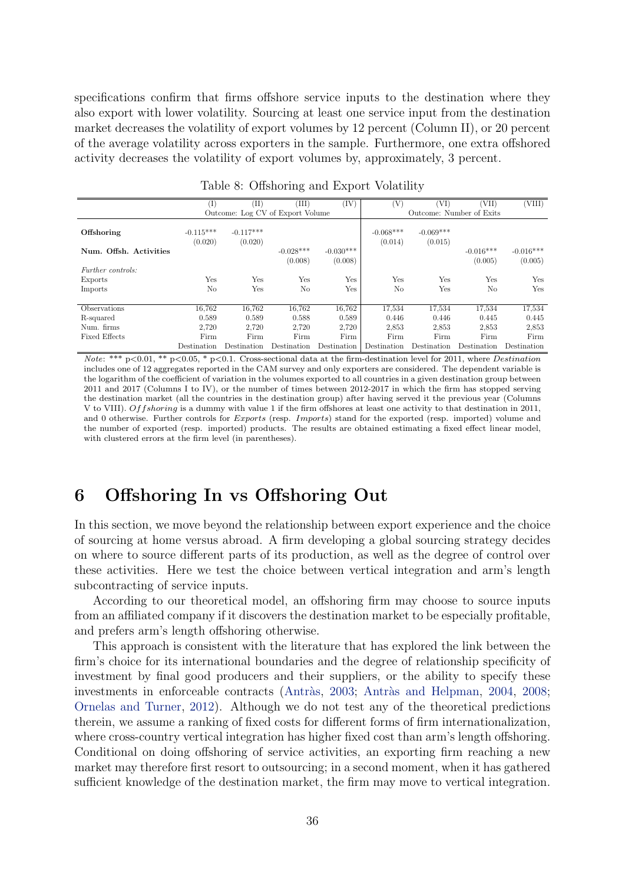<span id="page-35-2"></span>specifications confirm that firms offshore service inputs to the destination where they also export with lower volatility. Sourcing at least one service input from the destination market decreases the volatility of export volumes by 12 percent (Column II), or 20 percent of the average volatility across exporters in the sample. Furthermore, one extra offshored activity decreases the volatility of export volumes by, approximately, 3 percent.

<span id="page-35-1"></span>

|                          | $(\mathrm{I})$         | (II)                             | (III)                  | (IV)                   | (V)                    | (VI)                   | 'VII)                    | (VIII)                 |
|--------------------------|------------------------|----------------------------------|------------------------|------------------------|------------------------|------------------------|--------------------------|------------------------|
|                          |                        |                                  |                        |                        |                        |                        |                          |                        |
|                          |                        | Outcome: Log CV of Export Volume |                        |                        |                        |                        | Outcome: Number of Exits |                        |
| Offshoring               | $-0.115***$<br>(0.020) | $-0.117***$<br>(0.020)           |                        |                        | $-0.068***$<br>(0.014) | $-0.069***$<br>(0.015) |                          |                        |
| Num. Offsh. Activities   |                        |                                  | $-0.028***$<br>(0.008) | $-0.030***$<br>(0.008) |                        |                        | $-0.016***$<br>(0.005)   | $-0.016***$<br>(0.005) |
| <i>Further controls:</i> |                        |                                  |                        |                        |                        |                        |                          |                        |
| Exports                  | Yes                    | Yes                              | Yes                    | Yes                    | Yes                    | <b>Yes</b>             | Yes                      | Yes                    |
| Imports                  | No                     | Yes                              | No                     | Yes                    | N <sub>o</sub>         | Yes                    | No                       | Yes                    |
|                          |                        |                                  |                        |                        |                        |                        |                          |                        |
| Observations             | 16.762                 | 16,762                           | 16,762                 | 16.762                 | 17,534                 | 17,534                 | 17,534                   | 17,534                 |
| R-squared                | 0.589                  | 0.589                            | 0.588                  | 0.589                  | 0.446                  | 0.446                  | 0.445                    | 0.445                  |
| Num. firms               | 2,720                  | 2,720                            | 2,720                  | 2,720                  | 2,853                  | 2,853                  | 2,853                    | 2,853                  |
| <b>Fixed Effects</b>     | Firm                   | Firm                             | Firm                   | Firm                   | Firm                   | Firm                   | Firm                     | Firm                   |
|                          | Destination            | Destination                      | Destination            | Destination            | Destination            | Destination            | Destination              | Destination            |

Table 8: Offshoring and Export Volatility

Note: \*\*\* p<0.01, \*\* p<0.05, \* p<0.1. Cross-sectional data at the firm-destination level for 2011, where Destination includes one of 12 aggregates reported in the CAM survey and only exporters are considered. The dependent variable is the logarithm of the coefficient of variation in the volumes exported to all countries in a given destination group between 2011 and 2017 (Columns I to IV), or the number of times between 2012-2017 in which the firm has stopped serving the destination market (all the countries in the destination group) after having served it the previous year (Columns V to VIII). Of fshoring is a dummy with value 1 if the firm offshores at least one activity to that destination in 2011, and 0 otherwise. Further controls for *Exports* (resp. *Imports*) stand for the exported (resp. imported) volume and the number of exported (resp. imported) products. The results are obtained estimating a fixed effect linear model, with clustered errors at the firm level (in parentheses).

## <span id="page-35-0"></span>6 Offshoring In vs Offshoring Out

In this section, we move beyond the relationship between export experience and the choice of sourcing at home versus abroad. A firm developing a global sourcing strategy decides on where to source different parts of its production, as well as the degree of control over these activities. Here we test the choice between vertical integration and arm's length subcontracting of service inputs.

According to our theoretical model, an offshoring firm may choose to source inputs from an affiliated company if it discovers the destination market to be especially profitable, and prefers arm's length offshoring otherwise.

This approach is consistent with the literature that has explored the link between the firm's choice for its international boundaries and the degree of relationship specificity of investment by final good producers and their suppliers, or the ability to specify these investments in enforceable contracts (Antràs, [2003;](#page-38-12) Antràs and Helpman, [2004,](#page-38-13) [2008;](#page-38-14) [Ornelas and Turner,](#page-40-13) [2012\)](#page-40-13). Although we do not test any of the theoretical predictions therein, we assume a ranking of fixed costs for different forms of firm internationalization, where cross-country vertical integration has higher fixed cost than arm's length offshoring. Conditional on doing offshoring of service activities, an exporting firm reaching a new market may therefore first resort to outsourcing; in a second moment, when it has gathered sufficient knowledge of the destination market, the firm may move to vertical integration.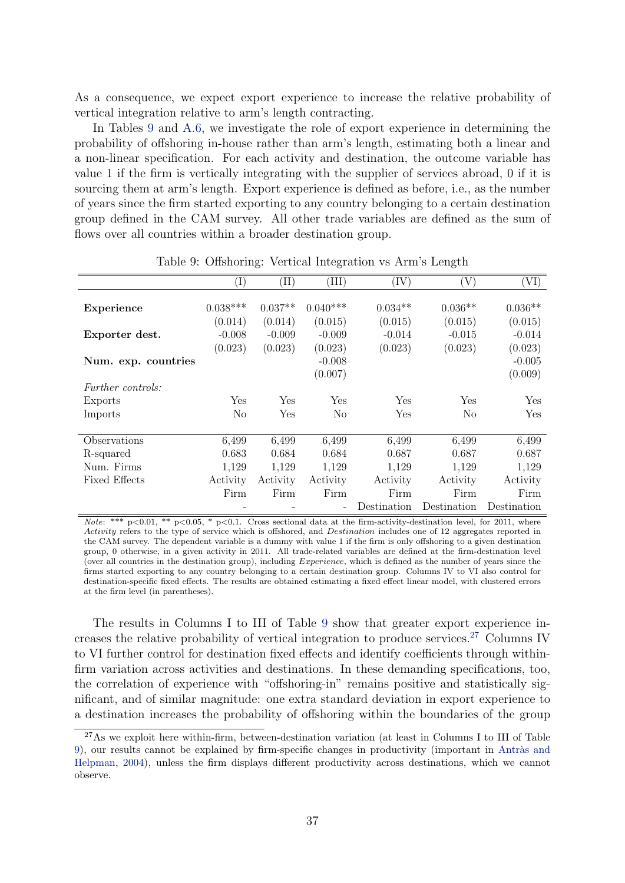<span id="page-36-2"></span>As a consequence, we expect export experience to increase the relative probability of vertical integration relative to arm's length contracting.

In Tables [9](#page-36-0) and [A.6,](#page-45-0) we investigate the role of export experience in determining the probability of offshoring in-house rather than arm's length, estimating both a linear and a non-linear specification. For each activity and destination, the outcome variable has value 1 if the firm is vertically integrating with the supplier of services abroad, 0 if it is sourcing them at arm's length. Export experience is defined as before, i.e., as the number of years since the firm started exporting to any country belonging to a certain destination group defined in the CAM survey. All other trade variables are defined as the sum of flows over all countries within a broader destination group.

<span id="page-36-0"></span>

|                          | $(\mathrm{I})$ | $(\mathrm{II})$ | (III)                    | (IV)        | V)             | 'VI)        |
|--------------------------|----------------|-----------------|--------------------------|-------------|----------------|-------------|
|                          |                |                 |                          |             |                |             |
| Experience               | $0.038***$     | $0.037**$       | $0.040***$               | $0.034**$   | $0.036**$      | $0.036**$   |
|                          | (0.014)        | (0.014)         | (0.015)                  | (0.015)     | (0.015)        | (0.015)     |
| Exporter dest.           | $-0.008$       | $-0.009$        | $-0.009$                 | $-0.014$    | $-0.015$       | $-0.014$    |
|                          | (0.023)        | (0.023)         | (0.023)                  | (0.023)     | (0.023)        | (0.023)     |
| Num. exp. countries      |                |                 | $-0.008$                 |             |                | $-0.005$    |
|                          |                |                 | (0.007)                  |             |                | (0.009)     |
| <i>Further controls:</i> |                |                 |                          |             |                |             |
| Exports                  | Yes            | Yes             | Yes                      | Yes         | <b>Yes</b>     | Yes         |
| Imports                  | No             | Yes             | No                       | Yes         | N <sub>0</sub> | Yes         |
|                          |                |                 |                          |             |                |             |
| Observations             | 6,499          | 6,499           | 6,499                    | 6.499       | 6.499          | 6,499       |
| R-squared                | 0.683          | 0.684           | 0.684                    | 0.687       | 0.687          | 0.687       |
| Num. Firms               | 1,129          | 1,129           | 1,129                    | 1,129       | 1,129          | 1,129       |
| <b>Fixed Effects</b>     | Activity       | Activity        | Activity                 | Activity    | Activity       | Activity    |
|                          | Firm           | Firm            | Firm                     | Firm        | Firm           | Firm        |
|                          |                |                 | $\overline{\phantom{0}}$ | Destination | Destination    | Destination |

Table 9: Offshoring: Vertical Integration vs Arm's Length

Note: \*\*\*  $p<0.01$ , \*\*  $p<0.05$ , \*  $p<0.1$ . Cross sectional data at the firm-activity-destination level, for 2011, where Activity refers to the type of service which is offshored, and *Destination* includes one of 12 aggregates reported in the CAM survey. The dependent variable is a dummy with value 1 if the firm is only offshoring to a given destination group, 0 otherwise, in a given activity in 2011. All trade-related variables are defined at the firm-destination level (over all countries in the destination group), including *Experience*, which is defined as the number of years since the firms started exporting to any country belonging to a certain destination group. Columns IV to VI also control for destination-specific fixed effects. The results are obtained estimating a fixed effect linear model, with clustered errors at the firm level (in parentheses).

The results in Columns I to III of Table [9](#page-36-0) show that greater export experience increases the relative probability of vertical integration to produce services.[27](#page-36-1) Columns IV to VI further control for destination fixed effects and identify coefficients through withinfirm variation across activities and destinations. In these demanding specifications, too, the correlation of experience with "offshoring-in" remains positive and statistically significant, and of similar magnitude: one extra standard deviation in export experience to a destination increases the probability of offshoring within the boundaries of the group

<span id="page-36-1"></span><sup>&</sup>lt;sup>27</sup>As we exploit here within-firm, between-destination variation (at least in Columns I to III of Table [9\)](#page-36-0), our results cannot be explained by firm-specific changes in productivity (important in Antràs and [Helpman,](#page-38-13) [2004\)](#page-38-13), unless the firm displays different productivity across destinations, which we cannot observe.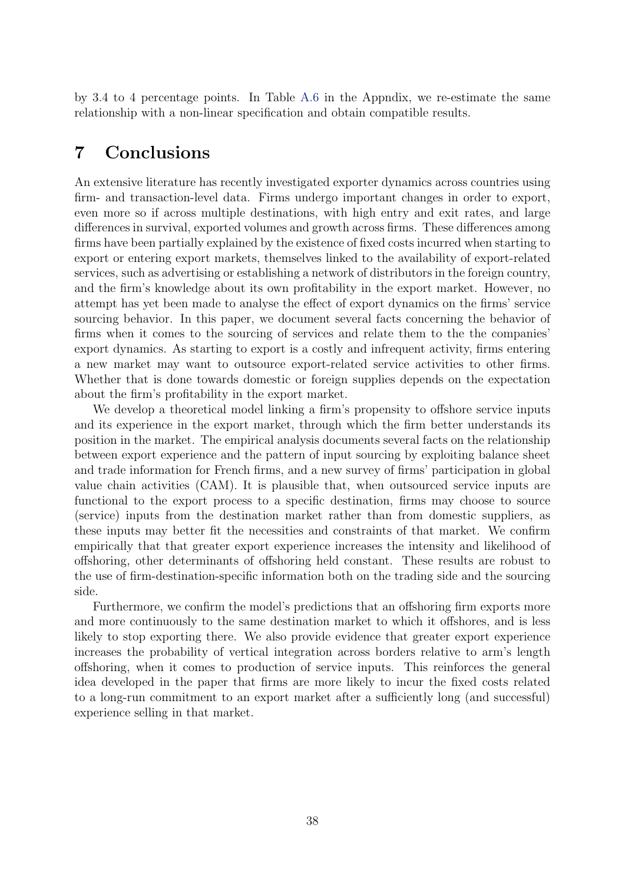by 3.4 to 4 percentage points. In Table [A.6](#page-45-0) in the Appndix, we re-estimate the same relationship with a non-linear specification and obtain compatible results.

## <span id="page-37-0"></span>7 Conclusions

An extensive literature has recently investigated exporter dynamics across countries using firm- and transaction-level data. Firms undergo important changes in order to export, even more so if across multiple destinations, with high entry and exit rates, and large differences in survival, exported volumes and growth across firms. These differences among firms have been partially explained by the existence of fixed costs incurred when starting to export or entering export markets, themselves linked to the availability of export-related services, such as advertising or establishing a network of distributors in the foreign country, and the firm's knowledge about its own profitability in the export market. However, no attempt has yet been made to analyse the effect of export dynamics on the firms' service sourcing behavior. In this paper, we document several facts concerning the behavior of firms when it comes to the sourcing of services and relate them to the the companies' export dynamics. As starting to export is a costly and infrequent activity, firms entering a new market may want to outsource export-related service activities to other firms. Whether that is done towards domestic or foreign supplies depends on the expectation about the firm's profitability in the export market.

We develop a theoretical model linking a firm's propensity to offshore service inputs and its experience in the export market, through which the firm better understands its position in the market. The empirical analysis documents several facts on the relationship between export experience and the pattern of input sourcing by exploiting balance sheet and trade information for French firms, and a new survey of firms' participation in global value chain activities (CAM). It is plausible that, when outsourced service inputs are functional to the export process to a specific destination, firms may choose to source (service) inputs from the destination market rather than from domestic suppliers, as these inputs may better fit the necessities and constraints of that market. We confirm empirically that that greater export experience increases the intensity and likelihood of offshoring, other determinants of offshoring held constant. These results are robust to the use of firm-destination-specific information both on the trading side and the sourcing side.

Furthermore, we confirm the model's predictions that an offshoring firm exports more and more continuously to the same destination market to which it offshores, and is less likely to stop exporting there. We also provide evidence that greater export experience increases the probability of vertical integration across borders relative to arm's length offshoring, when it comes to production of service inputs. This reinforces the general idea developed in the paper that firms are more likely to incur the fixed costs related to a long-run commitment to an export market after a sufficiently long (and successful) experience selling in that market.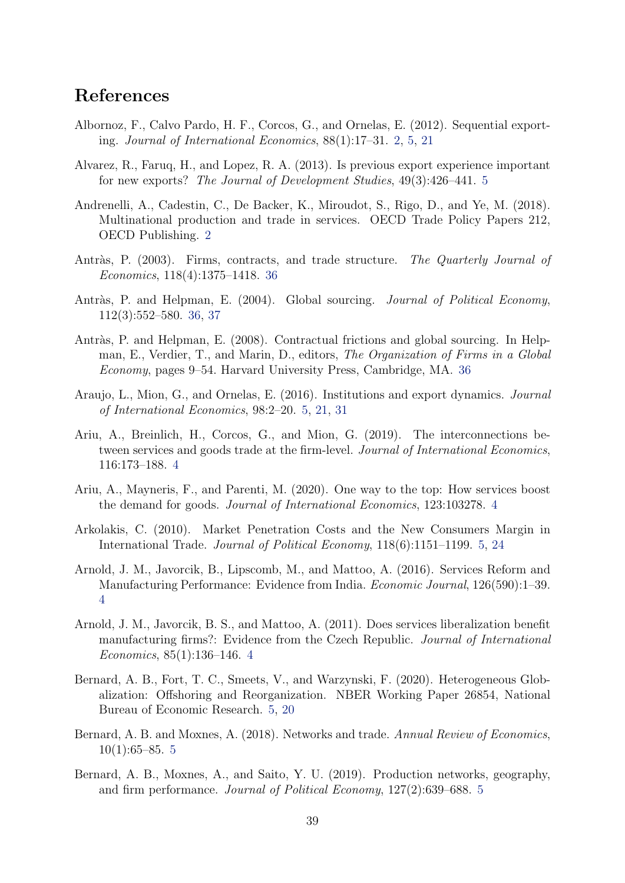## References

- <span id="page-38-1"></span>Albornoz, F., Calvo Pardo, H. F., Corcos, G., and Ornelas, E. (2012). Sequential exporting. Journal of International Economics, 88(1):17–31. [2,](#page-1-0) [5,](#page-4-2) [21](#page-20-3)
- <span id="page-38-6"></span>Alvarez, R., Faruq, H., and Lopez, R. A. (2013). Is previous export experience important for new exports? The Journal of Development Studies, 49(3):426–441. [5](#page-4-2)
- <span id="page-38-0"></span>Andrenelli, A., Cadestin, C., De Backer, K., Miroudot, S., Rigo, D., and Ye, M. (2018). Multinational production and trade in services. OECD Trade Policy Papers 212, OECD Publishing. [2](#page-1-0)
- <span id="page-38-12"></span>Antràs, P. (2003). Firms, contracts, and trade structure. The Quarterly Journal of Economics, 118(4):1375–1418. [36](#page-35-2)
- <span id="page-38-13"></span>Antràs, P. and Helpman, E. (2004). Global sourcing. *Journal of Political Economy*, 112(3):552–580. [36,](#page-35-2) [37](#page-36-2)
- <span id="page-38-14"></span>Antràs, P. and Helpman, E. (2008). Contractual frictions and global sourcing. In Helpman, E., Verdier, T., and Marin, D., editors, The Organization of Firms in a Global Economy, pages 9–54. Harvard University Press, Cambridge, MA. [36](#page-35-2)
- <span id="page-38-7"></span>Araujo, L., Mion, G., and Ornelas, E. (2016). Institutions and export dynamics. Journal of International Economics, 98:2–20. [5,](#page-4-2) [21,](#page-20-3) [31](#page-30-1)
- <span id="page-38-5"></span>Ariu, A., Breinlich, H., Corcos, G., and Mion, G. (2019). The interconnections between services and goods trade at the firm-level. Journal of International Economics, 116:173–188. [4](#page-3-0)
- <span id="page-38-4"></span>Ariu, A., Mayneris, F., and Parenti, M. (2020). One way to the top: How services boost the demand for goods. Journal of International Economics, 123:103278. [4](#page-3-0)
- <span id="page-38-8"></span>Arkolakis, C. (2010). Market Penetration Costs and the New Consumers Margin in International Trade. Journal of Political Economy, 118(6):1151–1199. [5,](#page-4-2) [24](#page-23-2)
- <span id="page-38-3"></span>Arnold, J. M., Javorcik, B., Lipscomb, M., and Mattoo, A. (2016). Services Reform and Manufacturing Performance: Evidence from India. Economic Journal, 126(590):1–39. [4](#page-3-0)
- <span id="page-38-2"></span>Arnold, J. M., Javorcik, B. S., and Mattoo, A. (2011). Does services liberalization benefit manufacturing firms?: Evidence from the Czech Republic. Journal of International Economics, 85(1):136–146. [4](#page-3-0)
- <span id="page-38-11"></span>Bernard, A. B., Fort, T. C., Smeets, V., and Warzynski, F. (2020). Heterogeneous Globalization: Offshoring and Reorganization. NBER Working Paper 26854, National Bureau of Economic Research. [5,](#page-4-2) [20](#page-19-1)
- <span id="page-38-9"></span>Bernard, A. B. and Moxnes, A. (2018). Networks and trade. Annual Review of Economics,  $10(1):65–85.5$  $10(1):65–85.5$  $10(1):65–85.5$
- <span id="page-38-10"></span>Bernard, A. B., Moxnes, A., and Saito, Y. U. (2019). Production networks, geography, and firm performance. Journal of Political Economy, 127(2):639–688. [5](#page-4-2)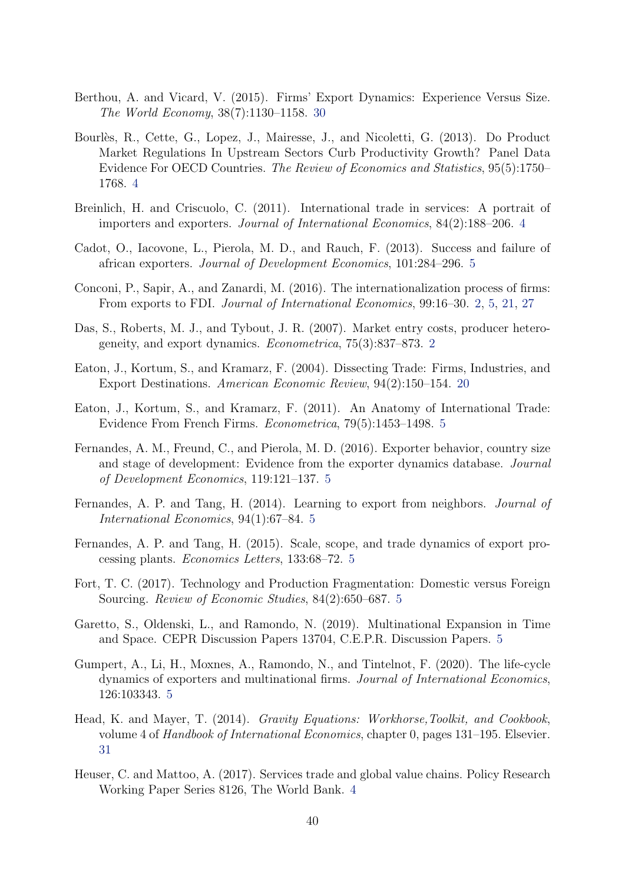- <span id="page-39-14"></span>Berthou, A. and Vicard, V. (2015). Firms' Export Dynamics: Experience Versus Size. The World Economy, 38(7):1130–1158. [30](#page-29-3)
- <span id="page-39-3"></span>Bourlès, R., Cette, G., Lopez, J., Mairesse, J., and Nicoletti, G. (2013). Do Product Market Regulations In Upstream Sectors Curb Productivity Growth? Panel Data Evidence For OECD Countries. The Review of Economics and Statistics, 95(5):1750– 1768. [4](#page-3-0)
- <span id="page-39-4"></span>Breinlich, H. and Criscuolo, C. (2011). International trade in services: A portrait of importers and exporters. Journal of International Economics, 84(2):188–206. [4](#page-3-0)
- <span id="page-39-6"></span>Cadot, O., Iacovone, L., Pierola, M. D., and Rauch, F. (2013). Success and failure of african exporters. Journal of Development Economics, 101:284–296. [5](#page-4-2)
- <span id="page-39-1"></span>Conconi, P., Sapir, A., and Zanardi, M. (2016). The internationalization process of firms: From exports to FDI. Journal of International Economics, 99:16–30. [2,](#page-1-0) [5,](#page-4-2) [21,](#page-20-3) [27](#page-26-2)
- <span id="page-39-0"></span>Das, S., Roberts, M. J., and Tybout, J. R. (2007). Market entry costs, producer heterogeneity, and export dynamics. Econometrica, 75(3):837–873. [2](#page-1-0)
- <span id="page-39-13"></span>Eaton, J., Kortum, S., and Kramarz, F. (2004). Dissecting Trade: Firms, Industries, and Export Destinations. American Economic Review, 94(2):150–154. [20](#page-19-1)
- <span id="page-39-5"></span>Eaton, J., Kortum, S., and Kramarz, F. (2011). An Anatomy of International Trade: Evidence From French Firms. Econometrica, 79(5):1453–1498. [5](#page-4-2)
- <span id="page-39-9"></span>Fernandes, A. M., Freund, C., and Pierola, M. D. (2016). Exporter behavior, country size and stage of development: Evidence from the exporter dynamics database. Journal of Development Economics, 119:121–137. [5](#page-4-2)
- <span id="page-39-7"></span>Fernandes, A. P. and Tang, H. (2014). Learning to export from neighbors. Journal of International Economics, 94(1):67–84. [5](#page-4-2)
- <span id="page-39-8"></span>Fernandes, A. P. and Tang, H. (2015). Scale, scope, and trade dynamics of export processing plants. Economics Letters, 133:68–72. [5](#page-4-2)
- <span id="page-39-12"></span>Fort, T. C. (2017). Technology and Production Fragmentation: Domestic versus Foreign Sourcing. Review of Economic Studies, 84(2):650–687. [5](#page-4-2)
- <span id="page-39-10"></span>Garetto, S., Oldenski, L., and Ramondo, N. (2019). Multinational Expansion in Time and Space. CEPR Discussion Papers 13704, C.E.P.R. Discussion Papers. [5](#page-4-2)
- <span id="page-39-11"></span>Gumpert, A., Li, H., Moxnes, A., Ramondo, N., and Tintelnot, F. (2020). The life-cycle dynamics of exporters and multinational firms. Journal of International Economics, 126:103343. [5](#page-4-2)
- <span id="page-39-15"></span>Head, K. and Mayer, T. (2014). Gravity Equations: Workhorse,Toolkit, and Cookbook, volume 4 of Handbook of International Economics, chapter 0, pages 131–195. Elsevier. [31](#page-30-1)
- <span id="page-39-2"></span>Heuser, C. and Mattoo, A. (2017). Services trade and global value chains. Policy Research Working Paper Series 8126, The World Bank. [4](#page-3-0)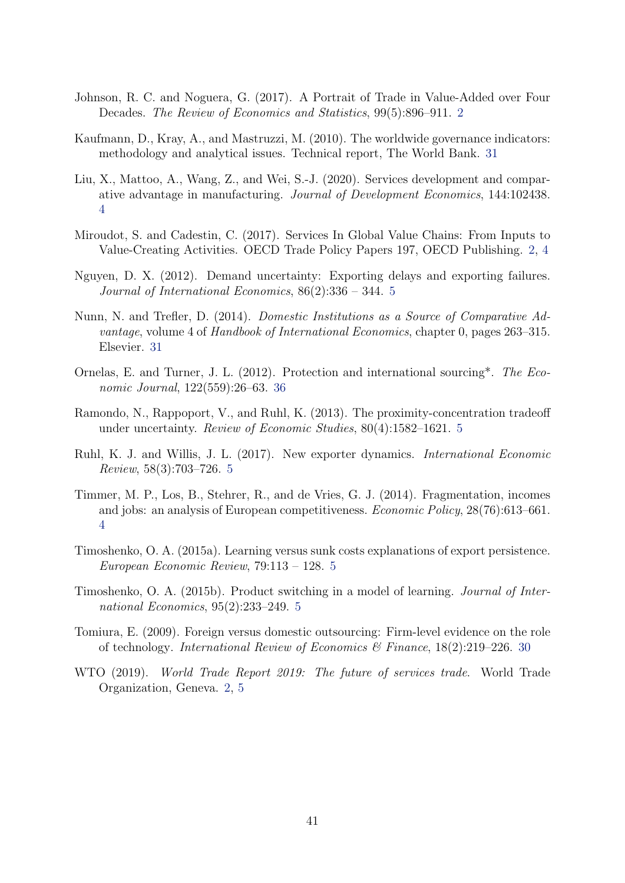- <span id="page-40-1"></span>Johnson, R. C. and Noguera, G. (2017). A Portrait of Trade in Value-Added over Four Decades. The Review of Economics and Statistics, 99(5):896–911. [2](#page-1-0)
- <span id="page-40-11"></span>Kaufmann, D., Kray, A., and Mastruzzi, M. (2010). The worldwide governance indicators: methodology and analytical issues. Technical report, The World Bank. [31](#page-30-1)
- <span id="page-40-4"></span>Liu, X., Mattoo, A., Wang, Z., and Wei, S.-J. (2020). Services development and comparative advantage in manufacturing. Journal of Development Economics, 144:102438. [4](#page-3-0)
- <span id="page-40-2"></span>Miroudot, S. and Cadestin, C. (2017). Services In Global Value Chains: From Inputs to Value-Creating Activities. OECD Trade Policy Papers 197, OECD Publishing. [2,](#page-1-0) [4](#page-3-0)
- <span id="page-40-5"></span>Nguyen, D. X. (2012). Demand uncertainty: Exporting delays and exporting failures. Journal of International Economics, 86(2):336 – 344. [5](#page-4-2)
- <span id="page-40-12"></span>Nunn, N. and Trefler, D. (2014). Domestic Institutions as a Source of Comparative Advantage, volume 4 of Handbook of International Economics, chapter 0, pages 263–315. Elsevier. [31](#page-30-1)
- <span id="page-40-13"></span>Ornelas, E. and Turner, J. L. (2012). Protection and international sourcing\*. The Economic Journal, 122(559):26–63. [36](#page-35-2)
- <span id="page-40-8"></span>Ramondo, N., Rappoport, V., and Ruhl, K. (2013). The proximity-concentration tradeoff under uncertainty. Review of Economic Studies, 80(4):1582–1621. [5](#page-4-2)
- <span id="page-40-7"></span>Ruhl, K. J. and Willis, J. L. (2017). New exporter dynamics. International Economic Review, 58(3):703–726. [5](#page-4-2)
- <span id="page-40-3"></span>Timmer, M. P., Los, B., Stehrer, R., and de Vries, G. J. (2014). Fragmentation, incomes and jobs: an analysis of European competitiveness. Economic Policy, 28(76):613–661. [4](#page-3-0)
- <span id="page-40-9"></span>Timoshenko, O. A. (2015a). Learning versus sunk costs explanations of export persistence. European Economic Review, 79:113 – 128. [5](#page-4-2)
- <span id="page-40-6"></span>Timoshenko, O. A. (2015b). Product switching in a model of learning. Journal of International Economics, 95(2):233–249. [5](#page-4-2)
- <span id="page-40-10"></span>Tomiura, E. (2009). Foreign versus domestic outsourcing: Firm-level evidence on the role of technology. International Review of Economics & Finance,  $18(2):219-226.$  [30](#page-29-3)
- <span id="page-40-0"></span>WTO (2019). World Trade Report 2019: The future of services trade. World Trade Organization, Geneva. [2,](#page-1-0) [5](#page-4-2)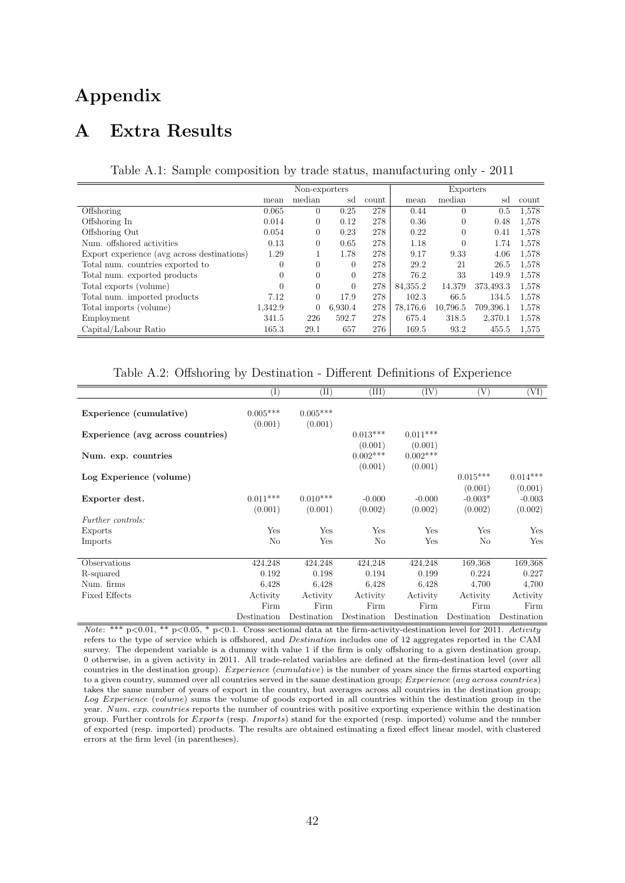# Appendix

## A Extra Results

Table A.1: Sample composition by trade status, manufacturing only - 2011

<span id="page-41-0"></span>

|                                             |          | Non-exporters |         |       |          | Exporters |           |       |
|---------------------------------------------|----------|---------------|---------|-------|----------|-----------|-----------|-------|
|                                             | mean     | median        | sd      | count | mean     | median    | sd        | count |
| Offshoring                                  | 0.065    | $\theta$      | 0.25    | 278   | 0.44     | $\Omega$  | 0.5       | 1,578 |
| Offshoring In                               | 0.014    | $\theta$      | 0.12    | 278   | 0.36     | $\theta$  | 0.48      | 1,578 |
| Offshoring Out                              | 0.054    | 0             | 0.23    | 278   | 0.22     | $\Omega$  | 0.41      | 1,578 |
| Num. offshored activities                   | 0.13     | 0             | 0.65    | 278   | 1.18     | $\theta$  | 1.74      | 1,578 |
| Export experience (avg across destinations) | 1.29     |               | 1.78    | 278   | 9.17     | 9.33      | 4.06      | 1,578 |
| Total num. countries exported to            | $\theta$ | $\theta$      | 0       | 278   | 29.2     | 21        | 26.5      | 1,578 |
| Total num. exported products                | $\theta$ | $\Omega$      | 0       | 278   | 76.2     | 33        | 149.9     | 1,578 |
| Total exports (volume)                      | $\theta$ | $\theta$      | 0       | 278   | 84,355.2 | 14,379    | 373,493.3 | 1,578 |
| Total num. imported products                | 7.12     | $\Omega$      | 17.9    | 278   | 102.3    | 66.5      | 134.5     | 1.578 |
| Total imports (volume)                      | 1.342.9  | $\Omega$      | 6.930.4 | 278   | 78.176.6 | 10.796.5  | 709,396.1 | 1.578 |
| Employment                                  | 341.5    | 226           | 592.7   | 278   | 675.4    | 318.5     | 2,370.1   | 1,578 |
| Capital/Labour Ratio                        | 165.3    | 29.1          | 657     | 276   | 169.5    | 93.2      | 455.5     | 1.575 |

Table A.2: Offshoring by Destination - Different Definitions of Experience

<span id="page-41-1"></span>

|                                   | $\rm(I)$              | $^{(\mathrm{II})}$    | (III)                            | $(\mathrm{IV})$                  | $\left( \mathrm{V}\right)$      | [VI]                           |
|-----------------------------------|-----------------------|-----------------------|----------------------------------|----------------------------------|---------------------------------|--------------------------------|
| Experience (cumulative)           | $0.005***$<br>(0.001) | $0.005***$<br>(0.001) |                                  |                                  |                                 |                                |
| Experience (avg across countries) |                       |                       | $0.013***$                       | $0.011***$                       |                                 |                                |
| Num. exp. countries               |                       |                       | (0.001)<br>$0.002***$<br>(0.001) | (0.001)<br>$0.002***$<br>(0.001) |                                 |                                |
| Log Experience (volume)           |                       |                       |                                  |                                  | $0.015***$                      | $0.014***$                     |
| Exporter dest.                    | $0.011***$<br>(0.001) | $0.010***$<br>(0.001) | $-0.000$<br>(0.002)              | $-0.000$<br>(0.002)              | (0.001)<br>$-0.003*$<br>(0.002) | (0.001)<br>$-0.003$<br>(0.002) |
| <i>Further controls:</i>          |                       |                       |                                  |                                  |                                 |                                |
| Exports                           | Yes                   | Yes                   | Yes                              | Yes                              | Yes                             | Yes                            |
| Imports                           | No                    | Yes                   | No                               | Yes                              | No                              | Yes                            |
|                                   |                       |                       |                                  |                                  |                                 |                                |
| Observations                      | 424,248               | 424,248               | 424,248                          | 424,248                          | 169,368                         | 169,368                        |
| R-squared                         | 0.192                 | 0.198                 | 0.194                            | 0.199                            | 0.224                           | 0.227                          |
| Num. firms                        | 6.428                 | 6.428                 | 6.428                            | 6.428                            | 4,700                           | 4,700                          |
| <b>Fixed Effects</b>              | Activity              | Activity              | Activity                         | Activity                         | Activity                        | Activity                       |
|                                   | Firm                  | Firm                  | Firm                             | Firm                             | Firm                            | Firm                           |
|                                   | Destination           | Destination           | Destination                      | Destination                      | Destination                     | Destination                    |

Note: \*\*\* p<0.01, \*\* p<0.05, \* p<0.1. Cross sectional data at the firm-activity-destination level for 2011. Activity refers to the type of service which is offshored, and *Destination* includes one of 12 aggregates reported in the CAM survey. The dependent variable is a dummy with value 1 if the firm is only offshoring to a given destination group, 0 otherwise, in a given activity in 2011. All trade-related variables are defined at the firm-destination level (over all countries in the destination group). Experience (cumulative) is the number of years since the firms started exporting to a given country, summed over all countries served in the same destination group;  $Experience$   $(avg\ across\ countries)$ takes the same number of years of export in the country, but averages across all countries in the destination group; Log Experience (volume) sums the volume of goods exported in all countries within the destination group in the year. Num. exp. countries reports the number of countries with positive exporting experience within the destination group. Further controls for *Exports* (resp. *Imports*) stand for the exported (resp. imported) volume and the number of exported (resp. imported) products. The results are obtained estimating a fixed effect linear model, with clustered errors at the firm level (in parentheses).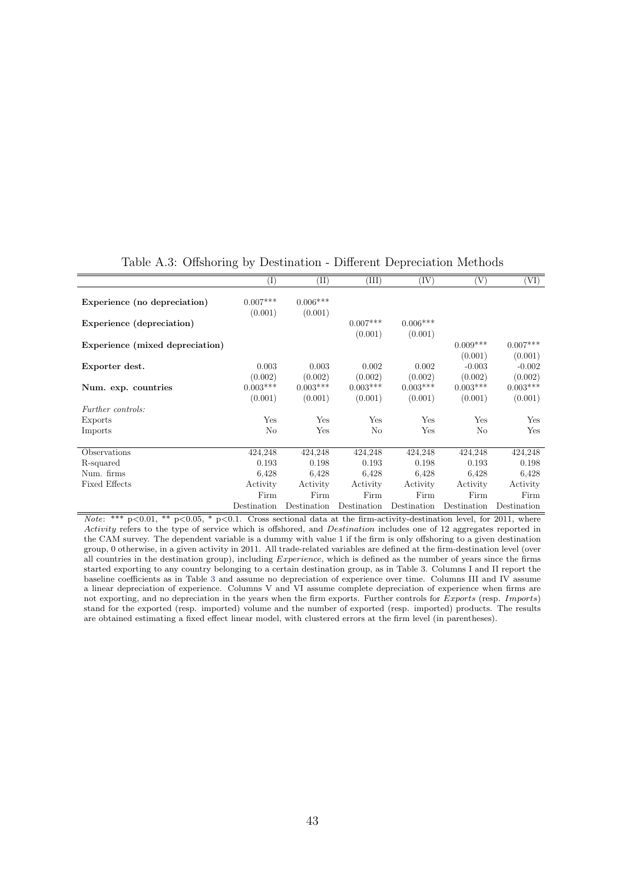<span id="page-42-0"></span>

|                                 | $(\mathrm{I})$        | $(\mathrm{II})$       | (III)       | (IV)        | 'V)         | (VI)        |
|---------------------------------|-----------------------|-----------------------|-------------|-------------|-------------|-------------|
| Experience (no depreciation)    | $0.007***$<br>(0.001) | $0.006***$<br>(0.001) |             |             |             |             |
| Experience (depreciation)       |                       |                       | $0.007***$  | $0.006***$  |             |             |
|                                 |                       |                       | (0.001)     | (0.001)     |             |             |
| Experience (mixed depreciation) |                       |                       |             |             | $0.009***$  | $0.007***$  |
|                                 |                       |                       |             |             | (0.001)     | (0.001)     |
| Exporter dest.                  | 0.003                 | 0.003                 | 0.002       | 0.002       | $-0.003$    | $-0.002$    |
|                                 | (0.002)               | (0.002)               | (0.002)     | (0.002)     | (0.002)     | (0.002)     |
| Num. exp. countries             | $0.003***$            | $0.003***$            | $0.003***$  | $0.003***$  | $0.003***$  | $0.003***$  |
|                                 | (0.001)               | (0.001)               | (0.001)     | (0.001)     | (0.001)     | (0.001)     |
| Further controls:               |                       |                       |             |             |             |             |
| Exports                         | Yes                   | Yes                   | Yes         | Yes         | Yes         | Yes         |
| Imports                         | No                    | Yes                   | $\rm No$    | Yes         | No          | Yes         |
|                                 |                       |                       |             |             |             |             |
| Observations                    | 424,248               | 424,248               | 424,248     | 424,248     | 424,248     | 424,248     |
| R-squared                       | 0.193                 | 0.198                 | 0.193       | 0.198       | 0.193       | 0.198       |
| Num. firms                      | 6,428                 | 6.428                 | 6.428       | 6.428       | 6,428       | 6.428       |
| <b>Fixed Effects</b>            | Activity              | Activity              | Activity    | Activity    | Activity    | Activity    |
|                                 | Firm                  | Firm                  | Firm        | Firm        | Firm        | Firm        |
|                                 | Destination           | Destination           | Destination | Destination | Destination | Destination |

#### Table A.3: Offshoring by Destination - Different Depreciation Methods

Note: \*\*\*  $p<0.01$ , \*\*  $p<0.05$ , \*  $p<0.1$ . Cross sectional data at the firm-activity-destination level, for 2011, where Activity refers to the type of service which is offshored, and Destination includes one of 12 aggregates reported in the CAM survey. The dependent variable is a dummy with value 1 if the firm is only offshoring to a given destination group, 0 otherwise, in a given activity in 2011. All trade-related variables are defined at the firm-destination level (over all countries in the destination group), including  $Experience$ , which is defined as the number of years since the firms started exporting to any country belonging to a certain destination group, as in Table 3. Columns I and II report the baseline coefficients as in Table [3](#page-25-0) and assume no depreciation of experience over time. Columns III and IV assume a linear depreciation of experience. Columns V and VI assume complete depreciation of experience when firms are not exporting, and no depreciation in the years when the firm exports. Further controls for Exports (resp. Imports) stand for the exported (resp. imported) volume and the number of exported (resp. imported) products. The results are obtained estimating a fixed effect linear model, with clustered errors at the firm level (in parentheses).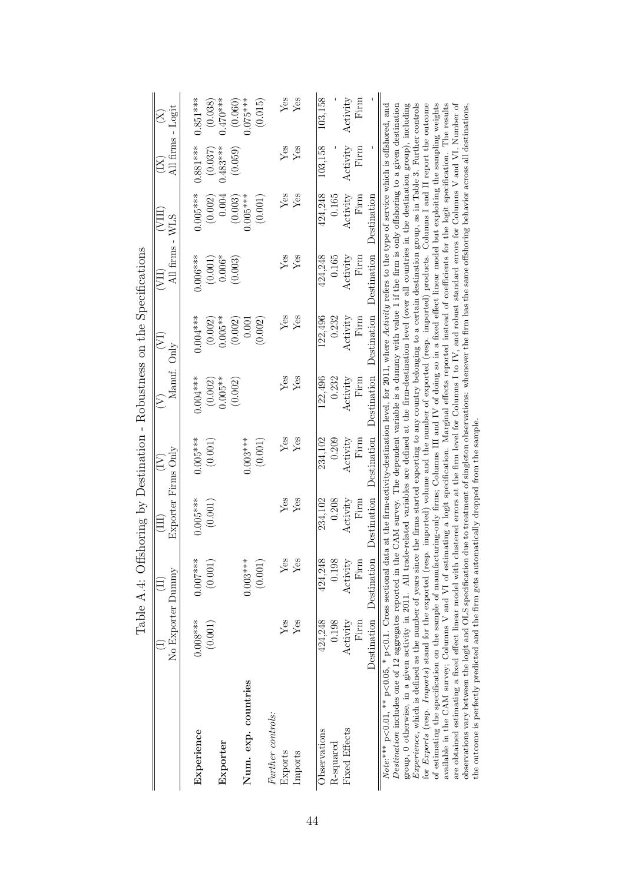<span id="page-43-0"></span>

|                                                                                                                                                                                                                                                                                                                                                                                                                                                                                                                                                                                                                                                                                                                                                                                                                                                                                                                                                                                                                                                                                                                                                                                                                                                                                                                                                                                                                                                                                                                                                                                                                                            |                         |                             | depite H. H. Distribution of the product of the product of the product of the product of the product of the product of the product of the product of the product of the product of the product of the product of the product o |                     |                      |                      |                     |                       |                            |                       |
|--------------------------------------------------------------------------------------------------------------------------------------------------------------------------------------------------------------------------------------------------------------------------------------------------------------------------------------------------------------------------------------------------------------------------------------------------------------------------------------------------------------------------------------------------------------------------------------------------------------------------------------------------------------------------------------------------------------------------------------------------------------------------------------------------------------------------------------------------------------------------------------------------------------------------------------------------------------------------------------------------------------------------------------------------------------------------------------------------------------------------------------------------------------------------------------------------------------------------------------------------------------------------------------------------------------------------------------------------------------------------------------------------------------------------------------------------------------------------------------------------------------------------------------------------------------------------------------------------------------------------------------------|-------------------------|-----------------------------|--------------------------------------------------------------------------------------------------------------------------------------------------------------------------------------------------------------------------------|---------------------|----------------------|----------------------|---------------------|-----------------------|----------------------------|-----------------------|
|                                                                                                                                                                                                                                                                                                                                                                                                                                                                                                                                                                                                                                                                                                                                                                                                                                                                                                                                                                                                                                                                                                                                                                                                                                                                                                                                                                                                                                                                                                                                                                                                                                            |                         |                             | $\Xi$                                                                                                                                                                                                                          | $\widetilde{\Xi}$   | $\widehat{\geq}$     | E                    | (III)               | (VIII)                | $\left( \mathrm{X}\right)$ | $\widetilde{\Sigma}$  |
|                                                                                                                                                                                                                                                                                                                                                                                                                                                                                                                                                                                                                                                                                                                                                                                                                                                                                                                                                                                                                                                                                                                                                                                                                                                                                                                                                                                                                                                                                                                                                                                                                                            | No Exporter Dummy       |                             |                                                                                                                                                                                                                                | Exporter Firms Only |                      | Manuf. Only          |                     | All firms - WLS       | All firms - Logit          |                       |
| Experience                                                                                                                                                                                                                                                                                                                                                                                                                                                                                                                                                                                                                                                                                                                                                                                                                                                                                                                                                                                                                                                                                                                                                                                                                                                                                                                                                                                                                                                                                                                                                                                                                                 | $0.008***$              | $0.007***$                  | $0.005***$                                                                                                                                                                                                                     | $0.005***$          | $0.004***$           | $0.004***$           | $0.006***$          | $0.005***$            | $0.881***$                 | $0.851***$            |
| Exporter                                                                                                                                                                                                                                                                                                                                                                                                                                                                                                                                                                                                                                                                                                                                                                                                                                                                                                                                                                                                                                                                                                                                                                                                                                                                                                                                                                                                                                                                                                                                                                                                                                   | (0.001)                 | (0.001)                     | (0.001)                                                                                                                                                                                                                        | (0.001)             | $0.005**$<br>(0.002) | $0.005**$<br>(0.002) | $0.006*$<br>(0.001) | 0.004<br>(0.002)      | $0.483***$<br>(0.037)      | $0.470***$<br>(0.038) |
| Num. exp. countries                                                                                                                                                                                                                                                                                                                                                                                                                                                                                                                                                                                                                                                                                                                                                                                                                                                                                                                                                                                                                                                                                                                                                                                                                                                                                                                                                                                                                                                                                                                                                                                                                        |                         | $0.003***$                  |                                                                                                                                                                                                                                | $0.003***$          | (0.002)              | 0.001<br>(0.002)     | (0.003)             | $0.005***$<br>(0.003) | (0.059)                    | $0.075***$<br>(0.060) |
|                                                                                                                                                                                                                                                                                                                                                                                                                                                                                                                                                                                                                                                                                                                                                                                                                                                                                                                                                                                                                                                                                                                                                                                                                                                                                                                                                                                                                                                                                                                                                                                                                                            |                         | (0.001)                     |                                                                                                                                                                                                                                | (0.001)             |                      | (0.002)              |                     | (0.001)               |                            | (0.015)               |
| Further controls:                                                                                                                                                                                                                                                                                                                                                                                                                                                                                                                                                                                                                                                                                                                                                                                                                                                                                                                                                                                                                                                                                                                                                                                                                                                                                                                                                                                                                                                                                                                                                                                                                          |                         |                             |                                                                                                                                                                                                                                |                     |                      |                      |                     |                       |                            |                       |
| Exports                                                                                                                                                                                                                                                                                                                                                                                                                                                                                                                                                                                                                                                                                                                                                                                                                                                                                                                                                                                                                                                                                                                                                                                                                                                                                                                                                                                                                                                                                                                                                                                                                                    | Yes                     | Yes                         | ${\rm Yes}$                                                                                                                                                                                                                    | ${\rm Yes}$         | Yes                  | ${\rm Yes}$          | Yes                 | Yes                   | ${\rm Yes}$                | Yes                   |
| Imports                                                                                                                                                                                                                                                                                                                                                                                                                                                                                                                                                                                                                                                                                                                                                                                                                                                                                                                                                                                                                                                                                                                                                                                                                                                                                                                                                                                                                                                                                                                                                                                                                                    | Yes                     | $\ensuremath{\mathrm{Yes}}$ | Yes                                                                                                                                                                                                                            | Yes                 | Yes                  | $Y$ es               | $Y$ es              | Yes                   | Yes                        | Yes                   |
|                                                                                                                                                                                                                                                                                                                                                                                                                                                                                                                                                                                                                                                                                                                                                                                                                                                                                                                                                                                                                                                                                                                                                                                                                                                                                                                                                                                                                                                                                                                                                                                                                                            |                         |                             |                                                                                                                                                                                                                                |                     |                      |                      |                     |                       |                            |                       |
| Observations                                                                                                                                                                                                                                                                                                                                                                                                                                                                                                                                                                                                                                                                                                                                                                                                                                                                                                                                                                                                                                                                                                                                                                                                                                                                                                                                                                                                                                                                                                                                                                                                                               | 424,248                 | 424,248                     | 234,102                                                                                                                                                                                                                        | 234,102             | 122,496              | 122,496              | 424,248             | 424,248               | 103,158                    | 103,158               |
| R-squared                                                                                                                                                                                                                                                                                                                                                                                                                                                                                                                                                                                                                                                                                                                                                                                                                                                                                                                                                                                                                                                                                                                                                                                                                                                                                                                                                                                                                                                                                                                                                                                                                                  | 0.198                   | 0.198                       | 0.208                                                                                                                                                                                                                          | 0.209               | 0.232                | 0.232                | 0.165               | 0.165                 |                            |                       |
| Fixed Effects                                                                                                                                                                                                                                                                                                                                                                                                                                                                                                                                                                                                                                                                                                                                                                                                                                                                                                                                                                                                                                                                                                                                                                                                                                                                                                                                                                                                                                                                                                                                                                                                                              | Activity                | Activity                    | Activity                                                                                                                                                                                                                       | Activity            | Activity             | Activity             | Activity            | Activity              | Activity                   | Activity              |
|                                                                                                                                                                                                                                                                                                                                                                                                                                                                                                                                                                                                                                                                                                                                                                                                                                                                                                                                                                                                                                                                                                                                                                                                                                                                                                                                                                                                                                                                                                                                                                                                                                            | Firm                    | Firm                        | Firm                                                                                                                                                                                                                           | Firm                | Firm                 | Firm                 | Firm                | Firm                  | Firm                       | $\operatorname{Firm}$ |
|                                                                                                                                                                                                                                                                                                                                                                                                                                                                                                                                                                                                                                                                                                                                                                                                                                                                                                                                                                                                                                                                                                                                                                                                                                                                                                                                                                                                                                                                                                                                                                                                                                            | Destination Destination |                             | Destination                                                                                                                                                                                                                    | Destination         | Destination          | Destination          | Destination         | Destination           |                            |                       |
| Experience, which is defined as the number of years since the firms started exporting to any country belonging to a certain destination group, as in Table 3. Further controls<br>for Exports (resp. Imports) stand for the exported (resp. imported) volume and the number of exported (resp. imported) products. Columns I and II report the outcome<br>of estimating the specification on the sample of manufacturing-only firms; Columns III and IV of doing so in a fixed effect linear model but exploiting the sampling weights<br>available in the CAM survey; Columns V and VI of estimating a logit specification. Marginal effects reported instead of coefficients for the logit specification. The results<br>group, 0 otherwise, in a given activity in 2011. All trade-related variables are defined at the firm-destination level (over all countries in the destination group), including<br>observations vary between the logit and OLS specification due to treatment of singleton observations: whenever the firm has the same offshoring behavior across all destinations,<br>Note:*** $p < 0.01$ , ** $p < 0.05$ , * $p < 0.1$ . Cross sectional data at the firm-activity-destination level, for 2011, where Activity refers to the type of service which is offshored, and<br>Destination includes one of 12 aggregates reported in the CAM survey. The dependent variable is a dummy with value 1 if the firm is only offshoring to a given destination<br>the outcome is perfectly predicted and the firm gets automatically dropped from the sample<br>are obtained estimating a fixed effect linear model with |                         |                             | clustered errors at the firm level for Columns I to IV, and robust standard errors for Columns V and VI. Number of                                                                                                             |                     |                      |                      |                     |                       |                            |                       |

Table  $A \triangleq 0$ ffshoring by Destination - Robustness on the Specifications Table A.4: Offshoring by Destination - Robustness on the Specifications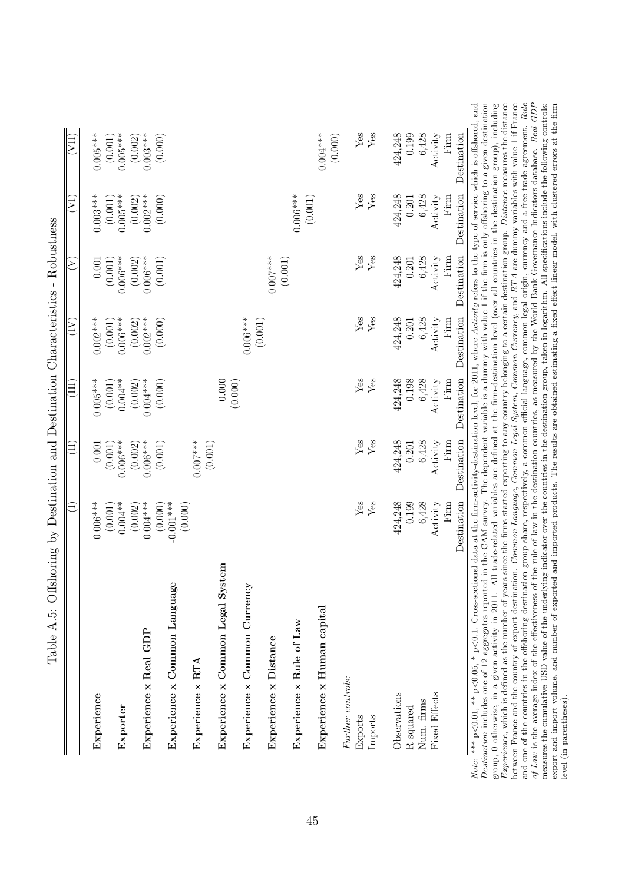<span id="page-44-0"></span>

| Experience                       | $0.006***$             | 0.001                 | $0.005***$             | $0.002***$                                                                                                                                                | $0.001\,$                                                                                                                                                                                                                                                                                                                                                                                                                                                                                                                                                                                 | $0.003***$              | $0.005***$              |
|----------------------------------|------------------------|-----------------------|------------------------|-----------------------------------------------------------------------------------------------------------------------------------------------------------|-------------------------------------------------------------------------------------------------------------------------------------------------------------------------------------------------------------------------------------------------------------------------------------------------------------------------------------------------------------------------------------------------------------------------------------------------------------------------------------------------------------------------------------------------------------------------------------------|-------------------------|-------------------------|
| Exporter                         | $(0.001)$<br>$0.004**$ | $0.006***$<br>(0.001) | $(0.001)$<br>$0.004**$ | $(0.001)$<br>$0.006***$                                                                                                                                   | $0.006***$<br>(0.001)                                                                                                                                                                                                                                                                                                                                                                                                                                                                                                                                                                     | $(0.001)$<br>$0.005***$ | $(0.001)$<br>$0.005***$ |
| Experience x Real GDP            | $0.004***$<br>(0.002)  | $0.006***$<br>(0.002) | $0.004***$<br>(0.002)  | $0.002***$<br>(0.002)                                                                                                                                     | $0.006***$<br>(0.002)                                                                                                                                                                                                                                                                                                                                                                                                                                                                                                                                                                     | $0.002***$<br>(0.002)   | $0.003***$<br>(0.002)   |
| Experience x Common Language     | (0.000)<br>$-0.001***$ | (0.001)               | (0.000)                | (0.000)                                                                                                                                                   | (0.001)                                                                                                                                                                                                                                                                                                                                                                                                                                                                                                                                                                                   | (0.000)                 | (0.000)                 |
| Experience x RTA                 | (0.000)                | $0.007***$            |                        |                                                                                                                                                           |                                                                                                                                                                                                                                                                                                                                                                                                                                                                                                                                                                                           |                         |                         |
| Experience x Common Legal System |                        | (0.001)               | 0.000                  |                                                                                                                                                           |                                                                                                                                                                                                                                                                                                                                                                                                                                                                                                                                                                                           |                         |                         |
| Experience x Common Currency     |                        |                       | (0.000)                | $0.006***$                                                                                                                                                |                                                                                                                                                                                                                                                                                                                                                                                                                                                                                                                                                                                           |                         |                         |
| Experience x Distance            |                        |                       |                        | $\left( 0.001\right)$                                                                                                                                     | $-0.007$ ***                                                                                                                                                                                                                                                                                                                                                                                                                                                                                                                                                                              |                         |                         |
| Experience x Rule of Law         |                        |                       |                        |                                                                                                                                                           | $\left( 0.001\right)$                                                                                                                                                                                                                                                                                                                                                                                                                                                                                                                                                                     | $0.006***$              |                         |
| Experience x Human capital       |                        |                       |                        |                                                                                                                                                           |                                                                                                                                                                                                                                                                                                                                                                                                                                                                                                                                                                                           | (0.001)                 | $0.004***$<br>(0.000)   |
| Further controls:                |                        |                       |                        |                                                                                                                                                           |                                                                                                                                                                                                                                                                                                                                                                                                                                                                                                                                                                                           |                         |                         |
| Exports                          | Yes                    | ${\rm Yes}$           | ${\rm Yes}$            | ${\rm Yes}$                                                                                                                                               | ${\rm Yes}$                                                                                                                                                                                                                                                                                                                                                                                                                                                                                                                                                                               | ${\rm Yes}$             | $\operatorname{Yes}$    |
| Imports                          | Yes                    | Yes                   | Yes                    | Yes                                                                                                                                                       | Yes                                                                                                                                                                                                                                                                                                                                                                                                                                                                                                                                                                                       | Yes                     | Yes                     |
| Observations                     | 424,248                | 424,248               | 424,248                | 424,248                                                                                                                                                   | 424,248                                                                                                                                                                                                                                                                                                                                                                                                                                                                                                                                                                                   | 424,248                 | 424,248                 |
| R-squared                        | 0.199                  | 0.201                 | 0.198                  | 0.201                                                                                                                                                     | 0.201                                                                                                                                                                                                                                                                                                                                                                                                                                                                                                                                                                                     | 0.201                   | 0.199                   |
| Num. firms                       | 6,428                  | 6,428                 | 6,428                  | 6,428                                                                                                                                                     | 6,428                                                                                                                                                                                                                                                                                                                                                                                                                                                                                                                                                                                     | 6,428                   | 6,428                   |
| <b>Fixed Effects</b>             | Activity               | Activity              | Activity               | Activity                                                                                                                                                  | Activity                                                                                                                                                                                                                                                                                                                                                                                                                                                                                                                                                                                  | Activity                | Activity                |
|                                  | Firm                   | Firm                  | $\operatorname{Firm}$  | $\operatorname*{Firm}% \left( X\right) \equiv\operatorname*{Firm}% \left( X\right) \equiv\operatorname*{Frm}% \left( X\right) \equiv\operatorname*{Frm}R$ | $\operatorname*{Firm}% \left( X\right) \equiv\operatorname*{Firm}% \left( X\right) \equiv\operatorname*{Fern}% \left( X\right) \equiv\operatorname*{Fern}% \left( X\right) \equiv\operatorname*{Fern}% \left( X\right) \equiv\operatorname*{Fern}% \left( X\right) \equiv\operatorname*{Fern}% \left( X\right) \equiv\operatorname*{Fern}% \left( X\right) \equiv\operatorname*{Fern}% \left( X\right) \equiv\operatorname*{Fern}% \left( X\right) \equiv\operatorname*{Fern}% \left( X\right) \equiv\operatorname*{Fern}% \left( X\right) \equiv\operatorname*{Fern}% \left( X\right) \$ | Firm                    | $\operatorname{Firm}$   |
|                                  | Destination            | Destination           | Destination            | Destination                                                                                                                                               | Destination                                                                                                                                                                                                                                                                                                                                                                                                                                                                                                                                                                               | Destination             | Destination             |

Experience, which is defined as the number of years since the firms started exporting to any country belonging to a certain destination group. Distance measures the distance between France and the country of export destination. *Common Language, Common Common Currency*, and RTA are dummy variables with value 1 if France and one of the countries in the offshoring destination group share, respectively, a common official language, common legal origin, currency and a free trade agreement. Rule of Law is the average index of the effectiveness of the rule of law in the destination countries, as measured by the World Bank Governance Indicators database. Real GDP measures the cumulative USD value of the underlying indicator over the countries in the destination group, taken in logarithm. All specifications include the following controls: export and import volume, and number of exported and imported products. The results are obtained estimating a fixed effect linear model, with clustered errors at the firm

between France and the country of export destination. Common Language, Common Legal System, Common Currency, and RTA are dummy variables with value 1 if France

and one of the countries in the offshoring destination group share, respectively, a common official language, common legal origin, currency and a free trade agreement. Rule of Law is the average index of the effectiveness

level (in parentheses).

level (in parentheses).

Table A.5: Offshoring by Destination and Destination Characteristics - Robustness Table A.5: Offshoring by Destination and Destination Characteristics - Robustness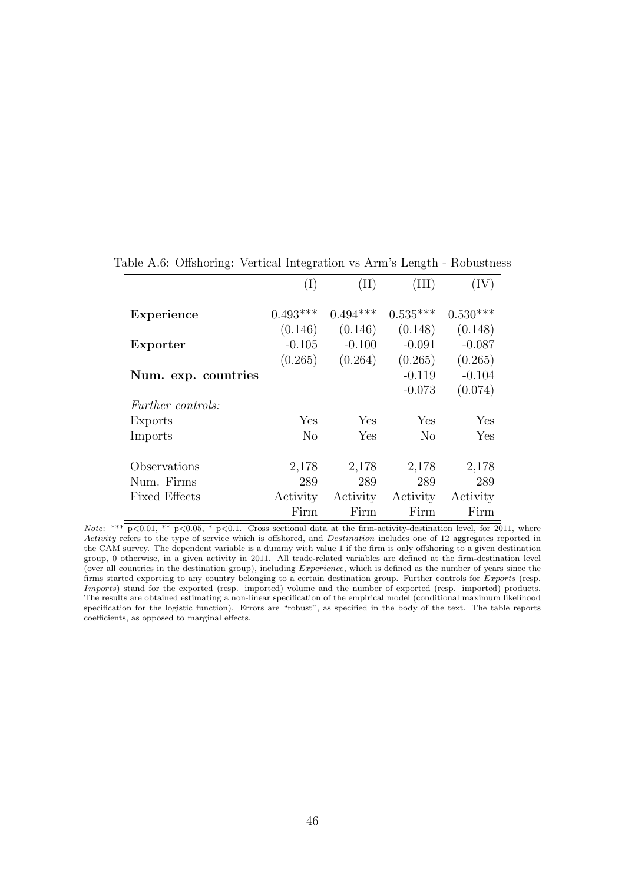|                          |                | $\rm (II)$ | Ш          |            |
|--------------------------|----------------|------------|------------|------------|
|                          |                |            |            |            |
| Experience               | $0.493***$     | $0.494***$ | $0.535***$ | $0.530***$ |
|                          | (0.146)        | (0.146)    | (0.148)    | (0.148)    |
| Exporter                 | $-0.105$       | $-0.100$   | $-0.091$   | $-0.087$   |
|                          | (0.265)        | (0.264)    | (0.265)    | (0.265)    |
| Num. exp. countries      |                |            | $-0.119$   | $-0.104$   |
|                          |                |            | $-0.073$   | (0.074)    |
| <i>Further controls:</i> |                |            |            |            |
| Exports                  | Yes.           | <b>Yes</b> | Yes        | Yes        |
| Imports                  | N <sub>0</sub> | Yes        | No         | Yes        |
|                          |                |            |            |            |
| Observations             | 2,178          | 2,178      | 2,178      | 2,178      |
| Num. Firms               | 289            | 289        | 289        | 289        |
| <b>Fixed Effects</b>     | Activity       | Activity   | Activity   | Activity   |
|                          | Firm           | Firm       | Firm       | Firm       |

<span id="page-45-0"></span>Table A.6: Offshoring: Vertical Integration vs Arm's Length - Robustness

Note: \*\*\*  $p<0.01$ , \*\*  $p<0.05$ , \*  $p<0.1$ . Cross sectional data at the firm-activity-destination level, for 2011, where Activity refers to the type of service which is offshored, and Destination includes one of 12 aggregates reported in the CAM survey. The dependent variable is a dummy with value 1 if the firm is only offshoring to a given destination group, 0 otherwise, in a given activity in 2011. All trade-related variables are defined at the firm-destination level (over all countries in the destination group), including  $Experience$ , which is defined as the number of years since the firms started exporting to any country belonging to a certain destination group. Further controls for  $Express$  (resp. Imports) stand for the exported (resp. imported) volume and the number of exported (resp. imported) products. The results are obtained estimating a non-linear specification of the empirical model (conditional maximum likelihood specification for the logistic function). Errors are "robust", as specified in the body of the text. The table reports coefficients, as opposed to marginal effects.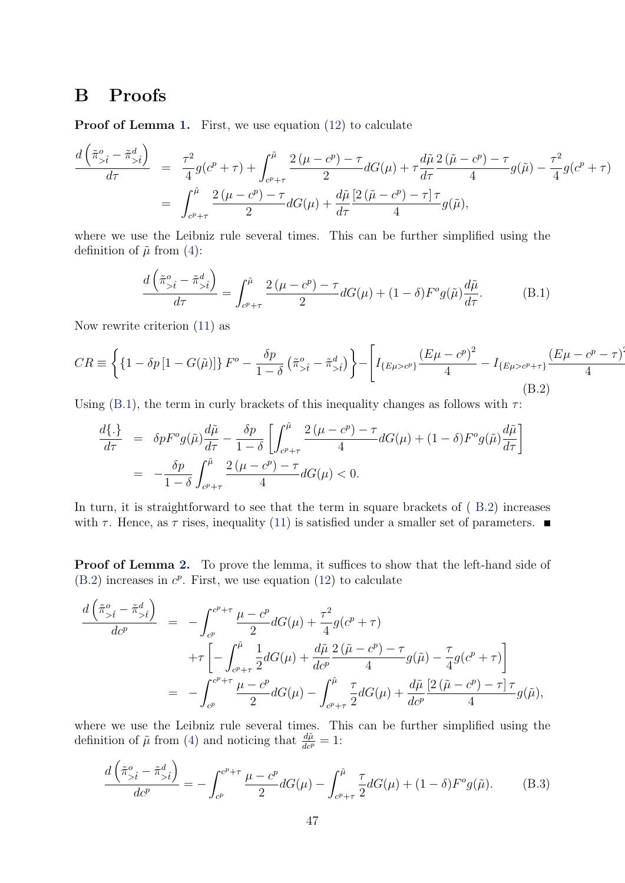## <span id="page-46-0"></span>B Proofs

Proof of Lemma [1.](#page-14-2) First, we use equation [\(12\)](#page-14-3) to calculate

$$
\frac{d\left(\tilde{\pi}_{>\hat{t}}^o - \tilde{\pi}_{>\hat{t}}^d\right)}{d\tau} = \frac{\tau^2}{4}g(c^p + \tau) + \int_{c^p + \tau}^{\tilde{\mu}} \frac{2(\mu - c^p) - \tau}{2} dG(\mu) + \tau \frac{d\tilde{\mu}}{d\tau} \frac{2(\tilde{\mu} - c^p) - \tau}{4} g(\tilde{\mu}) - \frac{\tau^2}{4} g(c^p + \tau) \n= \int_{c^p + \tau}^{\tilde{\mu}} \frac{2(\mu - c^p) - \tau}{2} dG(\mu) + \frac{d\tilde{\mu}}{d\tau} \frac{[2(\tilde{\mu} - c^p) - \tau] \tau}{4} g(\tilde{\mu}),
$$

where we use the Leibniz rule several times. This can be further simplified using the definition of  $\tilde{\mu}$  from [\(4\)](#page-9-1):

<span id="page-46-1"></span>
$$
\frac{d\left(\tilde{\pi}_{>\hat{t}}^o - \tilde{\pi}_{>\hat{t}}^d\right)}{d\tau} = \int_{c^p + \tau}^{\tilde{\mu}} \frac{2\left(\mu - c^p\right) - \tau}{2} dG(\mu) + (1 - \delta) F^o g(\tilde{\mu}) \frac{d\tilde{\mu}}{d\tau}.
$$
(B.1)

Now rewrite criterion [\(11\)](#page-14-1) as

<span id="page-46-2"></span>
$$
CR \equiv \left\{ \left\{ 1 - \delta p \left[ 1 - G(\tilde{\mu}) \right] \right\} F^o - \frac{\delta p}{1 - \delta} \left( \tilde{\pi}_{> \tilde{t}}^o - \tilde{\pi}_{> \tilde{t}}^d \right) \right\} - \left[ I_{\{E\mu > c^p\}} \frac{\left( E\mu - c^p \right)^2}{4} - I_{\{E\mu > c^p + \tau\}} \frac{\left( E\mu - c^p - \tau \right)}{4} \right] \tag{B.2}
$$

 $\ddot{\phantom{0}}$ 

Using [\(B.1\)](#page-46-1), the term in curly brackets of this inequality changes as follows with  $\tau$ :

$$
\frac{d\{\cdot\}}{d\tau} = \delta p F^{\circ} g(\tilde{\mu}) \frac{d\tilde{\mu}}{d\tau} - \frac{\delta p}{1-\delta} \left[ \int_{c^p + \tau}^{\tilde{\mu}} \frac{2(\mu - c^p) - \tau}{4} dG(\mu) + (1-\delta) F^{\circ} g(\tilde{\mu}) \frac{d\tilde{\mu}}{d\tau} \right]
$$

$$
= -\frac{\delta p}{1-\delta} \int_{c^p + \tau}^{\tilde{\mu}} \frac{2(\mu - c^p) - \tau}{4} dG(\mu) < 0.
$$

In turn, it is straightforward to see that the term in square brackets of ( [B.2\)](#page-46-2) increases with  $\tau$ . Hence, as  $\tau$  rises, inequality [\(11\)](#page-14-1) is satisfied under a smaller set of parameters.

**Proof of Lemma [2.](#page-15-0)** To prove the lemma, it suffices to show that the left-hand side of  $(B.2)$  increases in  $c^p$ . First, we use equation  $(12)$  to calculate

$$
\frac{d\left(\tilde{\pi}_{>\hat{t}}^o - \tilde{\pi}_{>\hat{t}}^d\right)}{dc^p} = -\int_{c^p}^{c^p+\tau} \frac{\mu - c^p}{2} dG(\mu) + \frac{\tau^2}{4} g(c^p + \tau) \n+ \tau \left[ -\int_{c^p+\tau}^{\tilde{\mu}} \frac{1}{2} dG(\mu) + \frac{d\tilde{\mu}}{dc^p} \frac{2(\tilde{\mu} - c^p) - \tau}{4} g(\tilde{\mu}) - \frac{\tau}{4} g(c^p + \tau) \right] \n= -\int_{c^p}^{c^p+\tau} \frac{\mu - c^p}{2} dG(\mu) - \int_{c^p+\tau}^{\tilde{\mu}} \frac{\tau}{2} dG(\mu) + \frac{d\tilde{\mu}}{dc^p} \frac{\left[2(\tilde{\mu} - c^p) - \tau\right] \tau}{4} g(\tilde{\mu}),
$$

where we use the Leibniz rule several times. This can be further simplified using the definition of  $\tilde{\mu}$  from [\(4\)](#page-9-1) and noticing that  $\frac{d\tilde{\mu}}{d c^p} = 1$ :

<span id="page-46-3"></span>
$$
\frac{d\left(\tilde{\pi}_{>\hat{t}}^o - \tilde{\pi}_{>\hat{t}}^d\right)}{dc^p} = -\int_{c^p}^{c^p + \tau} \frac{\mu - c^p}{2} dG(\mu) - \int_{c^p + \tau}^{\tilde{\mu}} \frac{\tau}{2} dG(\mu) + (1 - \delta) F^o g(\tilde{\mu}).\tag{B.3}
$$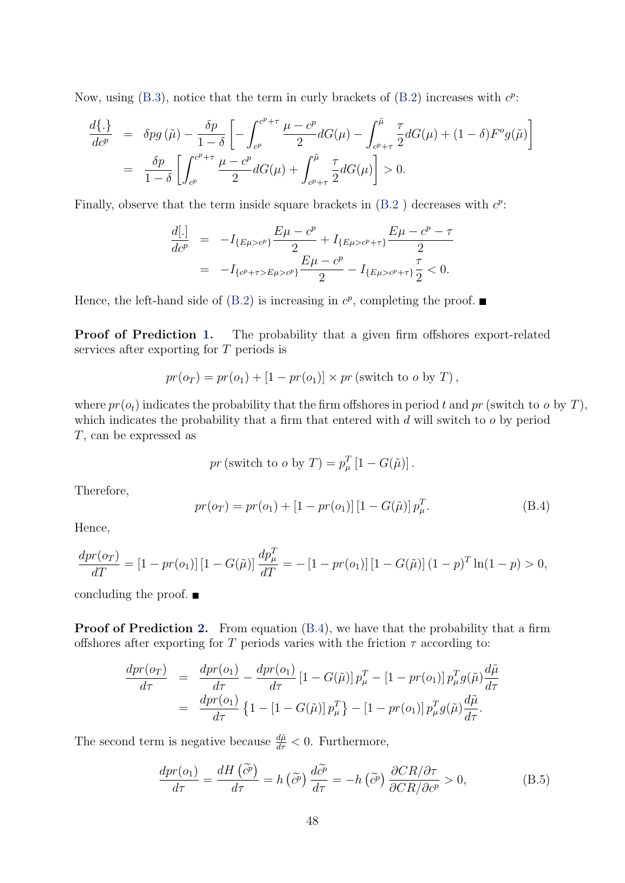Now, using [\(B.3\)](#page-46-3), notice that the term in curly brackets of  $(B.2)$  increases with  $c^p$ :

$$
\frac{d\{\cdot\}}{dc^p} = \delta pg\left(\tilde{\mu}\right) - \frac{\delta p}{1-\delta} \left[ -\int_{c^p}^{c^p+\tau} \frac{\mu - c^p}{2} dG(\mu) - \int_{c^p+\tau}^{\tilde{\mu}} \frac{\tau}{2} dG(\mu) + (1-\delta) F^o g(\tilde{\mu}) \right]
$$

$$
= \frac{\delta p}{1-\delta} \left[ \int_{c^p}^{c^p+\tau} \frac{\mu - c^p}{2} dG(\mu) + \int_{c^p+\tau}^{\tilde{\mu}} \frac{\tau}{2} dG(\mu) \right] > 0.
$$

Finally, observe that the term inside square brackets in  $(B.2)$  $(B.2)$  decreases with  $c^p$ .

$$
\frac{d[.]}{dc^p} = -I_{\{E\mu > c^p\}} \frac{E\mu - c^p}{2} + I_{\{E\mu > c^p + \tau\}} \frac{E\mu - c^p - \tau}{2}
$$
\n
$$
= -I_{\{c^p + \tau > E\mu > c^p\}} \frac{E\mu - c^p}{2} - I_{\{E\mu > c^p + \tau\}} \frac{\tau}{2} < 0.
$$

Hence, the left-hand side of  $(B.2)$  is increasing in  $c^p$ , completing the proof.

Proof of Prediction [1.](#page-15-1) The probability that a given firm offshores export-related services after exporting for  $T$  periods is

$$
pr(o_T) = pr(o_1) + [1 - pr(o_1)] \times pr
$$
 (switch to o by T),

where  $pr(o_t)$  indicates the probability that the firm offshores in period t and  $pr$  (switch to  $o$  by T), which indicates the probability that a firm that entered with  $d$  will switch to  $o$  by period , can be expressed as

$$
pr
$$
 (switch to o by  $T$ ) =  $p_{\mu}^{T}$  [1 -  $G(\tilde{\mu})$ ].

Therefore,

<span id="page-47-0"></span>
$$
pr(o_T) = pr(o_1) + [1 - pr(o_1)] [1 - G(\tilde{\mu})] p_{\mu}^T.
$$
 (B.4)

Hence,

$$
\frac{dpr(o_T)}{dT} = [1 - pr(o_1)] [1 - G(\tilde{\mu})] \frac{dp_{\mu}^T}{dT} = -[1 - pr(o_1)] [1 - G(\tilde{\mu})] (1 - p)^T \ln(1 - p) > 0,
$$

concluding the proof.  $\blacksquare$ 

Proof of Prediction [2.](#page-16-0) From equation  $(B.4)$ , we have that the probability that a firm offshores after exporting for T periods varies with the friction  $\tau$  according to:

$$
\frac{dpr(o_T)}{d\tau} = \frac{dpr(o_1)}{d\tau} - \frac{dpr(o_1)}{d\tau} \left[1 - G(\tilde{\mu})\right] p_{\mu}^T - \left[1 - pr(o_1)\right] p_{\mu}^T g(\tilde{\mu}) \frac{d\tilde{\mu}}{d\tau}
$$
\n
$$
= \frac{dpr(o_1)}{d\tau} \left\{1 - \left[1 - G(\tilde{\mu})\right] p_{\mu}^T \right\} - \left[1 - pr(o_1)\right] p_{\mu}^T g(\tilde{\mu}) \frac{d\tilde{\mu}}{d\tau}.
$$

The second term is negative because  $\frac{d\tilde{\mu}}{d\tau} < 0$ . Furthermore,

<span id="page-47-1"></span>
$$
\frac{dpr(o_1)}{d\tau} = \frac{dH(\tilde{c}^p)}{d\tau} = h(\tilde{c}^p)\frac{d\tilde{c}^p}{d\tau} = -h(\tilde{c}^p)\frac{\partial CR/\partial \tau}{\partial CR/\partial c^p} > 0,
$$
\n(B.5)